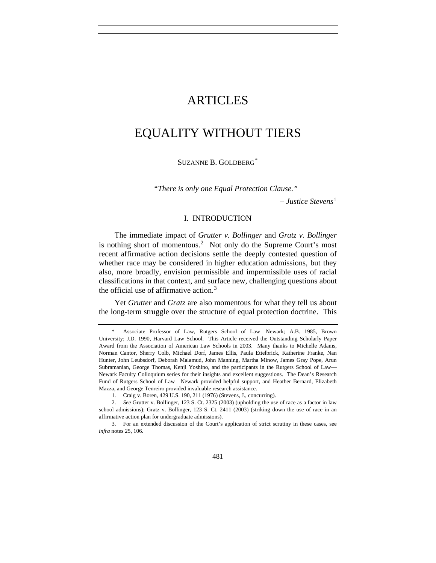# ARTICLES

## EQUALITY WITHOUT TIERS

SUZANNE B. GOLDBERG[\\*](#page-0-0)

*"There is only one Equal Protection Clause."*

– *Justice Stevens*[1](#page-0-1)

### I. INTRODUCTION

The immediate impact of *Grutter v. Bollinger* and *Gratz v. Bollinger*  is nothing short of momentous.<sup>[2](#page-0-2)</sup> Not only do the Supreme Court's most recent affirmative action decisions settle the deeply contested question of whether race may be considered in higher education admissions, but they also, more broadly, envision permissible and impermissible uses of racial classifications in that context, and surface new, challenging questions about the official use of affirmative action.<sup>[3](#page-0-3)</sup>

Yet *Grutter* and *Gratz* are also momentous for what they tell us about the long-term struggle over the structure of equal protection doctrine. This

<span id="page-0-0"></span> <sup>\*</sup> Associate Professor of Law, Rutgers School of Law—Newark; A.B. 1985, Brown University; J.D. 1990, Harvard Law School. This Article received the Outstanding Scholarly Paper Award from the Association of American Law Schools in 2003. Many thanks to Michelle Adams, Norman Cantor, Sherry Colb, Michael Dorf, James Ellis, Paula Ettelbrick, Katherine Franke, Nan Hunter, John Leubsdorf, Deborah Malamud, John Manning, Martha Minow, James Gray Pope, Arun Subramanian, George Thomas, Kenji Yoshino, and the participants in the Rutgers School of Law— Newark Faculty Colloquium series for their insights and excellent suggestions. The Dean's Research Fund of Rutgers School of Law—Newark provided helpful support, and Heather Bernard, Elizabeth Mazza, and George Tenreiro provided invaluable research assistance.

<sup>1.</sup> Craig v. Boren, 429 U.S. 190, 211 (1976) (Stevens, J., concurring).

<span id="page-0-2"></span><span id="page-0-1"></span><sup>2.</sup> *See* Grutter v. Bollinger, 123 S. Ct. 2325 (2003) (upholding the use of race as a factor in law school admissions); Gratz v. Bollinger, 123 S. Ct. 2411 (2003) (striking down the use of race in an affirmative action plan for undergraduate admissions).

<span id="page-0-3"></span><sup>3.</sup> For an extended discussion of the Court's application of strict scrutiny in these cases, see *infra* notes 25, 106.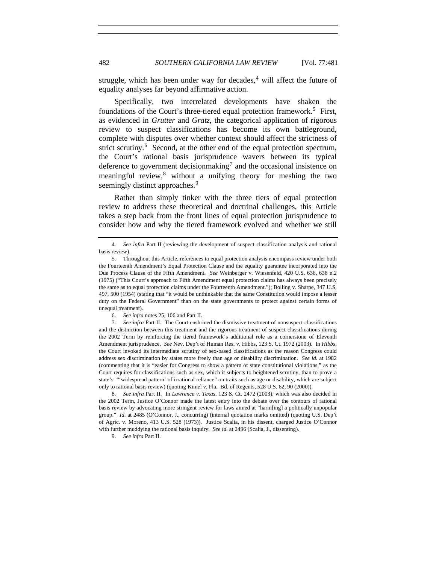struggle, which has been under way for decades, $4$  will affect the future of equality analyses far beyond affirmative action.

Specifically, two interrelated developments have shaken the foundations of the Court's three-tiered equal protection framework.<sup>[5](#page-1-1)</sup> First, as evidenced in *Grutter* and *Gratz*, the categorical application of rigorous review to suspect classifications has become its own battleground, complete with disputes over whether context should affect the strictness of strict scrutiny.<sup>[6](#page-1-2)</sup> Second, at the other end of the equal protection spectrum, the Court's rational basis jurisprudence wavers between its typical deference to government decisionmaking<sup>[7](#page-1-3)</sup> and the occasional insistence on meaningful review, $8$  without a unifying theory for meshing the two seemingly distinct approaches.<sup>[9](#page-1-5)</sup>

Rather than simply tinker with the three tiers of equal protection review to address these theoretical and doctrinal challenges, this Article takes a step back from the front lines of equal protection jurisprudence to consider how and why the tiered framework evolved and whether we still

6. *See infra* notes 25, 106 and Part II.

<span id="page-1-3"></span><span id="page-1-2"></span>7. *See infra* Part II. The Court enshrined the dismissive treatment of nonsuspect classifications and the distinction between this treatment and the rigorous treatment of suspect classifications during the 2002 Term by reinforcing the tiered framework's additional role as a cornerstone of Eleventh Amendment jurisprudence. *See* Nev. Dep't of Human Res. v. Hibbs, 123 S. Ct. 1972 (2003). In *Hibbs*, the Court invoked its intermediate scrutiny of sex-based classifications as the reason Congress could address sex discrimination by states more freely than age or disability discrimination. *See id.* at 1982 (commenting that it is "easier for Congress to show a pattern of state constitutional violations," as the Court requires for classifications such as sex, which it subjects to heightened scrutiny, than to prove a state's "'widespread pattern' of irrational reliance" on traits such as age or disability, which are subject only to rational basis review) (quoting Kimel v. Fla. Bd. of Regents, 528 U.S. 62, 90 (2000)).

<span id="page-1-5"></span><span id="page-1-4"></span>8. *See infra* Part II. In *Lawrence v. Texas*, 123 S. Ct. 2472 (2003), which was also decided in the 2002 Term, Justice O'Connor made the latest entry into the debate over the contours of rational basis review by advocating more stringent review for laws aimed at "harm[ing] a politically unpopular group." *Id.* at 2485 (O'Connor, J., concurring) (internal quotation marks omitted) (quoting U.S. Dep't of Agric. v. Moreno, 413 U.S. 528 (1973)). Justice Scalia, in his dissent, charged Justice O'Connor with further muddying the rational basis inquiry. *See id.* at 2496 (Scalia, J., dissenting).

9. *See infra* Part II.

<span id="page-1-0"></span><sup>4.</sup> *See infra* Part II (reviewing the development of suspect classification analysis and rational basis review).

<span id="page-1-1"></span><sup>5.</sup> Throughout this Article, references to equal protection analysis encompass review under both the Fourteenth Amendment's Equal Protection Clause and the equality guarantee incorporated into the Due Process Clause of the Fifth Amendment. *See* Weinberger v. Wiesenfeld, 420 U.S. 636, 638 n.2 (1975) ("This Court's approach to Fifth Amendment equal protection claims has always been precisely the same as to equal protection claims under the Fourteenth Amendment."); Bolling v. Sharpe, 347 U.S. 497, 500 (1954) (stating that "it would be unthinkable that the same Constitution would impose a lesser duty on the Federal Government" than on the state governments to protect against certain forms of unequal treatment).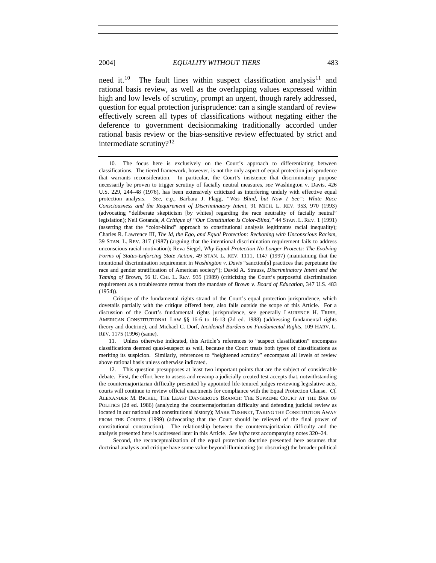need it.<sup>[10](#page-2-0)</sup> The fault lines within suspect classification analysis<sup>[11](#page-2-1)</sup> and rational basis review, as well as the overlapping values expressed within high and low levels of scrutiny, prompt an urgent, though rarely addressed, question for equal protection jurisprudence: can a single standard of review effectively screen all types of classifications without negating either the deference to government decisionmaking traditionally accorded under rational basis review or the bias-sensitive review effectuated by strict and intermediate scrutiny? $12$ 

Second, the reconceptualization of the equal protection doctrine presented here assumes that doctrinal analysis and critique have some value beyond illuminating (or obscuring) the broader political

<span id="page-2-0"></span><sup>10.</sup> The focus here is exclusively on the Court's approach to differentiating between classifications. The tiered framework, however, is not the only aspect of equal protection jurisprudence that warrants reconsideration. In particular, the Court's insistence that discriminatory purpose necessarily be proven to trigger scrutiny of facially neutral measures, *see* Washington v. Davis, 426 U.S. 229, 244–48 (1976), has been extensively criticized as interfering unduly with effective equal protection analysis. *See, e.g.*, Barbara J. Flagg, *"Was Blind, but Now I See": White Race Consciousness and the Requirement of Discriminatory Intent*, 91 MICH. L. REV. 953, 970 (1993) (advocating "deliberate skepticism [by whites] regarding the race neutrality of facially neutral" legislation); Neil Gotanda, *A Critique of "Our Constitution Is Color-Blind*,*"* 44 STAN. L. REV. 1 (1991) (asserting that the "color-blind" approach to constitutional analysis legitimates racial inequality); Charles R. Lawrence III, *The Id, the Ego, and Equal Protection: Reckoning with Unconscious Racism*, 39 STAN. L. REV. 317 (1987) (arguing that the intentional discrimination requirement fails to address unconscious racial motivation); Reva Siegel, *Why Equal Protection No Longer Protects: The Evolving Forms of Status-Enforcing State Action*, 49 STAN. L. REV. 1111, 1147 (1997) (maintaining that the intentional discrimination requirement in *Washington v. Davis* "sanction[s] practices that perpetuate the race and gender stratification of American society"); David A. Strauss, *Discriminatory Intent and the Taming of* Brown, 56 U. CHI. L. REV. 935 (1989) (criticizing the Court's purposeful discrimination requirement as a troublesome retreat from the mandate of *Brown v. Board of Education*, 347 U.S. 483 (1954)).

Critique of the fundamental rights strand of the Court's equal protection jurisprudence, which dovetails partially with the critique offered here, also falls outside the scope of this Article. For a discussion of the Court's fundamental rights jurisprudence, see generally LAURENCE H. TRIBE, AMERICAN CONSTITUTIONAL LAW §§ 16-6 to 16-13 (2d ed. 1988) (addressing fundamental rights theory and doctrine), and Michael C. Dorf, *Incidental Burdens on Fundamental Rights*, 109 HARV. L. REV. 1175 (1996) (same).

<span id="page-2-1"></span><sup>11.</sup> Unless otherwise indicated, this Article's references to "suspect classification" encompass classifications deemed quasi-suspect as well, because the Court treats both types of classifications as meriting its suspicion. Similarly, references to "heightened scrutiny" encompass all levels of review above rational basis unless otherwise indicated.

<span id="page-2-2"></span><sup>12.</sup> This question presupposes at least two important points that are the subject of considerable debate. First, the effort here to assess and revamp a judicially created test accepts that, notwithstanding the countermajoritarian difficulty presented by appointed life-tenured judges reviewing legislative acts, courts will continue to review official enactments for compliance with the Equal Protection Clause. *Cf.*  ALEXANDER M. BICKEL, THE LEAST DANGEROUS BRANCH: THE SUPREME COURT AT THE BAR OF POLITICS (2d ed. 1986) (analyzing the countermajoritarian difficulty and defending judicial review as located in our national and constitutional history); MARK TUSHNET, TAKING THE CONSTITUTION AWAY FROM THE COURTS (1999) (advocating that the Court should be relieved of the final power of constitutional construction). The relationship between the countermajoritarian difficulty and the analysis presented here is addressed later in this Article. *See infra* text accompanying notes 320–24.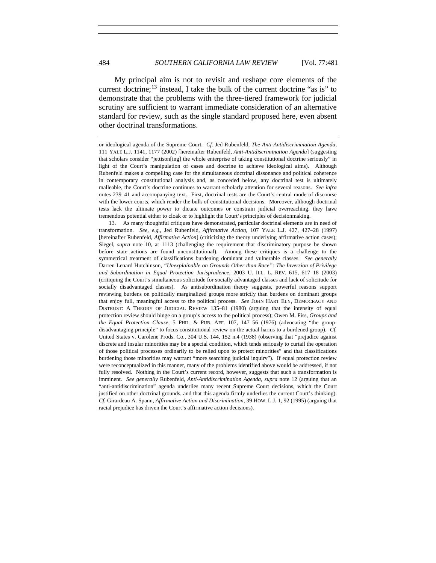My principal aim is not to revisit and reshape core elements of the current doctrine;<sup>[13](#page-3-0)</sup> instead, I take the bulk of the current doctrine "as is" to demonstrate that the problems with the three-tiered framework for judicial scrutiny are sufficient to warrant immediate consideration of an alternative standard for review, such as the single standard proposed here, even absent other doctrinal transformations.

<span id="page-3-0"></span>13. As many thoughtful critiques have demonstrated, particular doctrinal elements are in need of transformation. *See, e.g.*, Jed Rubenfeld, *Affirmative Action*, 107 YALE L.J. 427, 427–28 (1997) [hereinafter Rubenfeld, *Affirmative Action*] (criticizing the theory underlying affirmative action cases); Siegel, *supra* note 10, at 1113 (challenging the requirement that discriminatory purpose be shown before state actions are found unconstitutional). Among these critiques is a challenge to the symmetrical treatment of classifications burdening dominant and vulnerable classes. *See generally* Darren Lenard Hutchinson, *"Unexplainable on Grounds Other than Race": The Inversion of Privilege and Subordination in Equal Protection Jurisprudence*, 2003 U. ILL. L. REV. 615, 617–18 (2003) (critiquing the Court's simultaneous solicitude for socially advantaged classes and lack of solicitude for socially disadvantaged classes). As antisubordination theory suggests, powerful reasons support reviewing burdens on politically marginalized groups more strictly than burdens on dominant groups that enjoy full, meaningful access to the political process. *See* JOHN HART ELY, DEMOCRACY AND DISTRUST: A THEORY OF JUDICIAL REVIEW 135–81 (1980) (arguing that the intensity of equal protection review should hinge on a group's access to the political process); Owen M. Fiss, *Groups and the Equal Protection Clause*, 5 PHIL. & PUB. AFF. 107, 147–56 (1976) (advocating "the groupdisadvantaging principle" to focus constitutional review on the actual harms to a burdened group). *Cf.*  United States v. Carolene Prods. Co., 304 U.S. 144, 152 n.4 (1938) (observing that "prejudice against discrete and insular minorities may be a special condition, which tends seriously to curtail the operation of those political processes ordinarily to be relied upon to protect minorities" and that classifications burdening those minorities may warrant "more searching judicial inquiry"). If equal protection review were reconceptualized in this manner, many of the problems identified above would be addressed, if not fully resolved. Nothing in the Court's current record, however, suggests that such a transformation is imminent. *See generally* Rubenfeld, *Anti-Antidiscrimination Agenda*, *supra* note 12 (arguing that an "anti-antidiscrimination" agenda underlies many recent Supreme Court decisions, which the Court justified on other doctrinal grounds, and that this agenda firmly underlies the current Court's thinking). *Cf.* Girardeau A. Spann, *Affirmative Action and Discrimination*, 39 HOW. L.J. 1, 92 (1995) (arguing that racial prejudice has driven the Court's affirmative action decisions).

or ideological agenda of the Supreme Court. *Cf.* Jed Rubenfeld, *The Anti-Antidiscrimination Agenda*, 111 YALE L.J. 1141, 1177 (2002) [hereinafter Rubenfeld, *Anti-Antidiscrimination Agenda*] (suggesting that scholars consider "jettison[ing] the whole enterprise of taking constitutional doctrine seriously" in light of the Court's manipulation of cases and doctrine to achieve ideological aims). Although Rubenfeld makes a compelling case for the simultaneous doctrinal dissonance and political coherence in contemporary constitutional analysis and, as conceded below, any doctrinal test is ultimately malleable, the Court's doctrine continues to warrant scholarly attention for several reasons. *See infra*  notes 239–41 and accompanying text. First, doctrinal tests are the Court's central mode of discourse with the lower courts, which render the bulk of constitutional decisions. Moreover, although doctrinal tests lack the ultimate power to dictate outcomes or constrain judicial overreaching, they have tremendous potential either to cloak or to highlight the Court's principles of decisionmaking.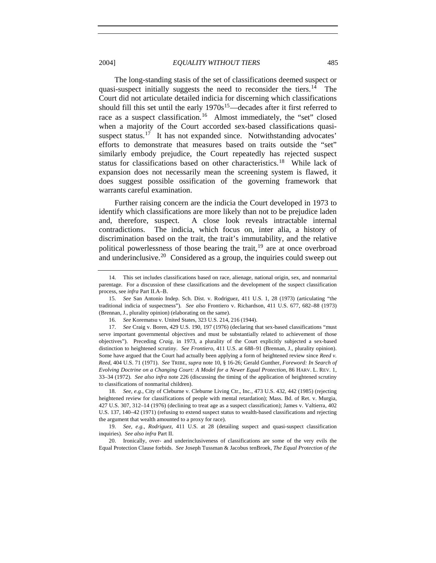2004] *EQUALITY WITHOUT TIERS* 485

The long-standing stasis of the set of classifications deemed suspect or quasi-suspect initially suggests the need to reconsider the tiers.<sup>[14](#page-4-0)</sup> The Court did not articulate detailed indicia for discerning which classifications should fill this set until the early  $1970s^{15}$  $1970s^{15}$  $1970s^{15}$ —decades after it first referred to race as a suspect classification.<sup>[16](#page-4-2)</sup> Almost immediately, the "set" closed when a majority of the Court accorded sex-based classifications quasi-suspect status.<sup>[17](#page-4-3)</sup> It has not expanded since. Notwithstanding advocates' efforts to demonstrate that measures based on traits outside the "set" similarly embody prejudice, the Court repeatedly has rejected suspect status for classifications based on other characteristics.<sup>[18](#page-4-4)</sup> While lack of expansion does not necessarily mean the screening system is flawed, it does suggest possible ossification of the governing framework that

Further raising concern are the indicia the Court developed in 1973 to identify which classifications are more likely than not to be prejudice laden and, therefore, suspect. A close look reveals intractable internal contradictions. The indicia, which focus on, inter alia, a history of discrimination based on the trait, the trait's immutability, and the relative political powerlessness of those bearing the trait,  $19$  are at once overbroad and underinclusive.[20](#page-4-6) Considered as a group, the inquiries could sweep out

warrants careful examination.

<span id="page-4-6"></span>20. Ironically, over- and underinclusiveness of classifications are some of the very evils the Equal Protection Clause forbids. *See* Joseph Tussman & Jacobus tenBroek, *The Equal Protection of the* 

<span id="page-4-0"></span><sup>14.</sup> This set includes classifications based on race, alienage, national origin, sex, and nonmarital parentage. For a discussion of these classifications and the development of the suspect classification process, see *infra* Part II.A–B.

<span id="page-4-1"></span><sup>15.</sup> *See* San Antonio Indep. Sch. Dist. v. Rodriguez, 411 U.S. 1, 28 (1973) (articulating "the traditional indicia of suspectness"). *See also* Frontiero v. Richardson, 411 U.S. 677, 682–88 (1973) (Brennan, J., plurality opinion) (elaborating on the same).

<sup>16.</sup> *See* Korematsu v. United States, 323 U.S. 214, 216 (1944).

<span id="page-4-3"></span><span id="page-4-2"></span><sup>17.</sup> *See* Craig v. Boren, 429 U.S. 190, 197 (1976) (declaring that sex-based classifications "must serve important governmental objectives and must be substantially related to achievement of those objectives"). Preceding *Craig*, in 1973, a plurality of the Court explicitly subjected a sex-based distinction to heightened scrutiny. *See Frontiero*, 411 U.S. at 688–91 (Brennan, J., plurality opinion). Some have argued that the Court had actually been applying a form of heightened review since *Reed v. Reed*, 404 U.S. 71 (1971). *See* TRIBE, *supra* note 10, § 16-26; Gerald Gunther, *Foreword: In Search of Evolving Doctrine on a Changing Court: A Model for a Newer Equal Protection*, 86 HARV. L. REV. 1, 33–34 (1972). *See also infra* note 226 (discussing the timing of the application of heightened scrutiny to classifications of nonmarital children).

<span id="page-4-4"></span><sup>18.</sup> See, e.g., City of Cleburne v. Cleburne Living Ctr., Inc., 473 U.S. 432, 442 (1985) (rejecting heightened review for classifications of people with mental retardation); Mass. Bd. of Ret. v. Murgia, 427 U.S. 307, 312–14 (1976) (declining to treat age as a suspect classification); James v. Valtierra, 402 U.S. 137, 140–42 (1971) (refusing to extend suspect status to wealth-based classifications and rejecting the argument that wealth amounted to a proxy for race).

<span id="page-4-5"></span><sup>19.</sup> *See, e.g.*, *Rodriguez*, 411 U.S. at 28 (detailing suspect and quasi-suspect classification inquiries). *See also infra* Part II.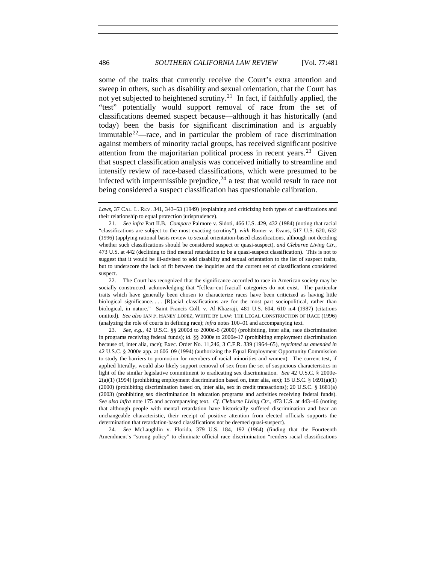some of the traits that currently receive the Court's extra attention and sweep in others, such as disability and sexual orientation, that the Court has not yet subjected to heightened scrutiny.<sup>[21](#page-5-0)</sup> In fact, if faithfully applied, the "test" potentially would support removal of race from the set of classifications deemed suspect because—although it has historically (and today) been the basis for significant discrimination and is arguably immutable<sup>[22](#page-5-1)</sup>—race, and in particular the problem of race discrimination against members of minority racial groups, has received significant positive attention from the majoritarian political process in recent years.<sup>[23](#page-5-2)</sup> Given that suspect classification analysis was conceived initially to streamline and intensify review of race-based classifications, which were presumed to be infected with impermissible prejudice,  $2<sup>4</sup>$  a test that would result in race not being considered a suspect classification has questionable calibration.

<span id="page-5-1"></span>22. The Court has recognized that the significance accorded to race in American society may be socially constructed, acknowledging that "[c]lear-cut [racial] categories do not exist. The particular traits which have generally been chosen to characterize races have been criticized as having little biological significance.... [R]acial classifications are for the most part sociopolitical, rather than biological, in nature." Saint Francis Coll. v. Al-Khazraji, 481 U.S. 604, 610 n.4 (1987) (citations omitted). *See also* IAN F. HANEY LOPEZ, WHITE BY LAW: THE LEGAL CONSTRUCTION OF RACE (1996) (analyzing the role of courts in defining race); *infra* notes 100–01 and accompanying text.

<span id="page-5-2"></span>23. *See, e.g.*, 42 U.S.C. §§ 2000d to 2000d-6 (2000) (prohibiting, inter alia, race discrimination in programs receiving federal funds); *id*. §§ 2000e to 2000e-17 (prohibiting employment discrimination because of, inter alia, race); Exec. Order No. 11,246, 3 C.F.R. 339 (1964–65), *reprinted as amended in* 42 U.S.C. § 2000e app. at 606–09 (1994) (authorizing the Equal Employment Opportunity Commission to study the barriers to promotion for members of racial minorities and women). The current test, if applied literally, would also likely support removal of sex from the set of suspicious characteristics in light of the similar legislative commitment to eradicating sex discrimination. *See* 42 U.S.C. § 2000e- $2(a)(1)$  (1994) (prohibiting employment discrimination based on, inter alia, sex); 15 U.S.C. § 1691(a)(1) (2000) (prohibiting discrimination based on, inter alia, sex in credit transactions); 20 U.S.C. § 1681(a) (2003) (prohibiting sex discrimination in education programs and activities receiving federal funds). *See also infra* note 175 and accompanying text. *Cf. Cleburne Living Ctr.*, 473 U.S. at 443–46 (noting that although people with mental retardation have historically suffered discrimination and bear an unchangeable characteristic, their receipt of positive attention from elected officials supports the determination that retardation-based classifications not be deemed quasi-suspect).

<span id="page-5-3"></span>24. *See* McLaughlin v. Florida, 379 U.S. 184, 192 (1964) (finding that the Fourteenth Amendment's "strong policy" to eliminate official race discrimination "renders racial classifications

*Laws*, 37 CAL. L. REV. 341, 343–53 (1949) (explaining and criticizing both types of classifications and their relationship to equal protection jurisprudence).

<span id="page-5-0"></span><sup>21.</sup> *See infra* Part II.B. *Compare* Palmore v. Sidoti, 466 U.S. 429, 432 (1984) (noting that racial "classifications are subject to the most exacting scrutiny"), *with* Romer v. Evans, 517 U.S. 620, 632 (1996) (applying rational basis review to sexual orientation-based classifications, although not deciding whether such classifications should be considered suspect or quasi-suspect), *and Cleburne Living Ctr.*, 473 U.S. at 442 (declining to find mental retardation to be a quasi-suspect classification). This is not to suggest that it would be ill-advised to add disability and sexual orientation to the list of suspect traits, but to underscore the lack of fit between the inquiries and the current set of classifications considered suspect.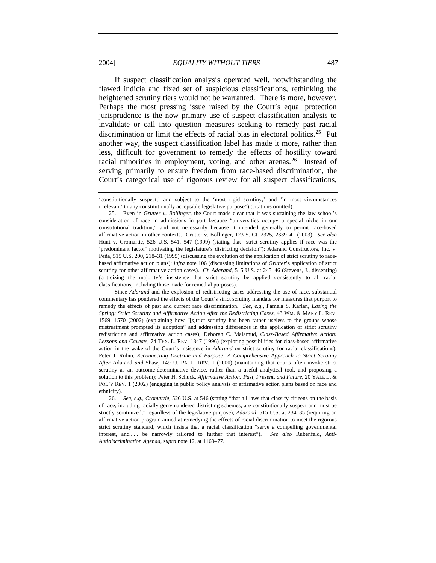#### 2004] *EQUALITY WITHOUT TIERS* 487

If suspect classification analysis operated well, notwithstanding the flawed indicia and fixed set of suspicious classifications, rethinking the heightened scrutiny tiers would not be warranted. There is more, however. Perhaps the most pressing issue raised by the Court's equal protection jurisprudence is the now primary use of suspect classification analysis to invalidate or call into question measures seeking to remedy past racial discrimination or limit the effects of racial bias in electoral politics.<sup>[25](#page-6-0)</sup> Put another way, the suspect classification label has made it more, rather than less, difficult for government to remedy the effects of hostility toward racial minorities in employment, voting, and other arenas.<sup>[26](#page-6-1)</sup> Instead of serving primarily to ensure freedom from race-based discrimination, the Court's categorical use of rigorous review for all suspect classifications,

 Since *Adarand* and the explosion of redistricting cases addressing the use of race, substantial commentary has pondered the effects of the Court's strict scrutiny mandate for measures that purport to remedy the effects of past and current race discrimination. *See, e.g.*, Pamela S. Karlan, *Easing the Spring: Strict Scrutiny and Affirmative Action After the Redistricting Cases*, 43 WM. & MARY L. REV. 1569, 1570 (2002) (explaining how "[s]trict scrutiny has been rather useless to the groups whose mistreatment prompted its adoption" and addressing differences in the application of strict scrutiny redistricting and affirmative action cases); Deborah C. Malamud, *Class-Based Affirmative Action: Lessons and Caveats*, 74 TEX. L. REV. 1847 (1996) (exploring possibilities for class-based affirmative action in the wake of the Court's insistence in *Adarand* on strict scrutiny for racial classifications); Peter J. Rubin, *Reconnecting Doctrine and Purpose: A Comprehensive Approach to Strict Scrutiny After* Adarand *and* Shaw, 149 U. PA. L. REV. 1 (2000) (maintaining that courts often invoke strict scrutiny as an outcome-determinative device, rather than a useful analytical tool, and proposing a solution to this problem); Peter H. Schuck, *Affirmative Action: Past, Present, and Future*, 20 YALE L. & POL'Y REV. 1 (2002) (engaging in public policy analysis of affirmative action plans based on race and ethnicity).

<span id="page-6-1"></span>26. *See, e.g.*, *Cromartie*, 526 U.S. at 546 (stating "that all laws that classify citizens on the basis of race, including racially gerrymandered districting schemes, are constitutionally suspect and must be strictly scrutinized," regardless of the legislative purpose); *Adarand*, 515 U.S. at 234–35 (requiring an affirmative action program aimed at remedying the effects of racial discrimination to meet the rigorous strict scrutiny standard, which insists that a racial classification "serve a compelling governmental interest, and . . . be narrowly tailored to further that interest"). *See also* Rubenfeld, *Anti-Antidiscrimination Agenda*, *supra* note 12, at 1169–77.

<sup>&#</sup>x27;constitutionally suspect,' and subject to the 'most rigid scrutiny,' and 'in most circumstances irrelevant' to any constitutionally acceptable legislative purpose") (citations omitted).

<span id="page-6-0"></span><sup>25.</sup> Even in *Grutter v. Bollinger*, the Court made clear that it was sustaining the law school's consideration of race in admissions in part because "universities occupy a special niche in our constitutional tradition," and not necessarily because it intended generally to permit race-based affirmative action in other contexts. Grutter v. Bollinger, 123 S. Ct. 2325, 2339–41 (2003). *See also*  Hunt v. Cromartie, 526 U.S. 541, 547 (1999) (stating that "strict scrutiny applies if race was the 'predominant factor' motivating the legislature's districting decision"); Adarand Constructors, Inc. v. Peña, 515 U.S. 200, 218–31 (1995) (discussing the evolution of the application of strict scrutiny to racebased affirmative action plans); *infra* note 106 (discussing limitations of *Grutter*'s application of strict scrutiny for other affirmative action cases). *Cf. Adarand*, 515 U.S. at 245–46 (Stevens, J., dissenting) (criticizing the majority's insistence that strict scrutiny be applied consistently to all racial classifications, including those made for remedial purposes).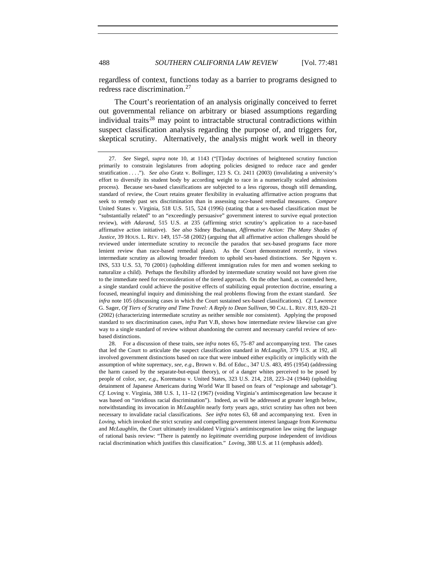regardless of context, functions today as a barrier to programs designed to redress race discrimination.[27](#page-7-0)

 The Court's reorientation of an analysis originally conceived to ferret out governmental reliance on arbitrary or biased assumptions regarding individual traits<sup>[28](#page-7-1)</sup> may point to intractable structural contradictions within suspect classification analysis regarding the purpose of, and triggers for, skeptical scrutiny. Alternatively, the analysis might work well in theory

<span id="page-7-1"></span>28. For a discussion of these traits, see *infra* notes 65, 75–87 and accompanying text. The cases that led the Court to articulate the suspect classification standard in *McLauglin*, 379 U.S. at 192, all involved government distinctions based on race that were imbued either explicitly or implicitly with the assumption of white supremacy, *see, e.g.*, Brown v. Bd. of Educ., 347 U.S. 483, 495 (1954) (addressing the harm caused by the separate-but-equal theory), or of a danger whites perceived to be posed by people of color, *see, e.g.*, Korematsu v. United States, 323 U.S. 214, 218, 223–24 (1944) (upholding detainment of Japanese Americans during World War II based on fears of "espionage and sabotage"). *Cf.* Loving v. Virginia, 388 U.S. 1, 11–12 (1967) (voiding Virginia's antimiscegenation law because it was based on "invidious racial discrimination"). Indeed, as will be addressed at greater length below, notwithstanding its invocation in *McLaughlin* nearly forty years ago, strict scrutiny has often not been necessary to invalidate racial classifications. *See infra* notes 63, 68 and accompanying text. Even in *Loving*, which invoked the strict scrutiny and compelling government interest language from *Korematsu*  and *McLaughlin*, the Court ultimately invalidated Virginia's antimiscegenation law using the language of rational basis review: "There is patently no *legitimate* overriding purpose independent of invidious racial discrimination which justifies this classification." *Loving*, 388 U.S. at 11 (emphasis added).

<span id="page-7-0"></span><sup>27.</sup> *See* Siegel, *supra* note 10, at 1143 ("[T]oday doctrines of heightened scrutiny function primarily to constrain legislatures from adopting policies designed to reduce race and gender stratification . . . ."). *See also* Gratz v. Bollinger, 123 S. Ct. 2411 (2003) (invalidating a university's effort to diversify its student body by according weight to race in a numerically scaled admissions process). Because sex-based classifications are subjected to a less rigorous, though still demanding, standard of review, the Court retains greater flexibility in evaluating affirmative action programs that seek to remedy past sex discrimination than in assessing race-based remedial measures. *Compare*  United States v. Virginia, 518 U.S. 515, 524 (1996) (stating that a sex-based classification must be "substantially related" to an "exceedingly persuasive" government interest to survive equal protection review), *with Adarand*, 515 U.S. at 235 (affirming strict scrutiny's application to a race-based affirmative action initiative). *See also* Sidney Buchanan, *Affirmative Action: The Many Shades of Justice*, 39 HOUS. L. REV. 149, 157–58 (2002) (arguing that all affirmative action challenges should be reviewed under intermediate scrutiny to reconcile the paradox that sex-based programs face more lenient review than race-based remedial plans). As the Court demonstrated recently, it views intermediate scrutiny as allowing broader freedom to uphold sex-based distinctions. *See* Nguyen v. INS, 533 U.S. 53, 70 (2001) (upholding different immigration rules for men and women seeking to naturalize a child). Perhaps the flexibility afforded by intermediate scrutiny would not have given rise to the immediate need for reconsideration of the tiered approach. On the other hand, as contended here, a single standard could achieve the positive effects of stabilizing equal protection doctrine, ensuring a focused, meaningful inquiry and diminishing the real problems flowing from the extant standard. *See infra* note 105 (discussing cases in which the Court sustained sex-based classifications). *Cf.* Lawrence G. Sager, *Of Tiers of Scrutiny and Time Travel: A Reply to Dean Sullivan*, 90 CAL. L. REV. 819, 820–21 (2002) (characterizing intermediate scrutiny as neither sensible nor consistent). Applying the proposed standard to sex discrimination cases, *infra* Part V.B, shows how intermediate review likewise can give way to a single standard of review without abandoning the current and necessary careful review of sexbased distinctions.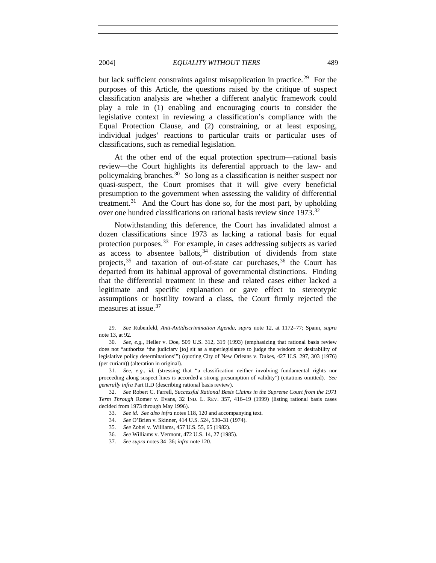but lack sufficient constraints against misapplication in practice.<sup>[29](#page-8-0)</sup> For the purposes of this Article, the questions raised by the critique of suspect classification analysis are whether a different analytic framework could play a role in (1) enabling and encouraging courts to consider the legislative context in reviewing a classification's compliance with the Equal Protection Clause, and (2) constraining, or at least exposing, individual judges' reactions to particular traits or particular uses of classifications, such as remedial legislation.

At the other end of the equal protection spectrum—rational basis review—the Court highlights its deferential approach to the law- and policymaking branches.<sup>[30](#page-8-1)</sup> So long as a classification is neither suspect nor quasi-suspect, the Court promises that it will give every beneficial presumption to the government when assessing the validity of differential treatment.<sup>[31](#page-8-2)</sup> And the Court has done so, for the most part, by upholding over one hundred classifications on rational basis review since 1973.<sup>[32](#page-8-3)</sup>

Notwithstanding this deference, the Court has invalidated almost a dozen classifications since 1973 as lacking a rational basis for equal protection purposes.[33](#page-8-4) For example, in cases addressing subjects as varied as access to absentee ballots,  $34$  distribution of dividends from state projects,  $35$  and taxation of out-of-state car purchases,  $36$  the Court has departed from its habitual approval of governmental distinctions. Finding that the differential treatment in these and related cases either lacked a legitimate and specific explanation or gave effect to stereotypic assumptions or hostility toward a class, the Court firmly rejected the measures at issue.<sup>[37](#page-8-8)</sup>

<span id="page-8-0"></span><sup>29.</sup> *See* Rubenfeld, *Anti-Antidiscrimination Agenda*, *supra* note 12, at 1172–77; Spann, *supra*  note 13, at 92.

<span id="page-8-1"></span><sup>30.</sup> *See, e.g.*, Heller v. Doe, 509 U.S. 312, 319 (1993) (emphasizing that rational basis review does not "authorize 'the judiciary [to] sit as a superlegislature to judge the wisdom or desirability of legislative policy determinations'") (quoting City of New Orleans v. Dukes, 427 U.S. 297, 303 (1976) (per curiam)) (alteration in original).

<span id="page-8-2"></span><sup>31.</sup> *See, e.g.*, *id.* (stressing that "a classification neither involving fundamental rights nor proceeding along suspect lines is accorded a strong presumption of validity") (citations omitted). *See generally infra* Part II.D (describing rational basis review).

<span id="page-8-7"></span><span id="page-8-6"></span><span id="page-8-5"></span><span id="page-8-4"></span><span id="page-8-3"></span><sup>32.</sup> *See* Robert C. Farrell, *Successful Rational Basis Claims in the Supreme Court from the 1971 Term Through* Romer v. Evans, 32 IND. L. REV. 357, 416–19 (1999) (listing rational basis cases decided from 1973 through May 1996).

<sup>33.</sup> *See id. See also infra* notes 118, 120 and accompanying text.

<sup>34.</sup> *See* O'Brien v. Skinner, 414 U.S. 524, 530–31 (1974).

<sup>35.</sup> *See* Zobel v. Williams, 457 U.S. 55, 65 (1982).

<sup>36.</sup> *See* Williams v. Vermont, 472 U.S. 14, 27 (1985).

<span id="page-8-8"></span><sup>37.</sup> *See supra* notes 34–36; *infra* note 120.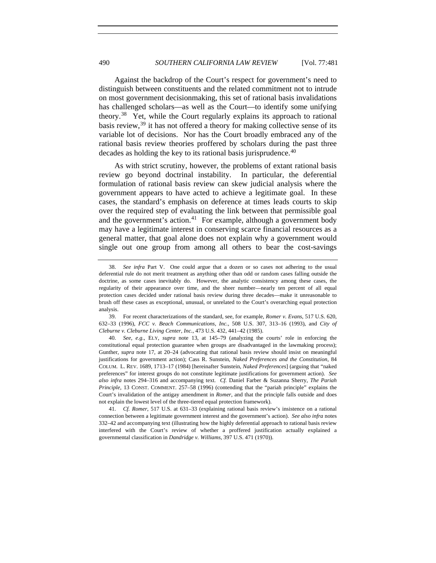Against the backdrop of the Court's respect for government's need to distinguish between constituents and the related commitment not to intrude on most government decisionmaking, this set of rational basis invalidations has challenged scholars—as well as the Court—to identify some unifying theory.[38](#page-9-0) Yet, while the Court regularly explains its approach to rational basis review,  $39$  it has not offered a theory for making collective sense of its variable lot of decisions. Nor has the Court broadly embraced any of the rational basis review theories proffered by scholars during the past three decades as holding the key to its rational basis jurisprudence.<sup>[40](#page-9-2)</sup>

As with strict scrutiny, however, the problems of extant rational basis review go beyond doctrinal instability. In particular, the deferential formulation of rational basis review can skew judicial analysis where the government appears to have acted to achieve a legitimate goal. In these cases, the standard's emphasis on deference at times leads courts to skip over the required step of evaluating the link between that permissible goal and the government's action. $41$  For example, although a government body may have a legitimate interest in conserving scarce financial resources as a general matter, that goal alone does not explain why a government would single out one group from among all others to bear the cost-savings

<span id="page-9-0"></span><sup>38.</sup> *See infra* Part V. One could argue that a dozen or so cases not adhering to the usual deferential rule do not merit treatment as anything other than odd or random cases falling outside the doctrine, as some cases inevitably do. However, the analytic consistency among these cases, the regularity of their appearance over time, and the sheer number—nearly ten percent of all equal protection cases decided under rational basis review during three decades—make it unreasonable to brush off these cases as exceptional, unusual, or unrelated to the Court's overarching equal protection analysis.

<span id="page-9-1"></span><sup>39.</sup> For recent characterizations of the standard, see, for example, *Romer v. Evans*, 517 U.S. 620, 632–33 (1996), *FCC v. Beach Communications, Inc.*, 508 U.S. 307, 313–16 (1993), and *City of Cleburne v. Cleburne Living Center, Inc.*, 473 U.S. 432, 441–42 (1985).

<span id="page-9-2"></span><sup>40.</sup> *See, e.g.*, ELY, *supra* note 13, at 145–79 (analyzing the courts' role in enforcing the constitutional equal protection guarantee when groups are disadvantaged in the lawmaking process); Gunther, *supra* note 17, at 20–24 (advocating that rational basis review should insist on meaningful justifications for government action); Cass R. Sunstein, *Naked Preferences and the Constitution*, 84 COLUM. L. REV. 1689, 1713–17 (1984) [hereinafter Sunstein, *Naked Preferences*] (arguing that "naked preferences" for interest groups do not constitute legitimate justifications for government action). *See also infra* notes 294–316 and accompanying text. *Cf.* Daniel Farber & Suzanna Sherry, *The Pariah Principle*, 13 CONST. COMMENT. 257–58 (1996) (contending that the "pariah principle" explains the Court's invalidation of the antigay amendment in *Romer*, and that the principle falls outside and does not explain the lowest level of the three-tiered equal protection framework).

<span id="page-9-3"></span><sup>41.</sup> *Cf. Romer*, 517 U.S. at 631–33 (explaining rational basis review's insistence on a rational connection between a legitimate government interest and the government's action). *See also infra* notes 332–42 and accompanying text (illustrating how the highly deferential approach to rational basis review interfered with the Court's review of whether a proffered justification actually explained a governmental classification in *Dandridge v. Williams*, 397 U.S. 471 (1970)).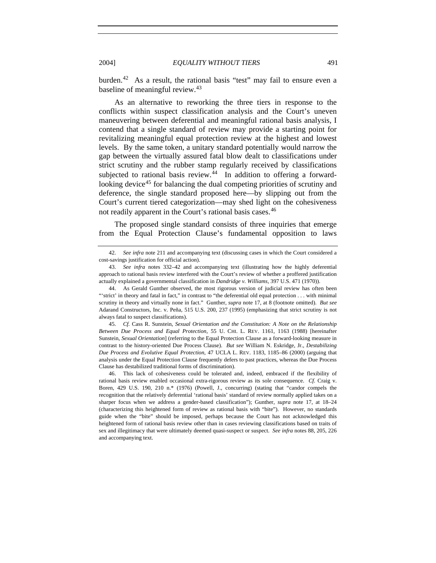burden.<sup>[42](#page-10-0)</sup> As a result, the rational basis "test" may fail to ensure even a baseline of meaningful review.<sup>[43](#page-10-1)</sup>

As an alternative to reworking the three tiers in response to the conflicts within suspect classification analysis and the Court's uneven maneuvering between deferential and meaningful rational basis analysis, I contend that a single standard of review may provide a starting point for revitalizing meaningful equal protection review at the highest and lowest levels. By the same token, a unitary standard potentially would narrow the gap between the virtually assured fatal blow dealt to classifications under strict scrutiny and the rubber stamp regularly received by classifications subjected to rational basis review.<sup>[44](#page-10-2)</sup> In addition to offering a forward-looking device<sup>[45](#page-10-3)</sup> for balancing the dual competing priorities of scrutiny and deference, the single standard proposed here—by slipping out from the Court's current tiered categorization—may shed light on the cohesiveness not readily apparent in the Court's rational basis cases.<sup>[46](#page-10-4)</sup>

The proposed single standard consists of three inquiries that emerge from the Equal Protection Clause's fundamental opposition to laws

<span id="page-10-3"></span>45. *Cf.* Cass R. Sunstein, *Sexual Orientation and the Constitution: A Note on the Relationship Between Due Process and Equal Protection*, 55 U. CHI. L. REV. 1161, 1163 (1988) [hereinafter Sunstein, *Sexual Orientation*] (referring to the Equal Protection Clause as a forward-looking measure in contrast to the history-oriented Due Process Clause). *But see* William N. Eskridge, Jr., *Destabilizing Due Process and Evolutive Equal Protection*, 47 UCLA L. REV. 1183, 1185–86 (2000) (arguing that analysis under the Equal Protection Clause frequently defers to past practices, whereas the Due Process Clause has destabilized traditional forms of discrimination).

<span id="page-10-4"></span> 46. This lack of cohesiveness could be tolerated and, indeed, embraced if the flexibility of rational basis review enabled occasional extra-rigorous review as its sole consequence. *Cf.* Craig v. Boren, 429 U.S. 190, 210 n.\* (1976) (Powell, J., concurring) (stating that "candor compels the recognition that the relatively deferential 'rational basis' standard of review normally applied takes on a sharper focus when we address a gender-based classification"); Gunther, *supra* note 17, at 18–24 (characterizing this heightened form of review as rational basis with "bite"). However, no standards guide when the "bite" should be imposed, perhaps because the Court has not acknowledged this heightened form of rational basis review other than in cases reviewing classifications based on traits of sex and illegitimacy that were ultimately deemed quasi-suspect or suspect. *See infra* notes 88, 205, 226 and accompanying text.

<span id="page-10-0"></span><sup>42.</sup> *See infra* note 211 and accompanying text (discussing cases in which the Court considered a cost-savings justification for official action).

<span id="page-10-1"></span><sup>43.</sup> *See infra* notes 332–42 and accompanying text (illustrating how the highly deferential approach to rational basis review interfered with the Court's review of whether a proffered justification actually explained a governmental classification in *Dandridge v. Williams*, 397 U.S. 471 (1970)).

<span id="page-10-2"></span> <sup>44.</sup> As Gerald Gunther observed, the most rigorous version of judicial review has often been "'strict' in theory and fatal in fact," in contrast to "the deferential old equal protection . . . with minimal scrutiny in theory and virtually none in fact." Gunther, *supra* note 17, at 8 (footnote omitted). *But see*  Adarand Constructors, Inc. v. Peña, 515 U.S. 200, 237 (1995) (emphasizing that strict scrutiny is not always fatal to suspect classifications).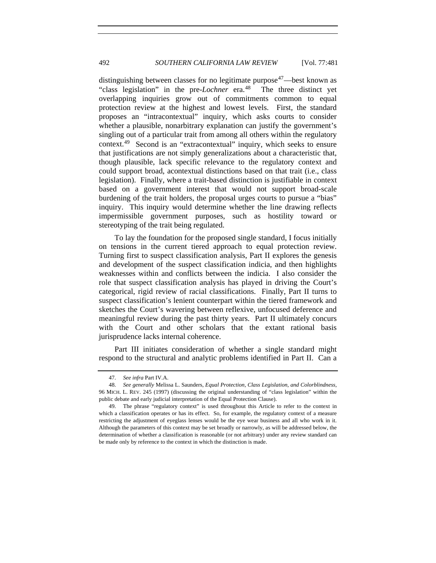distinguishing between classes for no legitimate purpose<sup>[47](#page-11-0)</sup>—best known as "class legislation" in the pre-*Lochner* era.<sup>[48](#page-11-1)</sup> The three distinct yet overlapping inquiries grow out of commitments common to equal protection review at the highest and lowest levels. First, the standard proposes an "intracontextual" inquiry, which asks courts to consider whether a plausible, nonarbitrary explanation can justify the government's singling out of a particular trait from among all others within the regulatory context.[49](#page-11-2) Second is an "extracontextual" inquiry, which seeks to ensure that justifications are not simply generalizations about a characteristic that, though plausible, lack specific relevance to the regulatory context and could support broad, acontextual distinctions based on that trait (i.e., class legislation). Finally, where a trait-based distinction is justifiable in context based on a government interest that would not support broad-scale burdening of the trait holders, the proposal urges courts to pursue a "bias" inquiry. This inquiry would determine whether the line drawing reflects impermissible government purposes, such as hostility toward or stereotyping of the trait being regulated.

To lay the foundation for the proposed single standard, I focus initially on tensions in the current tiered approach to equal protection review. Turning first to suspect classification analysis, Part II explores the genesis and development of the suspect classification indicia, and then highlights weaknesses within and conflicts between the indicia. I also consider the role that suspect classification analysis has played in driving the Court's categorical, rigid review of racial classifications. Finally, Part II turns to suspect classification's lenient counterpart within the tiered framework and sketches the Court's wavering between reflexive, unfocused deference and meaningful review during the past thirty years. Part II ultimately concurs with the Court and other scholars that the extant rational basis jurisprudence lacks internal coherence.

Part III initiates consideration of whether a single standard might respond to the structural and analytic problems identified in Part II. Can a

<sup>47.</sup> *See infra* Part IV.A.

<span id="page-11-1"></span><span id="page-11-0"></span><sup>48.</sup> *See generally* Melissa L. Saunders, *Equal Protection, Class Legislation, and Colorblindness*, 96 MICH. L. REV. 245 (1997) (discussing the original understanding of "class legislation" within the public debate and early judicial interpretation of the Equal Protection Clause).

<span id="page-11-2"></span> <sup>49.</sup> The phrase "regulatory context" is used throughout this Article to refer to the context in which a classification operates or has its effect. So, for example, the regulatory context of a measure restricting the adjustment of eyeglass lenses would be the eye wear business and all who work in it. Although the parameters of this context may be set broadly or narrowly, as will be addressed below, the determination of whether a classification is reasonable (or not arbitrary) under any review standard can be made only by reference to the context in which the distinction is made.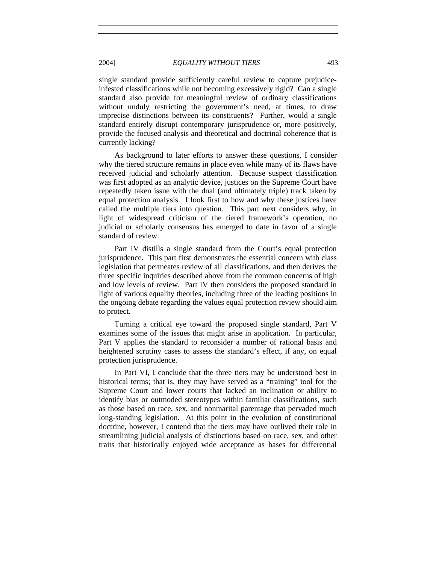single standard provide sufficiently careful review to capture prejudiceinfested classifications while not becoming excessively rigid? Can a single standard also provide for meaningful review of ordinary classifications without unduly restricting the government's need, at times, to draw imprecise distinctions between its constituents? Further, would a single standard entirely disrupt contemporary jurisprudence or, more positively, provide the focused analysis and theoretical and doctrinal coherence that is currently lacking?

As background to later efforts to answer these questions, I consider why the tiered structure remains in place even while many of its flaws have received judicial and scholarly attention. Because suspect classification was first adopted as an analytic device, justices on the Supreme Court have repeatedly taken issue with the dual (and ultimately triple) track taken by equal protection analysis. I look first to how and why these justices have called the multiple tiers into question. This part next considers why, in light of widespread criticism of the tiered framework's operation, no judicial or scholarly consensus has emerged to date in favor of a single standard of review.

Part IV distills a single standard from the Court's equal protection jurisprudence. This part first demonstrates the essential concern with class legislation that permeates review of all classifications, and then derives the three specific inquiries described above from the common concerns of high and low levels of review. Part IV then considers the proposed standard in light of various equality theories, including three of the leading positions in the ongoing debate regarding the values equal protection review should aim to protect.

Turning a critical eye toward the proposed single standard, Part V examines some of the issues that might arise in application. In particular, Part V applies the standard to reconsider a number of rational basis and heightened scrutiny cases to assess the standard's effect, if any, on equal protection jurisprudence.

In Part VI, I conclude that the three tiers may be understood best in historical terms; that is, they may have served as a "training" tool for the Supreme Court and lower courts that lacked an inclination or ability to identify bias or outmoded stereotypes within familiar classifications, such as those based on race, sex, and nonmarital parentage that pervaded much long-standing legislation. At this point in the evolution of constitutional doctrine, however, I contend that the tiers may have outlived their role in streamlining judicial analysis of distinctions based on race, sex, and other traits that historically enjoyed wide acceptance as bases for differential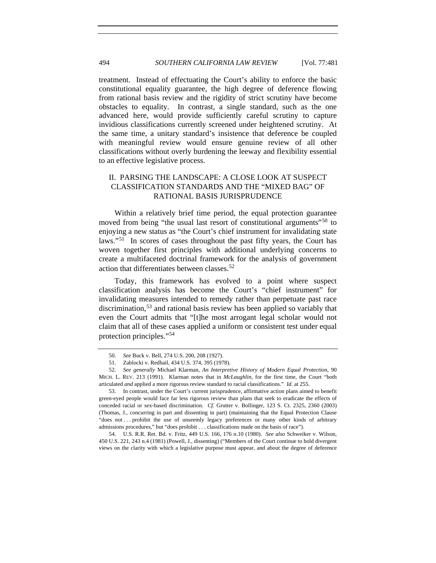treatment. Instead of effectuating the Court's ability to enforce the basic constitutional equality guarantee, the high degree of deference flowing from rational basis review and the rigidity of strict scrutiny have become obstacles to equality. In contrast, a single standard, such as the one advanced here, would provide sufficiently careful scrutiny to capture invidious classifications currently screened under heightened scrutiny. At the same time, a unitary standard's insistence that deference be coupled with meaningful review would ensure genuine review of all other classifications without overly burdening the leeway and flexibility essential to an effective legislative process.

## II. PARSING THE LANDSCAPE: A CLOSE LOOK AT SUSPECT CLASSIFICATION STANDARDS AND THE "MIXED BAG" OF RATIONAL BASIS JURISPRUDENCE

Within a relatively brief time period, the equal protection guarantee moved from being "the usual last resort of constitutional arguments"<sup>[50](#page-13-0)</sup> to enjoying a new status as "the Court's chief instrument for invalidating state laws."<sup>[51](#page-13-1)</sup> In scores of cases throughout the past fifty years, the Court has woven together first principles with additional underlying concerns to create a multifaceted doctrinal framework for the analysis of government action that differentiates between classes.<sup>[52](#page-13-2)</sup>

Today, this framework has evolved to a point where suspect classification analysis has become the Court's "chief instrument" for invalidating measures intended to remedy rather than perpetuate past race discrimination,[53](#page-13-3) and rational basis review has been applied so variably that even the Court admits that "[t]he most arrogant legal scholar would not claim that all of these cases applied a uniform or consistent test under equal protection principles."[54](#page-13-4)

<span id="page-13-4"></span> 54. U.S. R.R. Ret. Bd. v. Fritz, 449 U.S. 166, 176 n.10 (1980). *See also* Schweiker v. Wilson, 450 U.S. 221, 243 n.4 (1981) (Powell, J., dissenting) ("Members of the Court continue to hold divergent views on the clarity with which a legislative purpose must appear, and about the degree of deference

<sup>50.</sup> *See* Buck v. Bell, 274 U.S. 200, 208 (1927).

 <sup>51.</sup> Zablocki v. Redhail, 434 U.S. 374, 395 (1978).

<span id="page-13-2"></span><span id="page-13-1"></span><span id="page-13-0"></span><sup>52.</sup> *See generally* Michael Klarman, *An Interpretive History of Modern Equal Protection*, 90 MICH. L. REV. 213 (1991). Klarman notes that in *McLaughlin*, for the first time, the Court "both articulated *and* applied a more rigorous review standard to racial classifications." *Id.* at 255.

<span id="page-13-3"></span> <sup>53.</sup> In contrast, under the Court's current jurisprudence, affirmative action plans aimed to benefit green-eyed people would face far less rigorous review than plans that seek to eradicate the effects of conceded racial or sex-based discrimination. *Cf.* Grutter v. Bollinger, 123 S. Ct. 2325, 2360 (2003) (Thomas, J., concurring in part and dissenting in part) (maintaining that the Equal Protection Clause "does not . . . prohibit the use of unseemly legacy preferences or many other kinds of arbitrary admissions procedures," but "does prohibit . . . classifications made on the basis of race").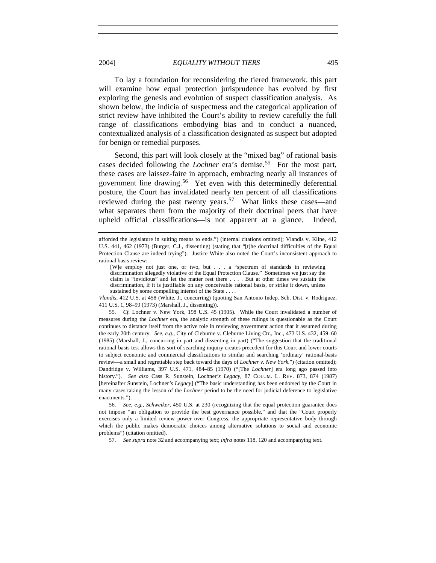To lay a foundation for reconsidering the tiered framework, this part will examine how equal protection jurisprudence has evolved by first exploring the genesis and evolution of suspect classification analysis. As shown below, the indicia of suspectness and the categorical application of strict review have inhibited the Court's ability to review carefully the full range of classifications embodying bias and to conduct a nuanced, contextualized analysis of a classification designated as suspect but adopted for benign or remedial purposes.

Second, this part will look closely at the "mixed bag" of rational basis cases decided following the *Lochner* era's demise.<sup>[55](#page-14-0)</sup> For the most part, these cases are laissez-faire in approach, embracing nearly all instances of government line drawing.[56](#page-14-1) Yet even with this determinedly deferential posture, the Court has invalidated nearly ten percent of all classifications reviewed during the past twenty years.<sup>[57](#page-14-2)</sup> What links these cases—and what separates them from the majority of their doctrinal peers that have upheld official classifications—is not apparent at a glance. Indeed,

*Vlandis*, 412 U.S. at 458 (White, J., concurring) (quoting San Antonio Indep. Sch. Dist. v. Rodriguez, 411 U.S. 1, 98–99 (1973) (Marshall, J., dissenting)).

<span id="page-14-0"></span>55. *Cf.* Lochner v. New York, 198 U.S. 45 (1905). While the Court invalidated a number of measures during the *Lochner* era, the analytic strength of these rulings is questionable as the Court continues to distance itself from the active role in reviewing government action that it assumed during the early 20th century. *See, e.g.*, City of Cleburne v. Cleburne Living Ctr., Inc., 473 U.S. 432, 459–60 (1985) (Marshall, J., concurring in part and dissenting in part) ("The suggestion that the traditional rational-basis test allows this sort of searching inquiry creates precedent for this Court and lower courts to subject economic and commercial classifications to similar and searching 'ordinary' rational-basis review—a small and regrettable step back toward the days of *Lochner v. New York*.") (citation omitted); Dandridge v. Williams, 397 U.S. 471, 484–85 (1970) ("[The *Lochner*] era long ago passed into history."). *See also* Cass R. Sunstein, Lochner*'s Legacy*, 87 COLUM. L. REV. 873, 874 (1987) [hereinafter Sunstein, Lochner*'s Legacy*] ("The basic understanding has been endorsed by the Court in many cases taking the lesson of the *Lochner* period to be the need for judicial deference to legislative enactments.").

<span id="page-14-2"></span><span id="page-14-1"></span>56. *See, e.g.*, *Schweiker*, 450 U.S. at 230 (recognizing that the equal protection guarantee does not impose "an obligation to provide the best governance possible," and that the "Court properly exercises only a limited review power over Congress, the appropriate representative body through which the public makes democratic choices among alternative solutions to social and economic problems") (citation omitted).

57. *See supra* note 32 and accompanying text; *infra* notes 118, 120 and accompanying text.

afforded the legislature in suiting means to ends.") (internal citations omitted); Vlandis v. Kline, 412 U.S. 441, 462 (1973) (Burger, C.J., dissenting) (stating that "[t]he doctrinal difficulties of the Equal Protection Clause are indeed trying"). Justice White also noted the Court's inconsistent approach to rational basis review:

<sup>[</sup>W]e employ not just one, or two, but . . . a "spectrum of standards in reviewing discrimination allegedly violative of the Equal Protection Clause." Sometimes we just say the claim is "invidious" and let the matter rest there . . . . But at other times we sustain the discrimination, if it is justifiable on any conceivable rational basis, or strike it down, unless sustained by some compelling interest of the State . . . .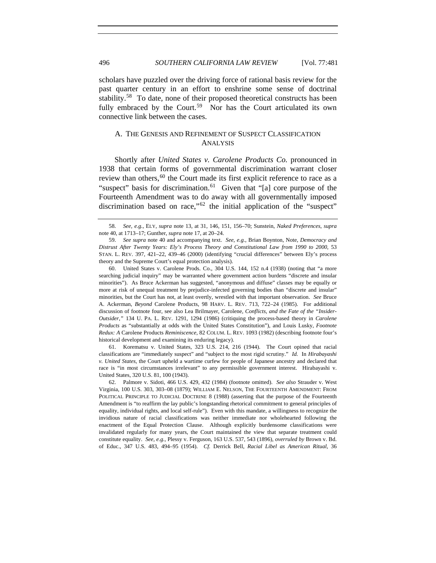scholars have puzzled over the driving force of rational basis review for the past quarter century in an effort to enshrine some sense of doctrinal stability.<sup>[58](#page-15-0)</sup> To date, none of their proposed theoretical constructs has been fully embraced by the Court.<sup>[59](#page-15-1)</sup> Nor has the Court articulated its own connective link between the cases.

## A. THE GENESIS AND REFINEMENT OF SUSPECT CLASSIFICATION ANALYSIS

Shortly after *United States v. Carolene Products Co.* pronounced in 1938 that certain forms of governmental discrimination warrant closer review than others,  $60$  the Court made its first explicit reference to race as a "suspect" basis for discrimination.<sup>[61](#page-15-3)</sup> Given that "[a] core purpose of the Fourteenth Amendment was to do away with all governmentally imposed discrimination based on race,"<sup>[62](#page-15-4)</sup> the initial application of the "suspect"

<span id="page-15-3"></span> 61. Korematsu v. United States, 323 U.S. 214, 216 (1944). The Court opined that racial classifications are "immediately suspect" and "subject to the most rigid scrutiny." *Id.* In *Hirabayashi v. United States*, the Court upheld a wartime curfew for people of Japanese ancestry and declared that race is "in most circumstances irrelevant" to any permissible government interest. Hirabayashi v. United States, 320 U.S. 81, 100 (1943).

<span id="page-15-0"></span><sup>58.</sup> *See, e.g.*, ELY, *supra* note 13, at 31, 146, 151, 156–70; Sunstein, *Naked Preferences*, *supra*  note 40, at 1713–17; Gunther, *supra* note 17, at 20–24.

<span id="page-15-1"></span><sup>59.</sup> *See supra* note 40 and accompanying text. *See, e.g.*, Brian Boynton, Note, *Democracy and Distrust After Twenty Years: Ely's Process Theory and Constitutional Law from 1990 to 2000*, 53 STAN. L. REV. 397, 421–22, 439–46 (2000) (identifying "crucial differences" between Ely's process theory and the Supreme Court's equal protection analysis).

<span id="page-15-2"></span> <sup>60.</sup> United States v. Carolene Prods. Co., 304 U.S. 144, 152 n.4 (1938) (noting that "a more searching judicial inquiry" may be warranted where government action burdens "discrete and insular minorities"). As Bruce Ackerman has suggested, "anonymous and diffuse" classes may be equally or more at risk of unequal treatment by prejudice-infected governing bodies than "discrete and insular" minorities, but the Court has not, at least overtly, wrestled with that important observation. *See* Bruce A. Ackerman, *Beyond* Carolene Products, 98 HARV. L. REV. 713, 722–24 (1985). For additional discussion of footnote four, see also Lea Brilmayer, Carolene*, Conflicts, and the Fate of the "Insider-Outsider*,*"* 134 U. PA. L. REV. 1291, 1294 (1986) (critiquing the process-based theory in *Carolene Products* as "substantially at odds with the United States Constitution"), and Louis Lusky, *Footnote Redux: A* Carolene Products *Reminiscence*, 82 COLUM. L. REV. 1093 (1982) (describing footnote four's historical development and examining its enduring legacy).

<span id="page-15-4"></span> <sup>62.</sup> Palmore v. Sidoti, 466 U.S. 429, 432 (1984) (footnote omitted). *See also* Strauder v. West Virginia, 100 U.S. 303, 303–08 (1879); WILLIAM E. NELSON, THE FOURTEENTH AMENDMENT: FROM POLITICAL PRINCIPLE TO JUDICIAL DOCTRINE 8 (1988) (asserting that the purpose of the Fourteenth Amendment is "to reaffirm the lay public's longstanding rhetorical commitment to general principles of equality, individual rights, and local self-rule"). Even with this mandate, a willingness to recognize the invidious nature of racial classifications was neither immediate nor wholehearted following the enactment of the Equal Protection Clause. Although explicitly burdensome classifications were invalidated regularly for many years, the Court maintained the view that separate treatment could constitute equality. *See, e.g.*, Plessy v. Ferguson, 163 U.S. 537, 543 (1896), *overruled by* Brown v. Bd. of Educ., 347 U.S. 483, 494–95 (1954). *Cf.* Derrick Bell, *Racial Libel as American Ritual*, 36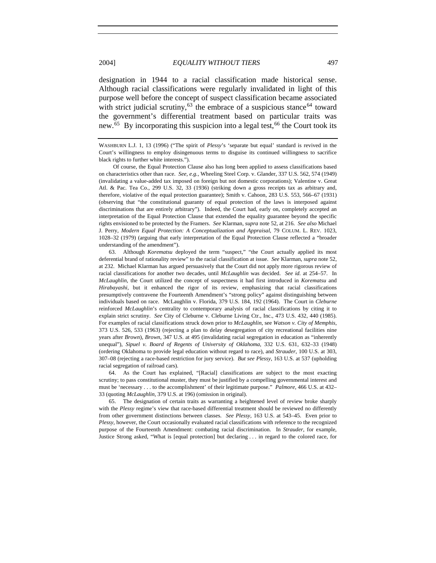2004] *EQUALITY WITHOUT TIERS* 497

designation in 1944 to a racial classification made historical sense. Although racial classifications were regularly invalidated in light of this

purpose well before the concept of suspect classification became associated with strict judicial scrutiny,  $63$  the embrace of a suspicious stance  $64$  toward the government's differential treatment based on particular traits was new.<sup>[65](#page-16-2)</sup> By incorporating this suspicion into a legal test,  $66$  the Court took its

<span id="page-16-3"></span>Of course, the Equal Protection Clause also has long been applied to assess classifications based on characteristics other than race. *See, e.g.*, Wheeling Steel Corp. v. Glander, 337 U.S. 562, 574 (1949) (invalidating a value-added tax imposed on foreign but not domestic corporations); Valentine v. Great Atl. & Pac. Tea Co., 299 U.S. 32, 33 (1936) (striking down a gross receipts tax as arbitrary and, therefore, violative of the equal protection guarantee); Smith v. Cahoon, 283 U.S. 553, 566–67 (1931) (observing that "the constitutional guaranty of equal protection of the laws is interposed against discriminations that are entirely arbitrary"). Indeed, the Court had, early on, completely accepted an interpretation of the Equal Protection Clause that extended the equality guarantee beyond the specific rights envisioned to be protected by the Framers. *See* Klarman, *supra* note 52, at 216. *See also* Michael J. Perry, *Modern Equal Protection: A Conceptualization and Appraisal*, 79 COLUM. L. REV. 1023, 1028–32 (1979) (arguing that early interpretation of the Equal Protection Clause reflected a "broader understanding of the amendment").

<span id="page-16-0"></span> 63. Although *Korematsu* deployed the term "suspect," "the Court actually applied its most deferential brand of rationality review" to the racial classification at issue. *See* Klarman, *supra* note 52, at 232. Michael Klarman has argued persuasively that the Court did not apply more rigorous review of racial classifications for another two decades, until *McLaughlin* was decided. *See id.* at 254–57. In *McLaughlin*, the Court utilized the concept of suspectness it had first introduced in *Korematsu* and *Hirabayashi*, but it enhanced the rigor of its review, emphasizing that racial classifications presumptively contravene the Fourteenth Amendment's "strong policy" against distinguishing between individuals based on race. McLaughlin v. Florida, 379 U.S. 184, 192 (1964). The Court in *Cleburne*  reinforced *McLaughlin*'s centrality to contemporary analysis of racial classifications by citing it to explain strict scrutiny. *See* City of Cleburne v. Cleburne Living Ctr., Inc., 473 U.S. 432, 440 (1985). For examples of racial classifications struck down prior to *McLaughlin*, see *Watson v. City of Memphis*, 373 U.S. 526, 533 (1963) (rejecting a plan to delay desegregation of city recreational facilities nine years after *Brown*), *Brown*, 347 U.S. at 495 (invalidating racial segregation in education as "inherently unequal"), *Sipuel v. Board of Regents of University of Oklahoma*, 332 U.S. 631, 632–33 (1948) (ordering Oklahoma to provide legal education without regard to race), and *Strauder*, 100 U.S. at 303, 307–08 (rejecting a race-based restriction for jury service). *But see Plessy*, 163 U.S. at 537 (upholding racial segregation of railroad cars).

<span id="page-16-1"></span> 64. As the Court has explained, "[Racial] classifications are subject to the most exacting scrutiny; to pass constitutional muster, they must be justified by a compelling governmental interest and must be 'necessary . . . to the accomplishment' of their legitimate purpose." *Palmore*, 466 U.S. at 432– 33 (quoting *McLaughlin*, 379 U.S. at 196) (omission in original).

<span id="page-16-2"></span> 65. The designation of certain traits as warranting a heightened level of review broke sharply with the *Plessy* regime's view that race-based differential treatment should be reviewed no differently from other government distinctions between classes. *See Plessy*, 163 U.S. at 543–45. Even prior to *Plessy*, however, the Court occasionally evaluated racial classifications with reference to the recognized purpose of the Fourteenth Amendment: combating racial discrimination. In *Strauder*, for example, Justice Strong asked, "What is [equal protection] but declaring . . . in regard to the colored race, for

WASHBURN L.J. 1, 13 (1996) ("The spirit of *Plessy*'s 'separate but equal' standard is revived in the Court's willingness to employ disingenuous terms to disguise its continued willingness to sacrifice black rights to further white interests.").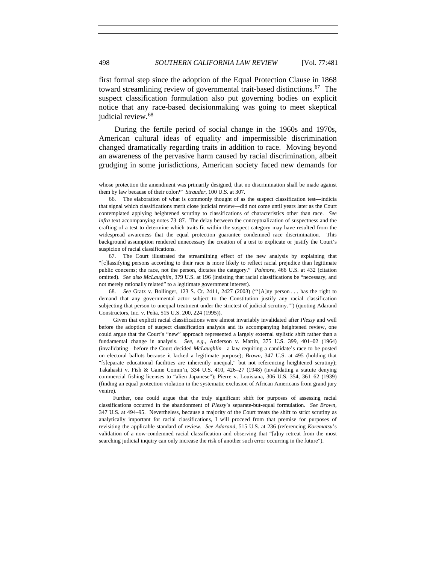first formal step since the adoption of the Equal Protection Clause in 1868 toward streamlining review of governmental trait-based distinctions.<sup>[67](#page-17-0)</sup> The suspect classification formulation also put governing bodies on explicit notice that any race-based decisionmaking was going to meet skeptical judicial review.<sup>[68](#page-17-1)</sup>

During the fertile period of social change in the 1960s and 1970s, American cultural ideas of equality and impermissible discrimination changed dramatically regarding traits in addition to race. Moving beyond an awareness of the pervasive harm caused by racial discrimination, albeit grudging in some jurisdictions, American society faced new demands for

<span id="page-17-0"></span> 67. The Court illustrated the streamlining effect of the new analysis by explaining that "[c]lassifying persons according to their race is more likely to reflect racial prejudice than legitimate public concerns; the race, not the person, dictates the category." *Palmore*, 466 U.S. at 432 (citation omitted). *See also McLaughlin*, 379 U.S. at 196 (insisting that racial classifications be "necessary, and not merely rationally related" to a legitimate government interest).

<span id="page-17-1"></span>68. *See* Gratz v. Bollinger, 123 S. Ct. 2411, 2427 (2003) ("'[A]ny person . . . has the right to demand that any governmental actor subject to the Constitution justify any racial classification subjecting that person to unequal treatment under the strictest of judicial scrutiny.'") (quoting Adarand Constructors, Inc. v. Peña, 515 U.S. 200, 224 (1995)).

Given that explicit racial classifications were almost invariably invalidated after *Plessy* and well before the adoption of suspect classification analysis and its accompanying heightened review, one could argue that the Court's "new" approach represented a largely external stylistic shift rather than a fundamental change in analysis. *See, e.g.*, Anderson v. Martin, 375 U.S. 399, 401–02 (1964) (invalidating—before the Court decided *McLaughlin*—a law requiring a candidate's race to be posted on electoral ballots because it lacked a legitimate purpose); *Brown*, 347 U.S. at 495 (holding that "[s]eparate educational facilities are inherently unequal," but not referencing heightened scrutiny); Takahashi v. Fish & Game Comm'n, 334 U.S. 410, 426–27 (1948) (invalidating a statute denying commercial fishing licenses to "alien Japanese"); Pierre v. Louisiana, 306 U.S. 354, 361–62 (1939) (finding an equal protection violation in the systematic exclusion of African Americans from grand jury venire).

Further, one could argue that the truly significant shift for purposes of assessing racial classifications occurred in the abandonment of *Plessy*'s separate-but-equal formulation. *See Brown*, 347 U.S. at 494–95. Nevertheless, because a majority of the Court treats the shift to strict scrutiny as analytically important for racial classifications, I will proceed from that premise for purposes of revisiting the applicable standard of review. *See Adarand*, 515 U.S. at 236 (referencing *Korematsu*'s validation of a now-condemned racial classification and observing that "[a]ny retreat from the most searching judicial inquiry can only increase the risk of another such error occurring in the future").

whose protection the amendment was primarily designed, that no discrimination shall be made against them by law because of their color?" *Strauder*, 100 U.S. at 307.

 <sup>66.</sup> The elaboration of what is commonly thought of as the suspect classification test—indicia that signal which classifications merit close judicial review—did not come until years later as the Court contemplated applying heightened scrutiny to classifications of characteristics other than race. *See infra* text accompanying notes 73–87. The delay between the conceptualization of suspectness and the crafting of a test to determine which traits fit within the suspect category may have resulted from the widespread awareness that the equal protection guarantee condemned race discrimination. This background assumption rendered unnecessary the creation of a test to explicate or justify the Court's suspicion of racial classifications.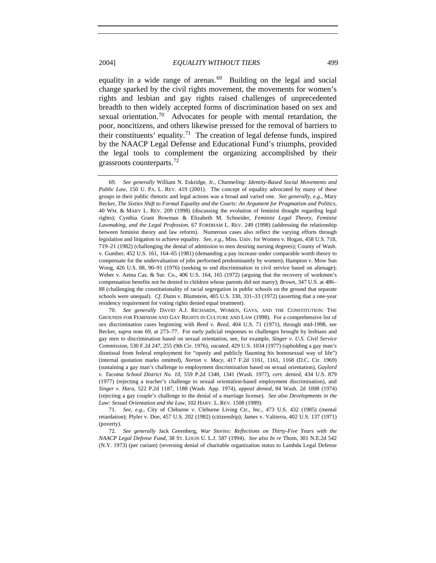equality in a wide range of arenas.<sup>[69](#page-18-0)</sup> Building on the legal and social change sparked by the civil rights movement, the movements for women's rights and lesbian and gay rights raised challenges of unprecedented breadth to then widely accepted forms of discrimination based on sex and sexual orientation.<sup>[70](#page-18-1)</sup> Advocates for people with mental retardation, the poor, noncitizens, and others likewise pressed for the removal of barriers to their constituents' equality.<sup>[71](#page-18-2)</sup> The creation of legal defense funds, inspired by the NAACP Legal Defense and Educational Fund's triumphs, provided the legal tools to complement the organizing accomplished by their grassroots counterparts.<sup>[72](#page-18-3)</sup>

<span id="page-18-0"></span><sup>69.</sup> *See generally* William N. Eskridge, Jr., *Channeling: Identity-Based Social Movements and Public Law*, 150 U. PA. L. REV. 419 (2001). The concept of equality advocated by many of these groups in their public rhetoric and legal actions was a broad and varied one. *See generally, e.g.*, Mary Becker, *The Sixties Shift to Formal Equality and the Courts: An Argument for Pragmatism and Politics*, 40 WM. & MARY L. REV. 209 (1998) (discussing the evolution of feminist thought regarding legal rights); Cynthia Grant Bowman & Elizabeth M. Schneider, *Feminist Legal Theory, Feminist Lawmaking, and the Legal Profession*, 67 FORDHAM L. REV. 249 (1998) (addressing the relationship between feminist theory and law reform). Numerous cases also reflect the varying efforts through legislation and litigation to achieve equality. *See, e.g.*, Miss. Univ. for Women v. Hogan, 458 U.S. 718, 719–21 (1982) (challenging the denial of admission to men desiring nursing degrees); County of Wash. v. Gunther, 452 U.S. 161, 164–65 (1981) (demanding a pay increase under comparable worth theory to compensate for the undervaluation of jobs performed predominantly by women); Hampton v. Mow Sun Wong, 426 U.S. 88, 90–91 (1976) (seeking to end discrimination in civil service based on alienage); Weber v. Aetna Cas. & Sur. Co., 406 U.S. 164, 165 (1972) (arguing that the recovery of workmen's compensation benefits not be denied to children whose parents did not marry); *Brown*, 347 U.S. at 486– 88 (challenging the constitutionality of racial segregation in public schools on the ground that separate schools were unequal). *Cf.* Dunn v. Blumstein, 405 U.S. 330, 331–33 (1972) (asserting that a one-year residency requirement for voting rights denied equal treatment).

<span id="page-18-1"></span><sup>70.</sup> *See generally* DAVID A.J. RICHARDS, WOMEN, GAYS, AND THE CONSTITUTION: THE GROUNDS FOR FEMINISM AND GAY RIGHTS IN CULTURE AND LAW (1998). For a comprehensive list of sex discrimination cases beginning with *Reed v. Reed*, 404 U.S. 71 (1971), through mid-1998, see Becker, *supra* note 69, at 273–77. For early judicial responses to challenges brought by lesbians and gay men to discrimination based on sexual orientation, see, for example, *Singer v. U.S. Civil Service Commission*, 530 F.2d 247, 255 (9th Cir. 1976), *vacated*, 429 U.S. 1034 (1977) (upholding a gay man's dismissal from federal employment for "openly and publicly flaunting his homosexual way of life") (internal quotation marks omitted), *Norton v. Macy*, 417 F.2d 1161, 1161, 1168 (D.C. Cir. 1969) (sustaining a gay man's challenge to employment discrimination based on sexual orientation), *Gaylord v. Tacoma School District No. 10*, 559 P.2d 1340, 1341 (Wash. 1977), *cert. denied*, 434 U.S. 879 (1977) (rejecting a teacher's challenge to sexual orientation-based employment discrimination), and *Singer v. Hara*, 522 P.2d 1187, 1188 (Wash. App. 1974), *appeal denied*, 84 Wash. 2d 1008 (1974) (rejecting a gay couple's challenge to the denial of a marriage license). *See also Developments in the Law: Sexual Orientation and the Law*, 102 HARV. L. REV. 1508 (1989).

<span id="page-18-2"></span><sup>71.</sup> *See, e.g.*, City of Cleburne v. Cleburne Living Ctr., Inc., 473 U.S. 432 (1985) (mental retardation); Plyler v. Doe, 457 U.S. 202 (1982) (citizenship); James v. Valtierra, 402 U.S. 137 (1971) (poverty).

<span id="page-18-3"></span><sup>72.</sup> *See generally* Jack Greenberg, *War Stories: Reflections on Thirty-Five Years with the NAACP Legal Defense Fund*, 38 ST. LOUIS U. L.J. 587 (1994). *See also In re* Thom, 301 N.E.2d 542 (N.Y. 1973) (per curiam) (reversing denial of charitable organization status to Lambda Legal Defense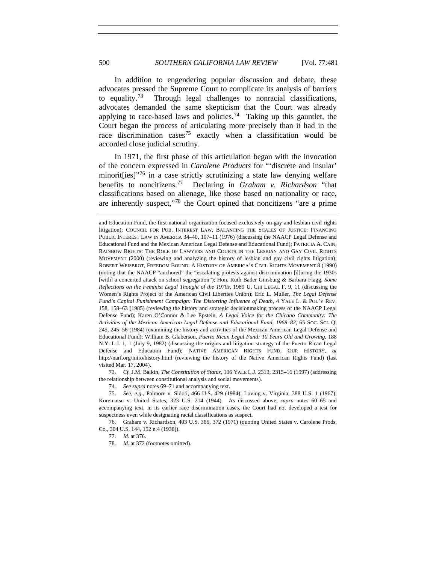In addition to engendering popular discussion and debate, these advocates pressed the Supreme Court to complicate its analysis of barriers to equality.<sup>[73](#page-19-0)</sup> Through legal challenges to nonracial classifications, advocates demanded the same skepticism that the Court was already applying to race-based laws and policies.<sup>[74](#page-19-1)</sup> Taking up this gauntlet, the Court began the process of articulating more precisely than it had in the race discrimination cases<sup>[75](#page-19-2)</sup> exactly when a classification would be accorded close judicial scrutiny.

In 1971, the first phase of this articulation began with the invocation of the concern expressed in *Carolene Products* for "'discrete and insular' minorit ies] $1776$  $1776$  in a case strictly scrutinizing a state law denying welfare benefits to noncitizens.[77](#page-19-4) Declaring in *Graham v. Richardson* "that classifications based on alienage, like those based on nationality or race, are inherently suspect,"[78](#page-19-5) the Court opined that noncitizens "are a prime

<span id="page-19-0"></span>73. *Cf.* J.M. Balkin, *The Constitution of Status*, 106 YALE L.J. 2313, 2315–16 (1997) (addressing the relationship between constitutional analysis and social movements).

<span id="page-19-5"></span><span id="page-19-4"></span><span id="page-19-3"></span> 76. Graham v. Richardson, 403 U.S. 365, 372 (1971) (quoting United States v. Carolene Prods. Co., 304 U.S. 144, 152 n.4 (1938)).

and Education Fund, the first national organization focused exclusively on gay and lesbian civil rights litigation); COUNCIL FOR PUB. INTEREST LAW, BALANCING THE SCALES OF JUSTICE: FINANCING PUBLIC INTEREST LAW IN AMERICA 34–40, 107–11 (1976) (discussing the NAACP Legal Defense and Educational Fund and the Mexican American Legal Defense and Educational Fund); PATRICIA A. CAIN, RAINBOW RIGHTS: THE ROLE OF LAWYERS AND COURTS IN THE LESBIAN AND GAY CIVIL RIGHTS MOVEMENT (2000) (reviewing and analyzing the history of lesbian and gay civil rights litigation); ROBERT WEISBROT, FREEDOM BOUND: A HISTORY OF AMERICA'S CIVIL RIGHTS MOVEMENT 8 (1990) (noting that the NAACP "anchored" the "escalating protests against discrimination [d]uring the 1930s [with] a concerted attack on school segregation"); Hon. Ruth Bader Ginsburg & Barbara Flagg, *Some Reflections on the Feminist Legal Thought of the 1970s*, 1989 U. CHI LEGAL F. 9, 11 (discussing the Women's Rights Project of the American Civil Liberties Union); Eric L. Muller, *The Legal Defense Fund's Capital Punishment Campaign: The Distorting Influence of Death*, 4 YALE L. & POL'Y REV. 158, 158–63 (1985) (reviewing the history and strategic decisionmaking process of the NAACP Legal Defense Fund); Karen O'Connor & Lee Epstein, *A Legal Voice for the Chicano Community: The Activities of the Mexican American Legal Defense and Educational Fund, 1968–82*, 65 SOC. SCI. Q. 245, 245–56 (1984) (examining the history and activities of the Mexican American Legal Defense and Educational Fund); William B. Glaberson, *Puerto Rican Legal Fund: 10 Years Old and Growing*, 188 N.Y. L.J. 1, 1 (July 9, 1982) (discussing the origins and litigation strategy of the Puerto Rican Legal Defense and Education Fund); NATIVE AMERICAN RIGHTS FUND, OUR HISTORY, *at* <http://narf.org/intro/history.html>(reviewing the history of the Native American Rights Fund) (last visited Mar. 17, 2004).

<sup>74.</sup> *See supra* notes 69–71 and accompanying text.

<span id="page-19-2"></span><span id="page-19-1"></span><sup>75.</sup> *See, e.g.*, Palmore v. Sidoti, 466 U.S. 429 (1984); Loving v. Virginia, 388 U.S. 1 (1967); Korematsu v. United States, 323 U.S. 214 (1944). As discussed above, *supra* notes 60–65 and accompanying text, in its earlier race discrimination cases, the Court had not developed a test for suspectness even while designating racial classifications as suspect.

<sup>77.</sup> *Id.* at 376.

<sup>78.</sup> *Id.* at 372 (footnotes omitted).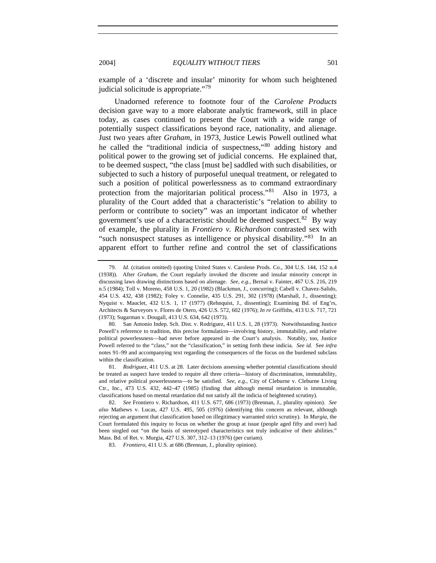example of a 'discrete and insular' minority for whom such heightened judicial solicitude is appropriate."[79](#page-20-0)

Unadorned reference to footnote four of the *Carolene Products*  decision gave way to a more elaborate analytic framework, still in place today, as cases continued to present the Court with a wide range of potentially suspect classifications beyond race, nationality, and alienage. Just two years after *Graham*, in 1973, Justice Lewis Powell outlined what he called the "traditional indicia of suspectness,"[80](#page-20-1) adding history and political power to the growing set of judicial concerns. He explained that, to be deemed suspect, "the class [must be] saddled with such disabilities, or subjected to such a history of purposeful unequal treatment, or relegated to such a position of political powerlessness as to command extraordinary protection from the majoritarian political process."[81](#page-20-2) Also in 1973, a plurality of the Court added that a characteristic's "relation to ability to perform or contribute to society" was an important indicator of whether government's use of a characteristic should be deemed suspect. $82$  By way of example, the plurality in *Frontiero v. Richardson* contrasted sex with "such nonsuspect statuses as intelligence or physical disability."<sup>[83](#page-20-4)</sup> In an apparent effort to further refine and control the set of classifications

<span id="page-20-0"></span><sup>79.</sup> *Id.* (citation omitted) (quoting United States v. Carolene Prods. Co., 304 U.S. 144, 152 n.4 (1938)). After *Graham*, the Court regularly invoked the discrete and insular minority concept in discussing laws drawing distinctions based on alienage. *See, e.g.*, Bernal v. Fainter, 467 U.S. 216, 219 n.5 (1984); Toll v. Moreno, 458 U.S. 1, 20 (1982) (Blackmun, J., concurring); Cabell v. Chavez-Salido, 454 U.S. 432, 438 (1982); Foley v. Connelie, 435 U.S. 291, 302 (1978) (Marshall, J., dissenting); Nyquist v. Mauclet, 432 U.S. 1, 17 (1977) (Rehnquist, J., dissenting); Examining Bd. of Eng'rs, Architects & Surveyors v. Flores de Otero, 426 U.S. 572, 602 (1976); *In re* Griffiths, 413 U.S. 717, 721 (1973); Sugarman v. Dougall, 413 U.S. 634, 642 (1973).

<span id="page-20-1"></span> <sup>80.</sup> San Antonio Indep. Sch. Dist. v. Rodriguez, 411 U.S. 1, 28 (1973). Notwithstanding Justice Powell's reference to tradition, this precise formulation—involving history, immutability, and relative political powerlessness—had never before appeared in the Court's analysis. Notably, too, Justice Powell referred to the "class," not the "classification," in setting forth these indicia. *See id.* See *infra*  notes 91–99 and accompanying text regarding the consequences of the focus on the burdened subclass within the classification.

<span id="page-20-2"></span><sup>81.</sup> *Rodriguez*, 411 U.S. at 28. Later decisions assessing whether potential classifications should be treated as suspect have tended to require all three criteria—history of discrimination, immutability, and relative political powerlessness—to be satisfied. *See, e.g.*, City of Cleburne v. Cleburne Living Ctr., Inc., 473 U.S. 432, 442–47 (1985) (finding that although mental retardation is immutable, classifications based on mental retardation did not satisfy all the indicia of heightened scrutiny).

<span id="page-20-4"></span><span id="page-20-3"></span><sup>82.</sup> *See* Frontiero v. Richardson, 411 U.S. 677, 686 (1973) (Brennan, J., plurality opinion). *See also* Mathews v. Lucas, 427 U.S. 495, 505 (1976) (identifying this concern as relevant, although rejecting an argument that classification based on illegitimacy warranted strict scrutiny). In *Murgia*, the Court formulated this inquiry to focus on whether the group at issue (people aged fifty and over) had been singled out "on the basis of stereotyped characteristics not truly indicative of their abilities." Mass. Bd. of Ret. v. Murgia, 427 U.S. 307, 312–13 (1976) (per curiam).

<sup>83.</sup> *Frontiero*, 411 U.S. at 686 (Brennan, J., plurality opinion).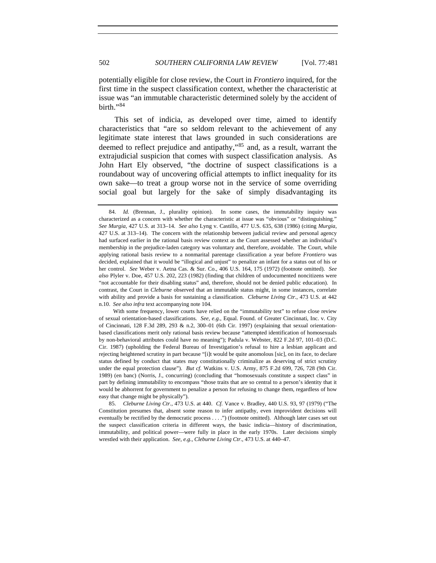potentially eligible for close review, the Court in *Frontiero* inquired, for the first time in the suspect classification context, whether the characteristic at issue was "an immutable characteristic determined solely by the accident of birth."[84](#page-21-0)

This set of indicia, as developed over time, aimed to identify characteristics that "are so seldom relevant to the achievement of any legitimate state interest that laws grounded in such considerations are deemed to reflect prejudice and antipathy,"<sup>[85](#page-21-1)</sup> and, as a result, warrant the extrajudicial suspicion that comes with suspect classification analysis. As John Hart Ely observed, "the doctrine of suspect classifications is a roundabout way of uncovering official attempts to inflict inequality for its own sake—to treat a group worse not in the service of some overriding social goal but largely for the sake of simply disadvantaging its

With some frequency, lower courts have relied on the "immutability test" to refuse close review of sexual orientation-based classifications. *See, e.g.*, Equal. Found. of Greater Cincinnati, Inc. v. City of Cincinnati, 128 F.3d 289, 293 & n.2, 300–01 (6th Cir. 1997) (explaining that sexual orientationbased classifications merit only rational basis review because "attempted identification of homosexuals by non-behavioral attributes could have no meaning"); Padula v. Webster, 822 F.2d 97, 101–03 (D.C. Cir. 1987) (upholding the Federal Bureau of Investigation's refusal to hire a lesbian applicant and rejecting heightened scrutiny in part because "[i]t would be quite anomolous [sic], on its face, to declare status defined by conduct that states may constitutionally criminalize as deserving of strict scrutiny under the equal protection clause"). *But cf.* Watkins v. U.S. Army, 875 F.2d 699, 726, 728 (9th Cir. 1989) (en banc) (Norris, J., concurring) (concluding that "homosexuals constitute a suspect class" in part by defining immutability to encompass "those traits that are so central to a person's identity that it would be abhorrent for government to penalize a person for refusing to change them, regardless of how easy that change might be physically").

<span id="page-21-1"></span>85. *Cleburne Living Ctr.*, 473 U.S. at 440. *Cf.* Vance v. Bradley, 440 U.S. 93, 97 (1979) ("The Constitution presumes that, absent some reason to infer antipathy, even improvident decisions will eventually be rectified by the democratic process . . . .") (footnote omitted). Although later cases set out the suspect classification criteria in different ways, the basic indicia—history of discrimination, immutability, and political power—were fully in place in the early 1970s. Later decisions simply wrestled with their application. *See, e.g.*, *Cleburne Living Ctr.*, 473 U.S. at 440–47.

<span id="page-21-0"></span><sup>84.</sup> *Id.* (Brennan, J., plurality opinion). In some cases, the immutability inquiry was characterized as a concern with whether the characteristic at issue was "obvious" or "distinguishing." *See Murgia*, 427 U.S. at 313–14. *See also* Lyng v. Castillo, 477 U.S. 635, 638 (1986) (citing *Murgia*, 427 U.S. at 313–14). The concern with the relationship between judicial review and personal agency had surfaced earlier in the rational basis review context as the Court assessed whether an individual's membership in the prejudice-laden category was voluntary and, therefore, avoidable. The Court, while applying rational basis review to a nonmarital parentage classification a year before *Frontiero* was decided, explained that it would be "illogical and unjust" to penalize an infant for a status out of his or her control. *See* Weber v. Aetna Cas. & Sur. Co., 406 U.S. 164, 175 (1972) (footnote omitted). *See also* Plyler v. Doe, 457 U.S. 202, 223 (1982) (finding that children of undocumented noncitizens were "not accountable for their disabling status" and, therefore, should not be denied public education). In contrast, the Court in *Cleburne* observed that an immutable status might, in some instances, correlate with ability and provide a basis for sustaining a classification. *Cleburne Living Ctr.*, 473 U.S. at 442 n.10. *See also infra* text accompanying note 104.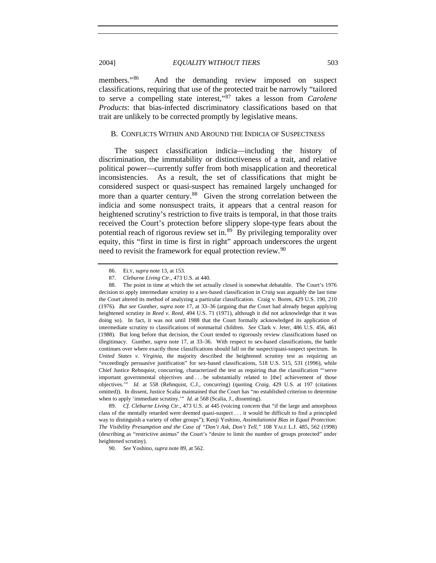members."<sup>[86](#page-22-0)</sup> And the demanding review imposed on suspect classifications, requiring that use of the protected trait be narrowly "tailored to serve a compelling state interest,"[87](#page-22-1) takes a lesson from *Carolene Products*: that bias-infected discriminatory classifications based on that trait are unlikely to be corrected promptly by legislative means.

#### B. CONFLICTS WITHIN AND AROUND THE INDICIA OF SUSPECTNESS

The suspect classification indicia—including the history of discrimination, the immutability or distinctiveness of a trait, and relative political power—currently suffer from both misapplication and theoretical inconsistencies. As a result, the set of classifications that might be considered suspect or quasi-suspect has remained largely unchanged for more than a quarter century.<sup>[88](#page-22-2)</sup> Given the strong correlation between the indicia and some nonsuspect traits, it appears that a central reason for heightened scrutiny's restriction to five traits is temporal, in that those traits received the Court's protection before slippery slope-type fears about the potential reach of rigorous review set in.<sup>[89](#page-22-3)</sup> By privileging temporality over equity, this "first in time is first in right" approach underscores the urgent need to revisit the framework for equal protection review.<sup>[90](#page-22-4)</sup>

<span id="page-22-4"></span><span id="page-22-3"></span>89. *Cf. Cleburne Living Ctr.*, 473 U.S. at 445 (voicing concern that "if the large and amorphous class of the mentally retarded were deemed quasi-suspect . . . it would be difficult to find a principled way to distinguish a variety of other groups"); Kenji Yoshino, *Assimilationist Bias in Equal Protection: The Visibility Presumption and the Case of "Don't Ask, Don't Tell*,*"* 108 YALE L.J. 485, 562 (1998) (describing as "restrictive animus" the Court's "desire to limit the number of groups protected" under heightened scrutiny).

90. *See* Yoshino, *supra* note 89, at 562.

 <sup>86.</sup> ELY, *supra* note 13, at 153.

<sup>87.</sup> *Cleburne Living Ctr.*, 473 U.S. at 440.

<span id="page-22-2"></span><span id="page-22-1"></span><span id="page-22-0"></span> <sup>88.</sup> The point in time at which the set actually closed is somewhat debatable. The Court's 1976 decision to apply intermediate scrutiny to a sex-based classification in *Craig* was arguably the last time the Court altered its method of analyzing a particular classification. Craig v. Boren, 429 U.S. 190, 210 (1976). *But see* Gunther, *supra* note 17, at 33–36 (arguing that the Court had already begun applying heightened scrutiny in *Reed v. Reed*, 494 U.S. 71 (1971), although it did not acknowledge that it was doing so). In fact, it was not until 1988 that the Court formally acknowledged its application of intermediate scrutiny to classifications of nonmarital children. *See* Clark v. Jeter, 486 U.S. 456, 461 (1988). But long before that decision, the Court tended to rigorously review classifications based on illegitimacy. Gunther, *supra* note 17, at 33–36. With respect to sex-based classifications, the battle continues over where exactly those classifications should fall on the suspect/quasi-suspect spectrum. In *United States v. Virginia*, the majority described the heightened scrutiny test as requiring an "exceedingly persuasive justification" for sex-based classifications, 518 U.S. 515, 531 (1996), while Chief Justice Rehnquist, concurring, characterized the test as requiring that the classification "'serve important governmental objectives and . . . be substantially related to [the] achievement of those objectives.'" *Id.* at 558 (Rehnquist, C.J., concurring) (quoting *Craig*, 429 U.S. at 197 (citations omitted)). In dissent, Justice Scalia maintained that the Court has "no established criterion to determine when to apply 'immediate scrutiny.'" *Id.* at 568 (Scalia, J., dissenting).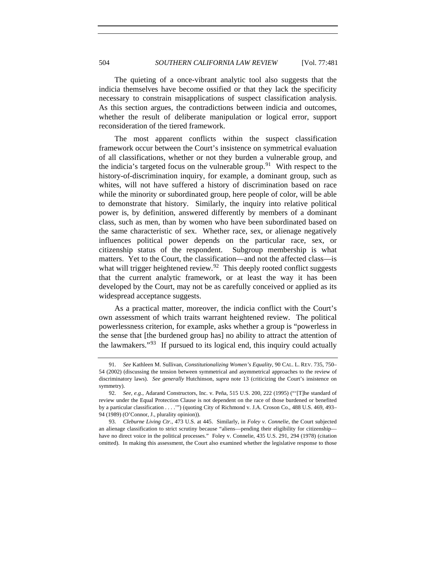The quieting of a once-vibrant analytic tool also suggests that the indicia themselves have become ossified or that they lack the specificity necessary to constrain misapplications of suspect classification analysis. As this section argues, the contradictions between indicia and outcomes, whether the result of deliberate manipulation or logical error, support reconsideration of the tiered framework.

 The most apparent conflicts within the suspect classification framework occur between the Court's insistence on symmetrical evaluation of all classifications, whether or not they burden a vulnerable group, and the indicia's targeted focus on the vulnerable group.<sup>[91](#page-23-0)</sup> With respect to the history-of-discrimination inquiry, for example, a dominant group, such as whites, will not have suffered a history of discrimination based on race while the minority or subordinated group, here people of color, will be able to demonstrate that history. Similarly, the inquiry into relative political power is, by definition, answered differently by members of a dominant class, such as men, than by women who have been subordinated based on the same characteristic of sex. Whether race, sex, or alienage negatively influences political power depends on the particular race, sex, or citizenship status of the respondent. Subgroup membership is what matters. Yet to the Court, the classification—and not the affected class—is what will trigger heightened review.<sup>[92](#page-23-1)</sup> This deeply rooted conflict suggests that the current analytic framework, or at least the way it has been developed by the Court, may not be as carefully conceived or applied as its widespread acceptance suggests.

As a practical matter, moreover, the indicia conflict with the Court's own assessment of which traits warrant heightened review. The political powerlessness criterion, for example, asks whether a group is "powerless in the sense that [the burdened group has] no ability to attract the attention of the lawmakers."<sup>[93](#page-23-2)</sup> If pursued to its logical end, this inquiry could actually

<span id="page-23-0"></span><sup>91.</sup> *See* Kathleen M. Sullivan, *Constitutionalizing Women's Equality*, 90 CAL. L. REV. 735, 750– 54 (2002) (discussing the tension between symmetrical and asymmetrical approaches to the review of discriminatory laws). *See generally* Hutchinson, *supra* note 13 (criticizing the Court's insistence on symmetry).

<span id="page-23-1"></span><sup>92.</sup> *See, e.g.*, Adarand Constructors, Inc. v. Peña, 515 U.S. 200, 222 (1995) ("'[T]he standard of review under the Equal Protection Clause is not dependent on the race of those burdened or benefited by a particular classification . . . .'") (quoting City of Richmond v. J.A. Croson Co., 488 U.S. 469, 493– 94 (1989) (O'Connor, J., plurality opinion)).

<span id="page-23-2"></span><sup>93.</sup> *Cleburne Living Ctr.*, 473 U.S. at 445. Similarly, in *Foley v. Connelie*, the Court subjected an alienage classification to strict scrutiny because "aliens—pending their eligibility for citizenship have no direct voice in the political processes." Foley v. Connelie, 435 U.S. 291, 294 (1978) (citation omitted). In making this assessment, the Court also examined whether the legislative response to those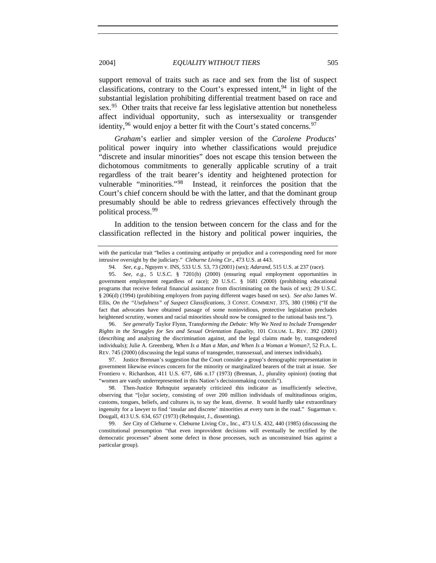2004] *EQUALITY WITHOUT TIERS* 505

support removal of traits such as race and sex from the list of suspect classifications, contrary to the Court's expressed intent,  $94$  in light of the substantial legislation prohibiting differential treatment based on race and sex.<sup>[95](#page-24-1)</sup> Other traits that receive far less legislative attention but nonetheless affect individual opportunity, such as intersexuality or transgender identity,  $96$  would enjoy a better fit with the Court's stated concerns.  $97$ 

*Graham*'s earlier and simpler version of the *Carolene Products*' political power inquiry into whether classifications would prejudice "discrete and insular minorities" does not escape this tension between the dichotomous commitments to generally applicable scrutiny of a trait regardless of the trait bearer's identity and heightened protection for vulnerable "minorities."[98](#page-24-4) Instead, it reinforces the position that the Court's chief concern should be with the latter, and that the dominant group presumably should be able to redress grievances effectively through the political process.[99](#page-24-5)

In addition to the tension between concern for the class and for the classification reflected in the history and political power inquiries, the

<span id="page-24-2"></span>96. *See generally* Taylor Flynn, Trans*forming the Debate: Why We Need to Include Transgender Rights in the Struggles for Sex and Sexual Orientation Equality*, 101 COLUM. L. REV. 392 (2001) (describing and analyzing the discrimination against, and the legal claims made by, transgendered individuals); Julie A. Greenberg, *When Is a Man a Man, and When Is a Woman a Woman?*, 52 FLA. L. REV. 745 (2000) (discussing the legal status of transgender, transsexual, and intersex individuals).

<span id="page-24-3"></span> 97. Justice Brennan's suggestion that the Court consider a group's demographic representation in government likewise evinces concern for the minority or marginalized bearers of the trait at issue. *See*  Frontiero v. Richardson, 411 U.S. 677, 686 n.17 (1973) (Brennan, J., plurality opinion) (noting that "women are vastly underrepresented in this Nation's decisionmaking councils").

<span id="page-24-4"></span> 98. Then-Justice Rehnquist separately criticized this indicator as insufficiently selective, observing that "[o]ur society, consisting of over 200 million individuals of multitudinous origins, customs, tongues, beliefs, and cultures is, to say the least, diverse. It would hardly take extraordinary ingenuity for a lawyer to find 'insular and discrete' minorities at every turn in the road." Sugarman v. Dougall, 413 U.S. 634, 657 (1973) (Rehnquist, J., dissenting).

<span id="page-24-5"></span>99. *See* City of Cleburne v. Cleburne Living Ctr., Inc., 473 U.S. 432, 440 (1985) (discussing the constitutional presumption "that even improvident decisions will eventually be rectified by the democratic processes" absent some defect in those processes, such as unconstrained bias against a particular group).

with the particular trait "belies a continuing antipathy or prejudice and a corresponding need for more intrusive oversight by the judiciary." *Cleburne Living Ctr.*, 473 U.S. at 443.

<sup>94.</sup> *See, e.g.*, Nguyen v. INS, 533 U.S. 53, 73 (2001) (sex); *Adarand*, 515 U.S. at 237 (race).

<span id="page-24-1"></span><span id="page-24-0"></span><sup>95.</sup> *See, e.g.*, 5 U.S.C. § 7201(b) (2000) (ensuring equal employment opportunities in government employment regardless of race); 20 U.S.C. § 1681 (2000) (prohibiting educational programs that receive federal financial assistance from discriminating on the basis of sex); 29 U.S.C. § 206(d) (1994) (prohibiting employers from paying different wages based on sex). *See also* James W. Ellis, *On the "Usefulness" of Suspect Classifications*, 3 CONST. COMMENT. 375, 380 (1986) ("If the fact that advocates have obtained passage of some noninvidious, protective legislation precludes heightened scrutiny, women and racial minorities should now be consigned to the rational basis test.").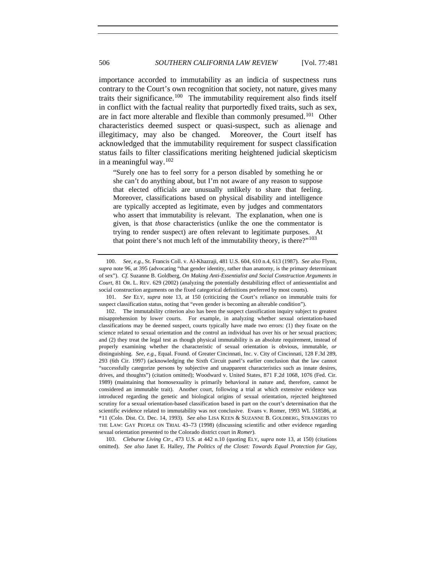importance accorded to immutability as an indicia of suspectness runs contrary to the Court's own recognition that society, not nature, gives many traits their significance.<sup>[100](#page-25-0)</sup> The immutability requirement also finds itself in conflict with the factual reality that purportedly fixed traits, such as sex, are in fact more alterable and flexible than commonly presumed.<sup>[101](#page-25-1)</sup> Other characteristics deemed suspect or quasi-suspect, such as alienage and illegitimacy, may also be changed. Moreover, the Court itself has acknowledged that the immutability requirement for suspect classification status fails to filter classifications meriting heightened judicial skepticism in a meaningful way.  $102$ 

"Surely one has to feel sorry for a person disabled by something he or she can't do anything about, but I'm not aware of any reason to suppose that elected officials are unusually unlikely to share that feeling. Moreover, classifications based on physical disability and intelligence are typically accepted as legitimate, even by judges and commentators who assert that immutability is relevant. The explanation, when one is given, is that *those* characteristics (unlike the one the commentator is trying to render suspect) are often relevant to legitimate purposes. At that point there's not much left of the immutability theory, is there?"<sup>[103](#page-25-3)</sup>

<span id="page-25-1"></span>101. *See* ELY, *supra* note 13, at 150 (criticizing the Court's reliance on immutable traits for suspect classification status, noting that "even gender is becoming an alterable condition").

<span id="page-25-2"></span> 102. The immutability criterion also has been the suspect classification inquiry subject to greatest misapprehension by lower courts. For example, in analyzing whether sexual orientation-based classifications may be deemed suspect, courts typically have made two errors: (1) they fixate on the science related to sexual orientation and the control an individual has over his or her sexual practices; and (2) they treat the legal test as though physical immutability is an absolute requirement, instead of properly examining whether the characteristic of sexual orientation is obvious, immutable, *or*  distinguishing. *See, e.g.*, Equal. Found. of Greater Cincinnati, Inc. v. City of Cincinnati, 128 F.3d 289, 293 (6th Cir. 1997) (acknowledging the Sixth Circuit panel's earlier conclusion that the law cannot "successfully categorize persons by subjective and unapparent characteristics such as innate desires, drives, and thoughts") (citation omitted); Woodward v. United States, 871 F.2d 1068, 1076 (Fed. Cir. 1989) (maintaining that homosexuality is primarily behavioral in nature and, therefore, cannot be considered an immutable trait). Another court, following a trial at which extensive evidence was introduced regarding the genetic and biological origins of sexual orientation, rejected heightened scrutiny for a sexual orientation-based classification based in part on the court's determination that the scientific evidence related to immutability was not conclusive. Evans v. Romer, 1993 WL 518586, at \*11 (Colo. Dist. Ct. Dec. 14, 1993). *See also* LISA KEEN & SUZANNE B. GOLDBERG, STRANGERS TO THE LAW: GAY PEOPLE ON TRIAL 43–73 (1998) (discussing scientific and other evidence regarding sexual orientation presented to the Colorado district court in *Romer*).

<span id="page-25-3"></span>103. *Cleburne Living Ctr.*, 473 U.S. at 442 n.10 (quoting ELY, *supra* note 13, at 150) (citations omitted). *See also* Janet E. Halley, *The Politics of the Closet: Towards Equal Protection for Gay,* 

<span id="page-25-0"></span><sup>100.</sup> *See, e.g.*, St. Francis Coll. v. Al-Khazraji, 481 U.S. 604, 610 n.4, 613 (1987). *See also* Flynn, *supra* note 96, at 395 (advocating "that gender identity, rather than anatomy, is the primary determinant of sex"). *Cf.* Suzanne B. Goldberg, *On Making Anti-Essentialist and Social Construction Arguments in Court*, 81 OR. L. REV. 629 (2002) (analyzing the potentially destabilizing effect of antiessentialist and social construction arguments on the fixed categorical definitions preferred by most courts).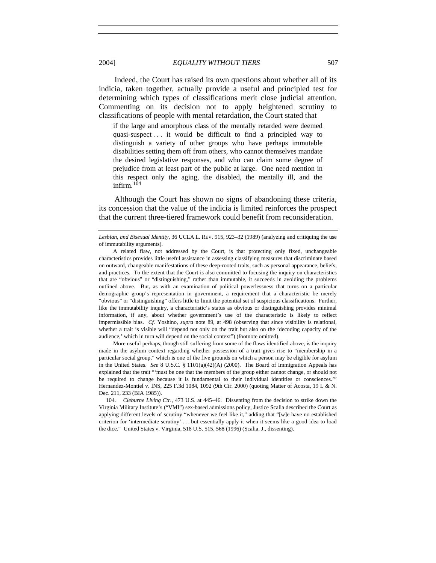2004] *EQUALITY WITHOUT TIERS* 507

Indeed, the Court has raised its own questions about whether all of its indicia, taken together, actually provide a useful and principled test for determining which types of classifications merit close judicial attention. Commenting on its decision not to apply heightened scrutiny to classifications of people with mental retardation, the Court stated that

if the large and amorphous class of the mentally retarded were deemed quasi-suspect . . . it would be difficult to find a principled way to distinguish a variety of other groups who have perhaps immutable disabilities setting them off from others, who cannot themselves mandate the desired legislative responses, and who can claim some degree of prejudice from at least part of the public at large. One need mention in this respect only the aging, the disabled, the mentally ill, and the infirm.[104](#page-26-0)

Although the Court has shown no signs of abandoning these criteria, its concession that the value of the indicia is limited reinforces the prospect that the current three-tiered framework could benefit from reconsideration.

More useful perhaps, though still suffering from some of the flaws identified above, is the inquiry made in the asylum context regarding whether possession of a trait gives rise to "membership in a particular social group," which is one of the five grounds on which a person may be eligible for asylum in the United States. *See* 8 U.S.C. § 1101(a)(42)(A) (2000). The Board of Immigration Appeals has explained that the trait "'must be one that the members of the group either cannot change, or should not be required to change because it is fundamental to their individual identities or consciences.'" Hernandez-Montiel v. INS, 225 F.3d 1084, 1092 (9th Cir. 2000) (quoting Matter of Acosta, 19 I. & N. Dec. 211, 233 (BIA 1985)).

*Lesbian, and Bisexual Identity*, 36 UCLA L. REV. 915, 923–32 (1989) (analyzing and critiquing the use of immutability arguments).

A related flaw, not addressed by the Court, is that protecting only fixed, unchangeable characteristics provides little useful assistance in assessing classifying measures that discriminate based on outward, changeable manifestations of these deep-rooted traits, such as personal appearance, beliefs, and practices. To the extent that the Court is also committed to focusing the inquiry on characteristics that are "obvious" or "distinguishing," rather than immutable, it succeeds in avoiding the problems outlined above. But, as with an examination of political powerlessness that turns on a particular demographic group's representation in government, a requirement that a characteristic be merely "obvious" or "distinguishing" offers little to limit the potential set of suspicious classifications. Further, like the immutability inquiry, a characteristic's status as obvious or distinguishing provides minimal information, if any, about whether government's use of the characteristic is likely to reflect impermissible bias. *Cf.* Yoshino, *supra* note 89, at 498 (observing that since visibility is relational, whether a trait is visible will "depend not only on the trait but also on the 'decoding capacity of the audience,' which in turn will depend on the social context") (footnote omitted).

<span id="page-26-0"></span><sup>104.</sup> *Cleburne Living Ctr.*, 473 U.S. at 445–46. Dissenting from the decision to strike down the Virginia Military Institute's ("VMI") sex-based admissions policy, Justice Scalia described the Court as applying different levels of scrutiny "whenever we feel like it," adding that "[w]e have no established criterion for 'intermediate scrutiny' . . . but essentially apply it when it seems like a good idea to load the dice." United States v. Virginia, 518 U.S. 515, 568 (1996) (Scalia, J., dissenting).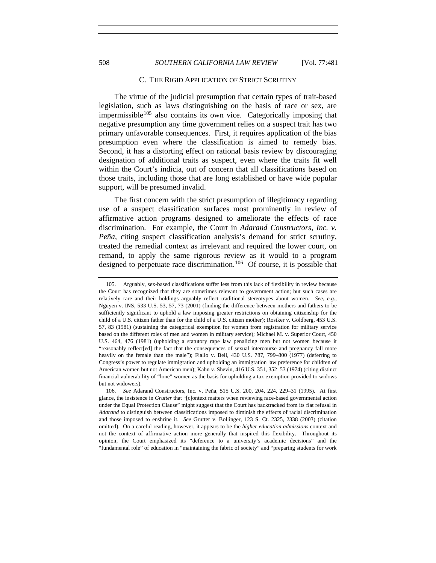## 508 *SOUTHERN CALIFORNIA LAW REVIEW* [Vol. 77:481

#### C. THE RIGID APPLICATION OF STRICT SCRUTINY

The virtue of the judicial presumption that certain types of trait-based legislation, such as laws distinguishing on the basis of race or sex, are impermissible $105$  also contains its own vice. Categorically imposing that negative presumption any time government relies on a suspect trait has two primary unfavorable consequences. First, it requires application of the bias presumption even where the classification is aimed to remedy bias. Second, it has a distorting effect on rational basis review by discouraging designation of additional traits as suspect, even where the traits fit well within the Court's indicia, out of concern that all classifications based on those traits, including those that are long established or have wide popular support, will be presumed invalid.

 The first concern with the strict presumption of illegitimacy regarding use of a suspect classification surfaces most prominently in review of affirmative action programs designed to ameliorate the effects of race discrimination. For example, the Court in *Adarand Constructors, Inc. v. Peña*, citing suspect classification analysis's demand for strict scrutiny, treated the remedial context as irrelevant and required the lower court, on remand, to apply the same rigorous review as it would to a program designed to perpetuate race discrimination.<sup>[106](#page-27-1)</sup> Of course, it is possible that

<span id="page-27-0"></span> <sup>105.</sup> Arguably, sex-based classifications suffer less from this lack of flexibility in review because the Court has recognized that they are sometimes relevant to government action; but such cases are relatively rare and their holdings arguably reflect traditional stereotypes about women. *See, e.g.*, Nguyen v. INS, 533 U.S. 53, 57, 73 (2001) (finding the difference between mothers and fathers to be sufficiently significant to uphold a law imposing greater restrictions on obtaining citizenship for the child of a U.S. citizen father than for the child of a U.S. citizen mother); Rostker v. Goldberg, 453 U.S. 57, 83 (1981) (sustaining the categorical exemption for women from registration for military service based on the different roles of men and women in military service); Michael M. v. Superior Court, 450 U.S. 464, 476 (1981) (upholding a statutory rape law penalizing men but not women because it "reasonably reflect[ed] the fact that the consequences of sexual intercourse and pregnancy fall more heavily on the female than the male"); Fiallo v. Bell, 430 U.S. 787, 799–800 (1977) (deferring to Congress's power to regulate immigration and upholding an immigration law preference for children of American women but not American men); Kahn v. Shevin, 416 U.S. 351, 352–53 (1974) (citing distinct financial vulnerability of "lone" women as the basis for upholding a tax exemption provided to widows but not widowers).

<span id="page-27-1"></span><sup>106.</sup> *See* Adarand Constructors, Inc. v. Peña, 515 U.S. 200, 204, 224, 229–31 (1995). At first glance, the insistence in *Grutter* that "[c]ontext matters when reviewing race-based governmental action under the Equal Protection Clause" might suggest that the Court has backtracked from its flat refusal in *Adarand* to distinguish between classifications imposed to diminish the effects of racial discrimination and those imposed to enshrine it. *See* Grutter v. Bollinger, 123 S. Ct. 2325, 2338 (2003) (citation omitted). On a careful reading, however, it appears to be the *higher education admissions* context and not the context of affirmative action more generally that inspired this flexibility. Throughout its opinion, the Court emphasized its "deference to a university's academic decisions" and the "fundamental role" of education in "maintaining the fabric of society" and "preparing students for work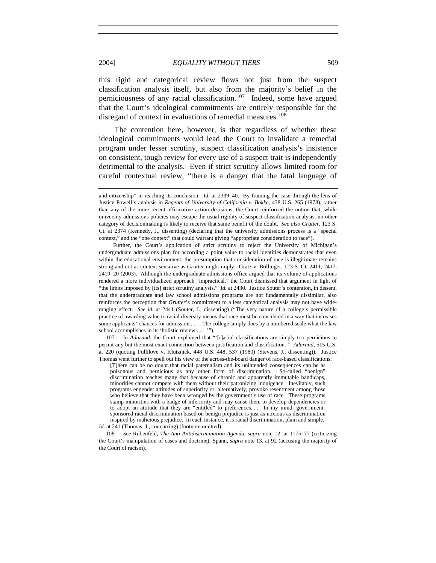this rigid and categorical review flows not just from the suspect classification analysis itself, but also from the majority's belief in the perniciousness of any racial classification.<sup>[107](#page-28-0)</sup> Indeed, some have argued that the Court's ideological commitments are entirely responsible for the disregard of context in evaluations of remedial measures.<sup>[108](#page-28-1)</sup>

The contention here, however, is that regardless of whether these ideological commitments would lead the Court to invalidate a remedial program under lesser scrutiny, suspect classification analysis's insistence on consistent, tough review for every use of a suspect trait is independently detrimental to the analysis. Even if strict scrutiny allows limited room for careful contextual review, "there is a danger that the fatal language of

Further, the Court's application of strict scrutiny to reject the University of Michigan's undergraduate admissions plan for according a point value to racial identities demonstrates that even within the educational environment, the presumption that consideration of race is illegitimate remains strong and not as context sensitive as *Grutter* might imply. Gratz v. Bollinger, 123 S. Ct. 2411, 2417, 2419–20 (2003). Although the undergraduate admissions office argued that its volume of applications rendered a more individualized approach "impractical," the Court dismissed that argument in light of "the limits imposed by [its] strict scrutiny analysis." *Id.* at 2430. Justice Souter's contention, in dissent, that the undergraduate and law school admissions programs are not fundamentally dissimilar, also reinforces the perception that *Grutter*'s commitment to a less categorical analysis may not have wideranging effect. *See id.* at 2441 (Souter, J., dissenting) ("The very nature of a college's permissible practice of awarding value to racial diversity means that race must be considered in a way that increases some applicants' chances for admission . . . . The college simply does by a numbered scale what the law school accomplishes in its 'holistic review . . . .'").

<span id="page-28-0"></span> 107. In *Adarand*, the Court explained that "'[r]acial classifications are simply too pernicious to permit any but the most exact connection between justification and classification.'" *Adarand*, 515 U.S. at 220 (quoting Fullilove v. Klutznick, 448 U.S. 448, 537 (1980) (Stevens, J., dissenting)). Justice Thomas went further to spell out his view of the across-the-board danger of race-based classifications:

[T]here can be no doubt that racial paternalism and its unintended consequences can be as poisonous and pernicious as any other form of discrimination. So-called "benign" discrimination teaches many that because of chronic and apparently immutable handicaps, minorities cannot compete with them without their patronizing indulgence. Inevitably, such programs engender attitudes of superiority or, alternatively, provoke resentment among those who believe that they have been wronged by the government's use of race. These programs stamp minorities with a badge of inferiority and may cause them to develop dependencies or to adopt an attitude that they are "entitled" to preferences. . . . In my mind, governmentsponsored racial discrimination based on benign prejudice is just as noxious as discrimination inspired by malicious prejudice. In each instance, it is racial discrimination, plain and simple.

*Id.* at 241 (Thomas, J., concurring) (footnote omitted).

<span id="page-28-1"></span>108. *See* Rubenfeld, *The Anti-Antidiscrimination Agenda*, *supra* note 12, at 1175–77 (criticizing the Court's manipulation of cases and doctrine); Spann, *supra* note 13, at 92 (accusing the majority of the Court of racism).

and citizenship" in reaching its conclusion. *Id.* at 2339–40. By framing the case through the lens of Justice Powell's analysis in *Regents of University of California v. Bakke*, 438 U.S. 265 (1978), rather than any of the more recent affirmative action decisions, the Court reinforced the notion that, while university admissions policies may escape the usual rigidity of suspect classification analysis, no other category of decisionmaking is likely to receive that same benefit of the doubt. *See also Grutter*, 123 S. Ct. at 2374 (Kennedy, J., dissenting) (declaring that the university admissions process is a "special context," and the "one context" that could warrant giving "appropriate consideration to race").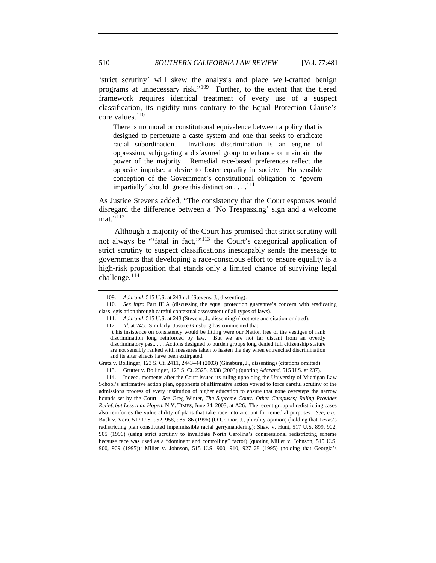'strict scrutiny' will skew the analysis and place well-crafted benign programs at unnecessary risk."<sup>[109](#page-29-0)</sup> Further, to the extent that the tiered framework requires identical treatment of every use of a suspect classification, its rigidity runs contrary to the Equal Protection Clause's core values. $110$ 

There is no moral or constitutional equivalence between a policy that is designed to perpetuate a caste system and one that seeks to eradicate racial subordination. Invidious discrimination is an engine of oppression, subjugating a disfavored group to enhance or maintain the power of the majority. Remedial race-based preferences reflect the opposite impulse: a desire to foster equality in society. No sensible conception of the Government's constitutional obligation to "govern impartially" should ignore this distinction  $\dots$ <sup>[111](#page-29-2)</sup>

As Justice Stevens added, "The consistency that the Court espouses would disregard the difference between a 'No Trespassing' sign and a welcome mat."<sup>[112](#page-29-3)</sup>

Although a majority of the Court has promised that strict scrutiny will not always be "'fatal in fact,"<sup>[113](#page-29-4)</sup> the Court's categorical application of strict scrutiny to suspect classifications inescapably sends the message to governments that developing a race-conscious effort to ensure equality is a high-risk proposition that stands only a limited chance of surviving legal challenge.<sup>[114](#page-29-5)</sup>

<span id="page-29-5"></span> 114. Indeed, moments after the Court issued its ruling upholding the University of Michigan Law School's affirmative action plan, opponents of affirmative action vowed to force careful scrutiny of the admissions process of every institution of higher education to ensure that none oversteps the narrow bounds set by the Court. *See* Greg Winter, *The Supreme Court: Other Campuses; Ruling Provides Relief, but Less than Hoped*, N.Y. TIMES, June 24, 2003, at A26. The recent group of redistricting cases also reinforces the vulnerability of plans that take race into account for remedial purposes. *See, e.g.*, Bush v. Vera, 517 U.S. 952, 958, 985–86 (1996) (O'Connor, J., plurality opinion) (holding that Texas's redistricting plan constituted impermissible racial gerrymandering); Shaw v. Hunt, 517 U.S. 899, 902, 905 (1996) (using strict scrutiny to invalidate North Carolina's congressional redistricting scheme because race was used as a "dominant and controlling" factor) (quoting Miller v. Johnson, 515 U.S. 900, 909 (1995)); Miller v. Johnson, 515 U.S. 900, 910, 927–28 (1995) (holding that Georgia's

<sup>109.</sup> *Adarand*, 515 U.S. at 243 n.1 (Stevens, J., dissenting).

<span id="page-29-3"></span><span id="page-29-2"></span><span id="page-29-1"></span><span id="page-29-0"></span><sup>110.</sup> *See infra* Part III.A (discussing the equal protection guarantee's concern with eradicating class legislation through careful contextual assessment of all types of laws).

<sup>111.</sup> *Adarand*, 515 U.S. at 243 (Stevens, J., dissenting) (footnote and citation omitted).

<sup>112.</sup> *Id.* at 245. Similarly, Justice Ginsburg has commented that

<sup>[</sup>t]his insistence on consistency would be fitting were our Nation free of the vestiges of rank discrimination long reinforced by law. But we are not far distant from an overtly discriminatory past. . . . Actions designed to burden groups long denied full citizenship stature are not sensibly ranked with measures taken to hasten the day when entrenched discrimination and its after effects have been extirpated.

<span id="page-29-4"></span>Gratz v. Bollinger, 123 S. Ct. 2411, 2443–44 (2003) (Ginsburg, J., dissenting) (citations omitted).

 <sup>113.</sup> Grutter v. Bollinger, 123 S. Ct. 2325, 2338 (2003) (quoting *Adarand*, 515 U.S. at 237).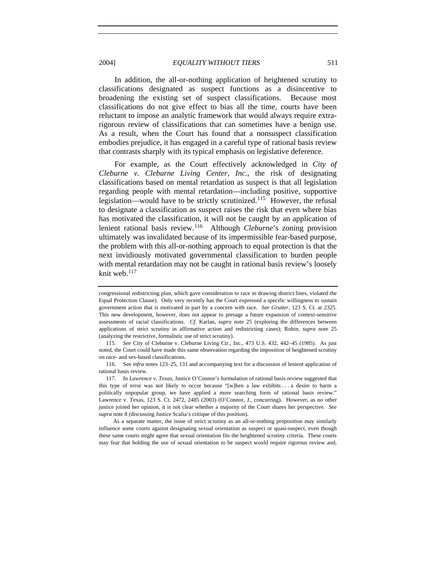2004] *EQUALITY WITHOUT TIERS* 511

In addition, the all-or-nothing application of heightened scrutiny to classifications designated as suspect functions as a disincentive to broadening the existing set of suspect classifications. Because most classifications do not give effect to bias all the time, courts have been reluctant to impose an analytic framework that would always require extrarigorous review of classifications that can sometimes have a benign use. As a result, when the Court has found that a nonsuspect classification embodies prejudice, it has engaged in a careful type of rational basis review that contrasts sharply with its typical emphasis on legislative deference.

For example, as the Court effectively acknowledged in *City of Cleburne v. Cleburne Living Center, Inc.*, the risk of designating classifications based on mental retardation as suspect is that all legislation regarding people with mental retardation—including positive, supportive legislation—would have to be strictly scrutinized.<sup>[115](#page-30-0)</sup> However, the refusal to designate a classification as suspect raises the risk that even where bias has motivated the classification, it will not be caught by an application of lenient rational basis review.[116](#page-30-1) Although *Cleburne*'s zoning provision ultimately was invalidated because of its impermissible fear-based purpose, the problem with this all-or-nothing approach to equal protection is that the next invidiously motivated governmental classification to burden people with mental retardation may not be caught in rational basis review's loosely knit web. $117$ 

congressional redistricting plan, which gave consideration to race in drawing district lines, violated the Equal Protection Clause). Only very recently has the Court expressed a specific willingness to sustain government action that is motivated in part by a concern with race. *See Grutter*, 123 S. Ct. at 2325. This new development, however, does not appear to presage a future expansion of context-sensitive assessments of racial classifications. *Cf.* Karlan, *supra* note 25 (exploring the differences between applications of strict scrutiny in affirmative action and redistricting cases); Rubin, *supra* note 25 (analyzing the restrictive, formalistic use of strict scrutiny).

<span id="page-30-0"></span><sup>115.</sup> *See* City of Cleburne v. Cleburne Living Ctr., Inc., 473 U.S. 432, 442–45 (1985). As just noted, the Court could have made this same observation regarding the imposition of heightened scrutiny on race- and sex-based classifications.

<span id="page-30-1"></span><sup>116.</sup> See *infra* notes 123–25, 131 and accompanying text for a discussion of lenient application of rational basis review.

<span id="page-30-2"></span> <sup>117.</sup> In *Lawrence v. Texas*, Justice O'Connor's formulation of rational basis review suggested that this type of error was not likely to occur because "[w]hen a law exhibits . . . a desire to harm a politically unpopular group, we have applied a more searching form of rational basis review." Lawrence v. Texas, 123 S. Ct. 2472, 2485 (2003) (O'Connor, J., concurring). However, as no other justice joined her opinion, it is not clear whether a majority of the Court shares her perspective. *See supra* note 8 (discussing Justice Scalia's critique of this position).

As a separate matter, the issue of strict scrutiny as an all-or-nothing proposition may similarly influence some courts against designating sexual orientation as suspect or quasi-suspect, even though these same courts might agree that sexual orientation fits the heightened scrutiny criteria. These courts may fear that holding the use of sexual orientation to be suspect would require rigorous review and,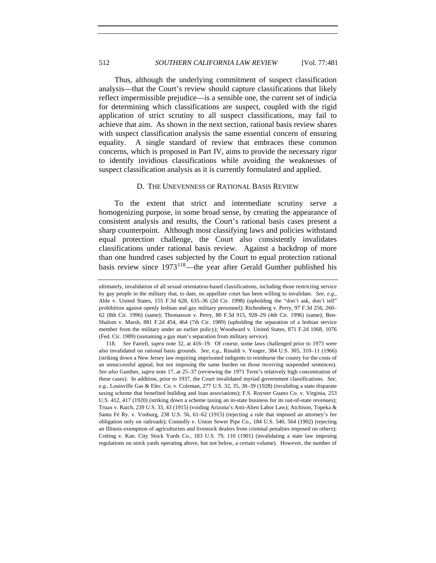Thus, although the underlying commitment of suspect classification analysis—that the Court's review should capture classifications that likely reflect impermissible prejudice—is a sensible one, the current set of indicia for determining which classifications are suspect, coupled with the rigid application of strict scrutiny to all suspect classifications, may fail to achieve that aim. As shown in the next section, rational basis review shares with suspect classification analysis the same essential concern of ensuring equality. A single standard of review that embraces these common concerns, which is proposed in Part IV, aims to provide the necessary rigor to identify invidious classifications while avoiding the weaknesses of suspect classification analysis as it is currently formulated and applied.

#### D. THE UNEVENNESS OF RATIONAL BASIS REVIEW

To the extent that strict and intermediate scrutiny serve a homogenizing purpose, in some broad sense, by creating the appearance of consistent analysis and results, the Court's rational basis cases present a sharp counterpoint. Although most classifying laws and policies withstand equal protection challenge, the Court also consistently invalidates classifications under rational basis review. Against a backdrop of more than one hundred cases subjected by the Court to equal protection rational basis review since 1973<sup>[118](#page-31-0)</sup>—the year after Gerald Gunther published his

ultimately, invalidation of all sexual orientation-based classifications, including those restricting service by gay people in the military that, to date, no appellate court has been willing to invalidate. *See, e.g.*, Able v. United States, 155 F.3d 628, 635–36 (2d Cir. 1998) (upholding the "don't ask, don't tell" prohibition against openly lesbian and gay military personnel); Richenberg v. Perry, 97 F.3d 256, 260– 62 (8th Cir. 1996) (same); Thomasson v. Perry, 80 F.3d 915, 928–29 (4th Cir. 1996) (same); Ben-Shalom v. Marsh, 881 F.2d 454, 464 (7th Cir. 1989) (upholding the separation of a lesbian service member from the military under an earlier policy); Woodward v. United States, 871 F.2d 1068, 1076 (Fed. Cir. 1989) (sustaining a gay man's separation from military service).

<span id="page-31-0"></span><sup>118.</sup> *See* Farrell, *supra* note 32, at 416–19. Of course, some laws challenged prior to 1973 were also invalidated on rational basis grounds. *See, e.g.*, Rinaldi v. Yeager, 384 U.S. 305, 310–11 (1966) (striking down a New Jersey law requiring imprisoned indigents to reimburse the county for the costs of an unsuccessful appeal, but not imposing the same burden on those receiving suspended sentences). *See also* Gunther, *supra* note 17, at 25–37 (reviewing the 1971 Term's relatively high concentration of these cases). In addition, prior to 1937, the Court invalidated myriad government classifications. *See, e.g.*, Louisville Gas & Elec. Co. v. Coleman, 277 U.S. 32, 35, 38–39 (1928) (invaliding a state disparate taxing scheme that benefited building and loan associations); F.S. Royster Guano Co. v. Virginia, 253 U.S. 412, 417 (1920) (striking down a scheme taxing an in-state business for its out-of-state revenues); Truax v. Raich, 239 U.S. 33, 43 (1915) (voiding Arizona's Anti-Alien Labor Law); Atchison, Topeka & Santa Fé Ry. v. Vosburg, 238 U.S. 56, 61–62 (1915) (rejecting a rule that imposed an attorney's fee obligation only on railroads); Connolly v. Union Sewer Pipe Co., 184 U.S. 540, 564 (1902) (rejecting an Illinois exemption of agriculturists and livestock dealers from criminal penalties imposed on others); Cotting v. Kan. City Stock Yards Co., 183 U.S. 79, 110 (1901) (invalidating a state law imposing regulations on stock yards operating above, but not below, a certain volume). However, the number of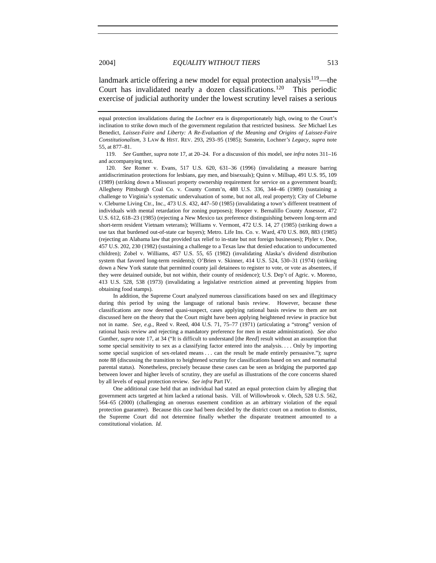landmark article offering a new model for equal protection analysis<sup>[119](#page-32-0)</sup>—the Court has invalidated nearly a dozen classifications.<sup>[120](#page-32-1)</sup> This periodic exercise of judicial authority under the lowest scrutiny level raises a serious

<span id="page-32-0"></span>119. *See* Gunther, *supra* note 17, at 20–24. For a discussion of this model, see *infra* notes 311–16 and accompanying text.

<span id="page-32-1"></span>120. *See* Romer v. Evans, 517 U.S. 620, 631–36 (1996) (invalidating a measure barring antidiscrimination protections for lesbians, gay men, and bisexuals); Quinn v. Millsap, 491 U.S. 95, 109 (1989) (striking down a Missouri property ownership requirement for service on a government board); Allegheny Pittsburgh Coal Co. v. County Comm'n, 488 U.S. 336, 344–46 (1989) (sustaining a challenge to Virginia's systematic undervaluation of some, but not all, real property); City of Cleburne v. Cleburne Living Ctr., Inc., 473 U.S. 432, 447–50 (1985) (invalidating a town's different treatment of individuals with mental retardation for zoning purposes); Hooper v. Bernalillo County Assessor, 472 U.S. 612, 618–23 (1985) (rejecting a New Mexico tax preference distinguishing between long-term and short-term resident Vietnam veterans); Williams v. Vermont, 472 U.S. 14, 27 (1985) (striking down a use tax that burdened out-of-state car buyers); Metro. Life Ins. Co. v. Ward, 470 U.S. 869, 883 (1985) (rejecting an Alabama law that provided tax relief to in-state but not foreign businesses); Plyler v. Doe, 457 U.S. 202, 230 (1982) (sustaining a challenge to a Texas law that denied education to undocumented children); Zobel v. Williams, 457 U.S. 55, 65 (1982) (invalidating Alaska's dividend distribution system that favored long-term residents); O'Brien v. Skinner, 414 U.S. 524, 530–31 (1974) (striking down a New York statute that permitted county jail detainees to register to vote, or vote as absentees, if they were detained outside, but not within, their county of residence); U.S. Dep't of Agric. v. Moreno, 413 U.S. 528, 538 (1973) (invalidating a legislative restriction aimed at preventing hippies from obtaining food stamps).

In addition, the Supreme Court analyzed numerous classifications based on sex and illegitimacy during this period by using the language of rational basis review. However, because these classifications are now deemed quasi-suspect, cases applying rational basis review to them are not discussed here on the theory that the Court might have been applying heightened review in practice but not in name. *See, e.g.*, Reed v. Reed, 404 U.S. 71, 75–77 (1971) (articulating a "strong" version of rational basis review and rejecting a mandatory preference for men in estate administration). *See also*  Gunther, *supra* note 17, at 34 ("It is difficult to understand [the *Reed*] result without an assumption that some special sensitivity to sex as a classifying factor entered into the analysis. . . . Only by importing some special suspicion of sex-related means . . . can the result be made entirely persuasive."); *supra*  note 88 (discussing the transition to heightened scrutiny for classifications based on sex and nonmarital parental status). Nonetheless, precisely because these cases can be seen as bridging the purported gap between lower and higher levels of scrutiny, they are useful as illustrations of the core concerns shared by all levels of equal protection review. *See infra* Part IV.

One additional case held that an individual had stated an equal protection claim by alleging that government acts targeted at him lacked a rational basis. Vill. of Willowbrook v. Olech, 528 U.S. 562, 564–65 (2000) (challenging an onerous easement condition as an arbitrary violation of the equal protection guarantee). Because this case had been decided by the district court on a motion to dismiss, the Supreme Court did not determine finally whether the disparate treatment amounted to a constitutional violation. *Id.*

equal protection invalidations during the *Lochner* era is disproportionately high, owing to the Court's inclination to strike down much of the government regulation that restricted business. *See* Michael Les Benedict, *Laissez-Faire and Liberty: A Re-Evaluation of the Meaning and Origins of Laissez-Faire Constitutionalism*, 3 LAW & HIST. REV. 293, 293–95 (1985); Sunstein, Lochner*'s Legacy*, *supra* note 55, at 877–81.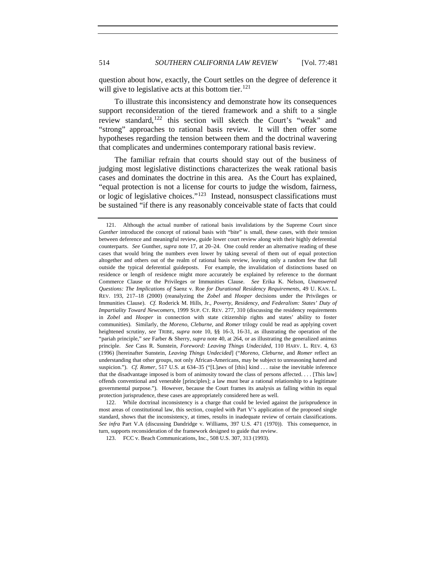question about how, exactly, the Court settles on the degree of deference it will give to legislative acts at this bottom tier.<sup>[121](#page-33-0)</sup>

To illustrate this inconsistency and demonstrate how its consequences support reconsideration of the tiered framework and a shift to a single review standard,  $122$  this section will sketch the Court's "weak" and "strong" approaches to rational basis review. It will then offer some hypotheses regarding the tension between them and the doctrinal wavering that complicates and undermines contemporary rational basis review.

The familiar refrain that courts should stay out of the business of judging most legislative distinctions characterizes the weak rational basis cases and dominates the doctrine in this area. As the Court has explained, "equal protection is not a license for courts to judge the wisdom, fairness, or logic of legislative choices."[123](#page-33-2) Instead, nonsuspect classifications must be sustained "if there is any reasonably conceivable state of facts that could

<span id="page-33-0"></span> <sup>121.</sup> Although the actual number of rational basis invalidations by the Supreme Court since *Gunther* introduced the concept of rational basis with "bite" is small, these cases, with their tension between deference and meaningful review, guide lower court review along with their highly deferential counterparts. *See* Gunther, *supra* note 17, at 20–24. One could render an alternative reading of these cases that would bring the numbers even lower by taking several of them out of equal protection altogether and others out of the realm of rational basis review, leaving only a random few that fall outside the typical deferential guideposts. For example, the invalidation of distinctions based on residence or length of residence might more accurately be explained by reference to the dormant Commerce Clause or the Privileges or Immunities Clause. *See* Erika K. Nelson, *Unanswered Questions: The Implications of* Saenz v. Roe *for Durational Residency Requirements*, 49 U. KAN. L. REV. 193, 217–18 (2000) (reanalyzing the *Zobel* and *Hooper* decisions under the Privileges or Immunities Clause). *Cf.* Roderick M. Hills, Jr., *Poverty, Residency, and Federalism: States' Duty of Impartiality Toward Newcomers*, 1999 SUP. CT. REV. 277, 310 (discussing the residency requirements in *Zobel* and *Hooper* in connection with state citizenship rights and states' ability to foster communities). Similarly, the *Moreno*, *Cleburne*, and *Romer* trilogy could be read as applying covert heightened scrutiny, *see* TRIBE, *supra* note 10, §§ 16-3, 16-31, as illustrating the operation of the "pariah principle," *see* Farber & Sherry, *supra* note 40, at 264, or as illustrating the generalized animus principle. *See* Cass R. Sunstein, *Foreword: Leaving Things Undecided*, 110 HARV. L. REV. 4, 63 (1996) [hereinafter Sunstein, *Leaving Things Undecided*] ("*Moreno*, *Cleburne*, and *Romer* reflect an understanding that other groups, not only African-Americans, may be subject to unreasoning hatred and suspicion."). *Cf. Romer*, 517 U.S. at 634–35 ("[L]aws of [this] kind . . . raise the inevitable inference that the disadvantage imposed is born of animosity toward the class of persons affected. . . . [This law] offends conventional and venerable [principles]; a law must bear a rational relationship to a legitimate governmental purpose."). However, because the Court frames its analysis as falling within its equal protection jurisprudence, these cases are appropriately considered here as well.

<span id="page-33-2"></span><span id="page-33-1"></span> <sup>122.</sup> While doctrinal inconsistency is a charge that could be levied against the jurisprudence in most areas of constitutional law, this section, coupled with Part V's application of the proposed single standard, shows that the inconsistency, at times, results in inadequate review of certain classifications. *See infra* Part V.A (discussing Dandridge v. Williams, 397 U.S. 471 (1970)). This consequence, in turn, supports reconsideration of the framework designed to guide that review.

 <sup>123.</sup> FCC v. Beach Communications, Inc., 508 U.S. 307, 313 (1993).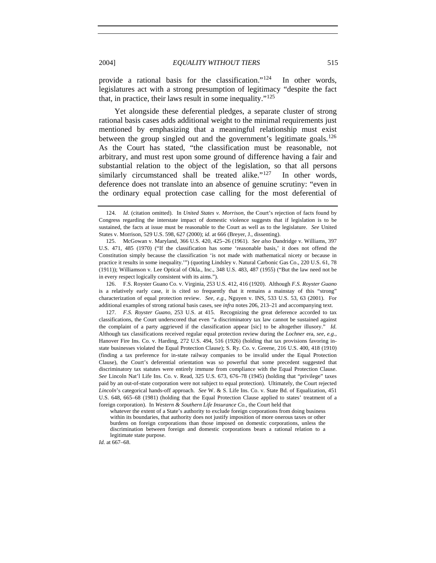provide a rational basis for the classification."[124](#page-34-0) In other words, legislatures act with a strong presumption of legitimacy "despite the fact that, in practice, their laws result in some inequality." $125$ 

Yet alongside these deferential pledges, a separate cluster of strong rational basis cases adds additional weight to the minimal requirements just mentioned by emphasizing that a meaningful relationship must exist between the group singled out and the government's legitimate goals.<sup>[126](#page-34-2)</sup> As the Court has stated, "the classification must be reasonable, not arbitrary, and must rest upon some ground of difference having a fair and substantial relation to the object of the legislation, so that all persons similarly circumstanced shall be treated alike."<sup>[127](#page-34-3)</sup> In other words, deference does not translate into an absence of genuine scrutiny: "even in the ordinary equal protection case calling for the most deferential of

<span id="page-34-2"></span> 126. F.S. Royster Guano Co. v. Virginia, 253 U.S. 412, 416 (1920). Although *F.S. Royster Guano*  is a relatively early case, it is cited so frequently that it remains a mainstay of this "strong" characterization of equal protection review. *See, e.g.*, Nguyen v. INS, 533 U.S. 53, 63 (2001). For additional examples of strong rational basis cases, see *infra* notes 206, 213–21 and accompanying text.

<span id="page-34-3"></span>127. *F.S. Royster Guano*, 253 U.S. at 415. Recognizing the great deference accorded to tax classifications, the Court underscored that even "a discriminatory tax law cannot be sustained against the complaint of a party aggrieved if the classification appear [sic] to be altogether illusory." *Id.*  Although tax classifications received regular equal protection review during the *Lochner* era, *see, e.g.*, Hanover Fire Ins. Co. v. Harding, 272 U.S. 494, 516 (1926) (holding that tax provisions favoring instate businesses violated the Equal Protection Clause); S. Ry. Co. v. Greene, 216 U.S. 400, 418 (1910) (finding a tax preference for in-state railway companies to be invalid under the Equal Protection Clause), the Court's deferential orientation was so powerful that some precedent suggested that discriminatory tax statutes were entirely immune from compliance with the Equal Protection Clause. *See* Lincoln Nat'l Life Ins. Co. v. Read, 325 U.S. 673, 676–78 (1945) (holding that "privilege" taxes paid by an out-of-state corporation were not subject to equal protection). Ultimately, the Court rejected *Lincoln*'s categorical hands-off approach. *See* W. & S. Life Ins. Co. v. State Bd. of Equalization, 451 U.S. 648, 665–68 (1981) (holding that the Equal Protection Clause applied to states' treatment of a foreign corporation). In *Western & Southern Life Insurance Co.*, the Court held that

whatever the extent of a State's authority to exclude foreign corporations from doing business within its boundaries, that authority does not justify imposition of more onerous taxes or other burdens on foreign corporations than those imposed on domestic corporations, unless the discrimination between foreign and domestic corporations bears a rational relation to a legitimate state purpose.

*Id.* at 667–68.

<span id="page-34-0"></span><sup>124.</sup> *Id*. (citation omitted). In *United States v. Morrison*, the Court's rejection of facts found by Congress regarding the interstate impact of domestic violence suggests that if legislation is to be sustained, the facts at issue must be reasonable to the Court as well as to the legislature. *See* United States v. Morrison, 529 U.S. 598, 627 (2000); *id.* at 666 (Breyer, J., dissenting).

<span id="page-34-1"></span> <sup>125.</sup> McGowan v. Maryland, 366 U.S. 420, 425–26 (1961). *See also* Dandridge v. Williams, 397 U.S. 471, 485 (1970) ("If the classification has some 'reasonable basis,' it does not offend the Constitution simply because the classification 'is not made with mathematical nicety or because in practice it results in some inequality.'") (quoting Lindsley v. Natural Carbonic Gas Co., 220 U.S. 61, 78 (1911)); Williamson v. Lee Optical of Okla., Inc., 348 U.S. 483, 487 (1955) ("But the law need not be in every respect logically consistent with its aims.").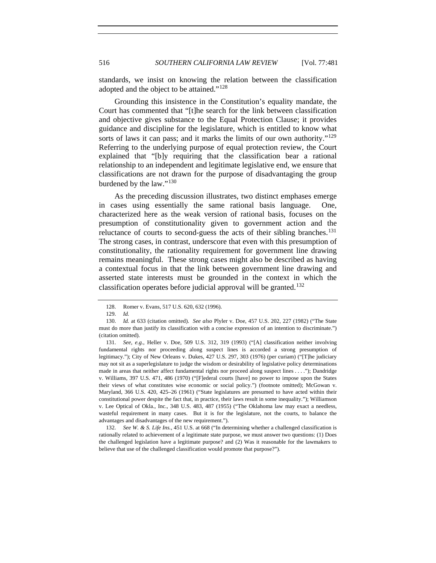standards, we insist on knowing the relation between the classification adopted and the object to be attained."[128](#page-35-0)

Grounding this insistence in the Constitution's equality mandate, the Court has commented that "[t]he search for the link between classification and objective gives substance to the Equal Protection Clause; it provides guidance and discipline for the legislature, which is entitled to know what sorts of laws it can pass; and it marks the limits of our own authority."<sup>[129](#page-35-1)</sup> Referring to the underlying purpose of equal protection review, the Court explained that "[b]y requiring that the classification bear a rational relationship to an independent and legitimate legislative end, we ensure that classifications are not drawn for the purpose of disadvantaging the group burdened by the law."<sup>[130](#page-35-2)</sup>

As the preceding discussion illustrates, two distinct emphases emerge in cases using essentially the same rational basis language. One, characterized here as the weak version of rational basis, focuses on the presumption of constitutionality given to government action and the reluctance of courts to second-guess the acts of their sibling branches.<sup>[131](#page-35-3)</sup> The strong cases, in contrast, underscore that even with this presumption of constitutionality, the rationality requirement for government line drawing remains meaningful. These strong cases might also be described as having a contextual focus in that the link between government line drawing and asserted state interests must be grounded in the context in which the classification operates before judicial approval will be granted.<sup>[132](#page-35-4)</sup>

 <sup>128.</sup> Romer v. Evans, 517 U.S. 620, 632 (1996).

<sup>129.</sup> *Id.*

<span id="page-35-2"></span><span id="page-35-1"></span><span id="page-35-0"></span><sup>130.</sup> *Id.* at 633 (citation omitted). *See also* Plyler v. Doe, 457 U.S. 202, 227 (1982) ("The State must do more than justify its classification with a concise expression of an intention to discriminate.") (citation omitted).

<span id="page-35-3"></span><sup>131.</sup> *See, e.g.*, Heller v. Doe, 509 U.S. 312, 319 (1993) ("[A] classification neither involving fundamental rights nor proceeding along suspect lines is accorded a strong presumption of legitimacy."); City of New Orleans v. Dukes, 427 U.S. 297, 303 (1976) (per curiam) ("[T]he judiciary may not sit as a superlegislature to judge the wisdom or desirability of legislative policy determinations made in areas that neither affect fundamental rights nor proceed along suspect lines . . . ."); Dandridge v. Williams, 397 U.S. 471, 486 (1970) ("[F]ederal courts [have] no power to impose upon the States their views of what constitutes wise economic or social policy.") (footnote omitted); McGowan v. Maryland, 366 U.S. 420, 425–26 (1961) ("State legislatures are presumed to have acted within their constitutional power despite the fact that, in practice, their laws result in some inequality."); Williamson v. Lee Optical of Okla., Inc., 348 U.S. 483, 487 (1955) ("The Oklahoma law may exact a needless, wasteful requirement in many cases. But it is for the legislature, not the courts, to balance the advantages and disadvantages of the new requirement.").

<span id="page-35-4"></span><sup>132.</sup> *See W. & S. Life Ins.*, 451 U.S. at 668 ("In determining whether a challenged classification is rationally related to achievement of a legitimate state purpose, we must answer two questions: (1) Does the challenged legislation have a legitimate purpose? and (2) Was it reasonable for the lawmakers to believe that use of the challenged classification would promote that purpose?").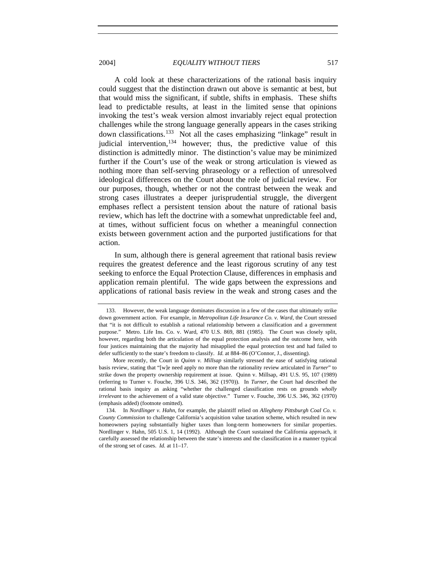A cold look at these characterizations of the rational basis inquiry could suggest that the distinction drawn out above is semantic at best, but that would miss the significant, if subtle, shifts in emphasis. These shifts lead to predictable results, at least in the limited sense that opinions invoking the test's weak version almost invariably reject equal protection challenges while the strong language generally appears in the cases striking down classifications.<sup>[133](#page-36-0)</sup> Not all the cases emphasizing "linkage" result in judicial intervention,  $134$  however; thus, the predictive value of this distinction is admittedly minor. The distinction's value may be minimized further if the Court's use of the weak or strong articulation is viewed as nothing more than self-serving phraseology or a reflection of unresolved ideological differences on the Court about the role of judicial review. For our purposes, though, whether or not the contrast between the weak and strong cases illustrates a deeper jurisprudential struggle, the divergent emphases reflect a persistent tension about the nature of rational basis review, which has left the doctrine with a somewhat unpredictable feel and, at times, without sufficient focus on whether a meaningful connection exists between government action and the purported justifications for that action.

In sum, although there is general agreement that rational basis review requires the greatest deference and the least rigorous scrutiny of any test seeking to enforce the Equal Protection Clause, differences in emphasis and application remain plentiful. The wide gaps between the expressions and applications of rational basis review in the weak and strong cases and the

<span id="page-36-0"></span> <sup>133.</sup> However, the weak language dominates discussion in a few of the cases that ultimately strike down government action. For example, in *Metropolitan Life Insurance Co. v. Ward*, the Court stressed that "it is not difficult to establish a rational relationship between a classification and a government purpose." Metro. Life Ins. Co. v. Ward, 470 U.S. 869, 881 (1985). The Court was closely split, however, regarding both the articulation of the equal protection analysis and the outcome here, with four justices maintaining that the majority had misapplied the equal protection test and had failed to defer sufficiently to the state's freedom to classify. *Id.* at 884–86 (O'Connor, J., dissenting).

More recently, the Court in *Quinn v. Millsap* similarly stressed the ease of satisfying rational basis review, stating that "[w]e need apply no more than the rationality review articulated in *Turner*" to strike down the property ownership requirement at issue. Quinn v. Millsap, 491 U.S. 95, 107 (1989) (referring to Turner v. Fouche, 396 U.S. 346, 362 (1970)). In *Turner*, the Court had described the rational basis inquiry as asking "whether the challenged classification rests on grounds *wholly irrelevant* to the achievement of a valid state objective." Turner v. Fouche, 396 U.S. 346, 362 (1970) (emphasis added) (footnote omitted).

<span id="page-36-1"></span> <sup>134.</sup> In *Nordlinger v. Hahn*, for example, the plaintiff relied on *Allegheny Pittsburgh Coal Co. v. County Commission* to challenge California's acquisition value taxation scheme, which resulted in new homeowners paying substantially higher taxes than long-term homeowners for similar properties. Nordlinger v. Hahn, 505 U.S. 1, 14 (1992). Although the Court sustained the California approach, it carefully assessed the relationship between the state's interests and the classification in a manner typical of the strong set of cases. *Id.* at 11–17.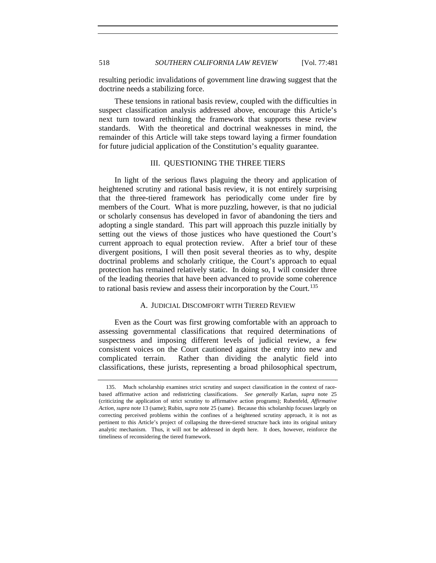resulting periodic invalidations of government line drawing suggest that the doctrine needs a stabilizing force.

These tensions in rational basis review, coupled with the difficulties in suspect classification analysis addressed above, encourage this Article's next turn toward rethinking the framework that supports these review standards. With the theoretical and doctrinal weaknesses in mind, the remainder of this Article will take steps toward laying a firmer foundation for future judicial application of the Constitution's equality guarantee.

## III. QUESTIONING THE THREE TIERS

In light of the serious flaws plaguing the theory and application of heightened scrutiny and rational basis review, it is not entirely surprising that the three-tiered framework has periodically come under fire by members of the Court. What is more puzzling, however, is that no judicial or scholarly consensus has developed in favor of abandoning the tiers and adopting a single standard. This part will approach this puzzle initially by setting out the views of those justices who have questioned the Court's current approach to equal protection review. After a brief tour of these divergent positions, I will then posit several theories as to why, despite doctrinal problems and scholarly critique, the Court's approach to equal protection has remained relatively static. In doing so, I will consider three of the leading theories that have been advanced to provide some coherence to rational basis review and assess their incorporation by the Court.<sup>[135](#page-37-0)</sup>

## A. JUDICIAL DISCOMFORT WITH TIERED REVIEW

Even as the Court was first growing comfortable with an approach to assessing governmental classifications that required determinations of suspectness and imposing different levels of judicial review, a few consistent voices on the Court cautioned against the entry into new and complicated terrain. Rather than dividing the analytic field into classifications, these jurists, representing a broad philosophical spectrum,

<span id="page-37-0"></span> <sup>135.</sup> Much scholarship examines strict scrutiny and suspect classification in the context of racebased affirmative action and redistricting classifications. *See generally* Karlan, *supra* note 25 (criticizing the application of strict scrutiny to affirmative action programs); Rubenfeld, *Affirmative Action*, *supra* note 13 (same); Rubin, *supra* note 25 (same). Because this scholarship focuses largely on correcting perceived problems within the confines of a heightened scrutiny approach, it is not as pertinent to this Article's project of collapsing the three-tiered structure back into its original unitary analytic mechanism. Thus, it will not be addressed in depth here. It does, however, reinforce the timeliness of reconsidering the tiered framework.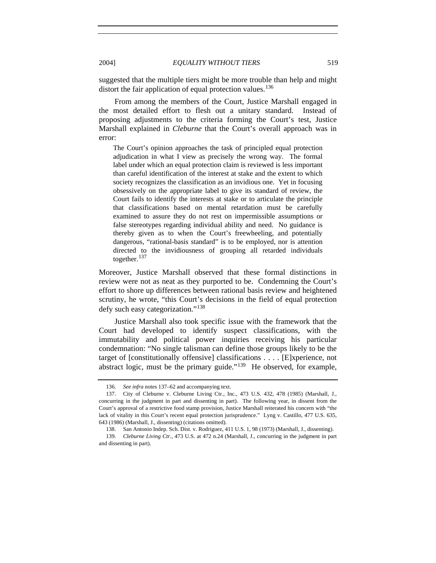suggested that the multiple tiers might be more trouble than help and might distort the fair application of equal protection values.<sup>[136](#page-38-0)</sup>

From among the members of the Court, Justice Marshall engaged in the most detailed effort to flesh out a unitary standard. Instead of proposing adjustments to the criteria forming the Court's test, Justice Marshall explained in *Cleburne* that the Court's overall approach was in error:

The Court's opinion approaches the task of principled equal protection adjudication in what I view as precisely the wrong way. The formal label under which an equal protection claim is reviewed is less important than careful identification of the interest at stake and the extent to which society recognizes the classification as an invidious one. Yet in focusing obsessively on the appropriate label to give its standard of review, the Court fails to identify the interests at stake or to articulate the principle that classifications based on mental retardation must be carefully examined to assure they do not rest on impermissible assumptions or false stereotypes regarding individual ability and need. No guidance is thereby given as to when the Court's freewheeling, and potentially dangerous, "rational-basis standard" is to be employed, nor is attention directed to the invidiousness of grouping all retarded individuals together.<sup>[137](#page-38-1)</sup>

Moreover, Justice Marshall observed that these formal distinctions in review were not as neat as they purported to be. Condemning the Court's effort to shore up differences between rational basis review and heightened scrutiny, he wrote, "this Court's decisions in the field of equal protection defy such easy categorization."[138](#page-38-2)

Justice Marshall also took specific issue with the framework that the Court had developed to identify suspect classifications, with the immutability and political power inquiries receiving his particular condemnation: "No single talisman can define those groups likely to be the target of [constitutionally offensive] classifications . . . . [E]xperience, not abstract logic, must be the primary guide." $139$  He observed, for example,

<sup>136.</sup> *See infra* notes 137–62 and accompanying text.

<span id="page-38-1"></span><span id="page-38-0"></span> <sup>137.</sup> City of Cleburne v. Cleburne Living Ctr., Inc., 473 U.S. 432, 478 (1985) (Marshall, J., concurring in the judgment in part and dissenting in part). The following year, in dissent from the Court's approval of a restrictive food stamp provision, Justice Marshall reiterated his concern with "the lack of vitality in this Court's recent equal protection jurisprudence." Lyng v. Castillo, 477 U.S. 635, 643 (1986) (Marshall, J., dissenting) (citations omitted).

 <sup>138.</sup> San Antonio Indep. Sch. Dist. v. Rodriguez, 411 U.S. 1, 98 (1973) (Marshall, J., dissenting).

<span id="page-38-3"></span><span id="page-38-2"></span><sup>139.</sup> *Cleburne Living Ctr.*, 473 U.S. at 472 n.24 (Marshall, J., concurring in the judgment in part and dissenting in part).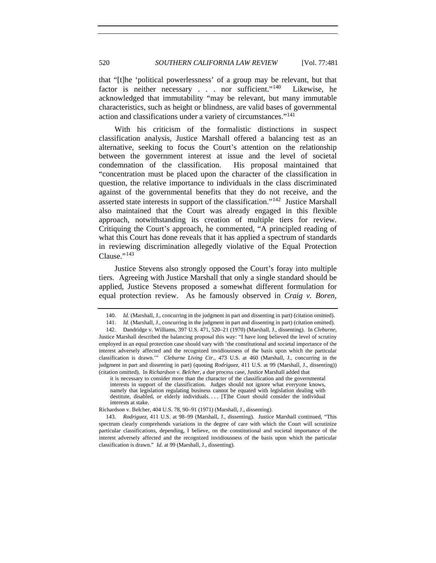that "[t]he 'political powerlessness' of a group may be relevant, but that factor is neither necessary . . . nor sufficient."<sup>[140](#page-39-0)</sup> Likewise, he acknowledged that immutability "may be relevant, but many immutable characteristics, such as height or blindness, are valid bases of governmental action and classifications under a variety of circumstances."[141](#page-39-1)

With his criticism of the formalistic distinctions in suspect classification analysis, Justice Marshall offered a balancing test as an alternative, seeking to focus the Court's attention on the relationship between the government interest at issue and the level of societal condemnation of the classification. His proposal maintained that "concentration must be placed upon the character of the classification in question, the relative importance to individuals in the class discriminated against of the governmental benefits that they do not receive, and the asserted state interests in support of the classification."[142](#page-39-2) Justice Marshall also maintained that the Court was already engaged in this flexible approach, notwithstanding its creation of multiple tiers for review. Critiquing the Court's approach, he commented, "A principled reading of what this Court has done reveals that it has applied a spectrum of standards in reviewing discrimination allegedly violative of the Equal Protection  $Clause.$ "<sup>[143](#page-39-3)</sup>

Justice Stevens also strongly opposed the Court's foray into multiple tiers. Agreeing with Justice Marshall that only a single standard should be applied, Justice Stevens proposed a somewhat different formulation for equal protection review. As he famously observed in *Craig v. Boren*,

Richardson v. Belcher, 404 U.S. 78, 90–91 (1971) (Marshall, J., dissenting).

<sup>140.</sup> *Id.* (Marshall, J., concurring in the judgment in part and dissenting in part) (citation omitted).

<sup>141.</sup> *Id.* (Marshall, J., concurring in the judgment in part and dissenting in part) (citation omitted).

<span id="page-39-2"></span><span id="page-39-1"></span><span id="page-39-0"></span> <sup>142.</sup> Dandridge v. Williams, 397 U.S. 471, 520–21 (1970) (Marshall, J., dissenting). In *Cleburne*, Justice Marshall described the balancing proposal this way: "I have long believed the level of scrutiny employed in an equal protection case should vary with 'the constitutional and societal importance of the interest adversely affected and the recognized invidiousness of the basis upon which the particular classification is drawn.'" *Cleburne Living Ctr.*, 473 U.S. at 460 (Marshall, J., concurring in the judgment in part and dissenting in part) (quoting *Rodriguez*, 411 U.S. at 99 (Marshall, J., dissenting)) (citation omitted). In *Richardson v. Belcher*, a due process case, Justice Marshall added that

it is necessary to consider more than the character of the classification and the governmental interests in support of the classification. Judges should not ignore what everyone knows, namely that legislation regulating business cannot be equated with legislation dealing with destitute, disabled, or elderly individuals.... [T]he Court should consider the individual interests at stake.

<span id="page-39-3"></span><sup>143.</sup> *Rodriguez*, 411 U.S. at 98–99 (Marshall, J., dissenting). Justice Marshall continued, "This spectrum clearly comprehends variations in the degree of care with which the Court will scrutinize particular classifications, depending, I believe, on the constitutional and societal importance of the interest adversely affected and the recognized invidiousness of the basis upon which the particular classification is drawn." *Id.* at 99 (Marshall, J., dissenting).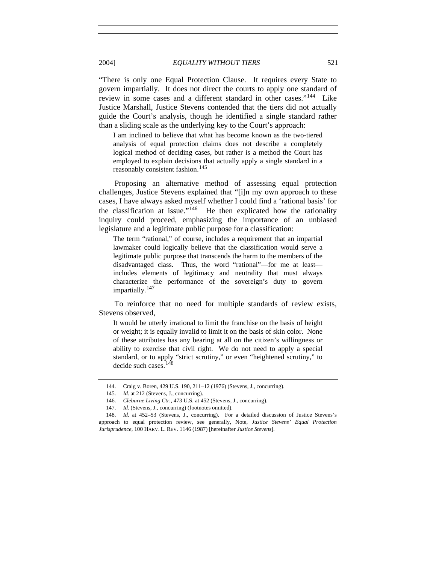"There is only one Equal Protection Clause. It requires every State to govern impartially. It does not direct the courts to apply one standard of review in some cases and a different standard in other cases."<sup>[144](#page-40-0)</sup> Like Justice Marshall, Justice Stevens contended that the tiers did not actually guide the Court's analysis, though he identified a single standard rather than a sliding scale as the underlying key to the Court's approach:

I am inclined to believe that what has become known as the two-tiered analysis of equal protection claims does not describe a completely logical method of deciding cases, but rather is a method the Court has employed to explain decisions that actually apply a single standard in a reasonably consistent fashion.<sup>[145](#page-40-1)</sup>

Proposing an alternative method of assessing equal protection challenges, Justice Stevens explained that "[i]n my own approach to these cases, I have always asked myself whether I could find a 'rational basis' for the classification at issue."<sup>[146](#page-40-2)</sup> He then explicated how the rationality inquiry could proceed, emphasizing the importance of an unbiased legislature and a legitimate public purpose for a classification:

The term "rational," of course, includes a requirement that an impartial lawmaker could logically believe that the classification would serve a legitimate public purpose that transcends the harm to the members of the disadvantaged class. Thus, the word "rational"—for me at least includes elements of legitimacy and neutrality that must always characterize the performance of the sovereign's duty to govern impartially.<sup>[147](#page-40-3)</sup>

To reinforce that no need for multiple standards of review exists, Stevens observed,

It would be utterly irrational to limit the franchise on the basis of height or weight; it is equally invalid to limit it on the basis of skin color. None of these attributes has any bearing at all on the citizen's willingness or ability to exercise that civil right. We do not need to apply a special standard, or to apply "strict scrutiny," or even "heightened scrutiny," to decide such cases.[148](#page-40-4)

 <sup>144.</sup> Craig v. Boren, 429 U.S. 190, 211–12 (1976) (Stevens, J., concurring).

<sup>145.</sup> *Id.* at 212 (Stevens, J., concurring).

<sup>146.</sup> *Cleburne Living Ctr.*, 473 U.S. at 452 (Stevens, J., concurring).

<sup>147.</sup> *Id.* (Stevens, J., concurring) (footnotes omitted).

<span id="page-40-4"></span><span id="page-40-3"></span><span id="page-40-2"></span><span id="page-40-1"></span><span id="page-40-0"></span><sup>148.</sup> *Id.* at 452–53 (Stevens, J., concurring). For a detailed discussion of Justice Stevens's approach to equal protection review, see generally, Note, *Justice Stevens' Equal Protection Jurisprudence*, 100 HARV. L. REV. 1146 (1987) [hereinafter *Justice Stevens*].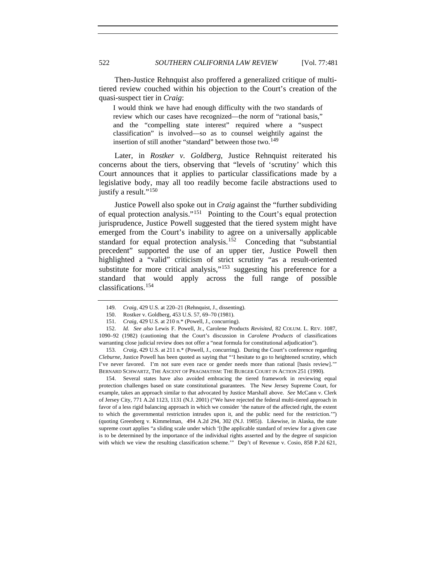Then-Justice Rehnquist also proffered a generalized critique of multitiered review couched within his objection to the Court's creation of the quasi-suspect tier in *Craig*:

I would think we have had enough difficulty with the two standards of review which our cases have recognized—the norm of "rational basis," and the "compelling state interest" required where a "suspect classification" is involved—so as to counsel weightily against the insertion of still another "standard" between those two.<sup>[149](#page-41-0)</sup>

 Later, in *Rostker v. Goldberg*, Justice Rehnquist reiterated his concerns about the tiers, observing that "levels of 'scrutiny' which this Court announces that it applies to particular classifications made by a legislative body, may all too readily become facile abstractions used to justify a result."<sup>[150](#page-41-1)</sup>

Justice Powell also spoke out in *Craig* against the "further subdividing of equal protection analysis."[151](#page-41-2) Pointing to the Court's equal protection jurisprudence, Justice Powell suggested that the tiered system might have emerged from the Court's inability to agree on a universally applicable standard for equal protection analysis.<sup>[152](#page-41-3)</sup> Conceding that "substantial" precedent" supported the use of an upper tier, Justice Powell then highlighted a "valid" criticism of strict scrutiny "as a result-oriented substitute for more critical analysis," $153$  suggesting his preference for a standard that would apply across the full range of possible classifications.[154](#page-41-5)

<span id="page-41-5"></span> 154. Several states have also avoided embracing the tiered framework in reviewing equal protection challenges based on state constitutional guarantees. The New Jersey Supreme Court, for example, takes an approach similar to that advocated by Justice Marshall above. *See* McCann v. Clerk of Jersey City, 771 A.2d 1123, 1131 (N.J. 2001) ("We have rejected the federal multi-tiered approach in favor of a less rigid balancing approach in which we consider 'the nature of the affected right, the extent to which the governmental restriction intrudes upon it, and the public need for the restriction.'") (quoting Greenberg v. Kimmelman, 494 A.2d 294, 302 (N.J. 1985)). Likewise, in Alaska, the state supreme court applies "a sliding scale under which '[t]he applicable standard of review for a given case is to be determined by the importance of the individual rights asserted and by the degree of suspicion with which we view the resulting classification scheme.'" Dep't of Revenue v. Cosio, 858 P.2d 621,

<sup>149.</sup> *Craig*, 429 U.S. at 220–21 (Rehnquist, J., dissenting).

 <sup>150.</sup> Rostker v. Goldberg, 453 U.S. 57, 69–70 (1981).

<sup>151.</sup> *Craig*, 429 U.S. at 210 n.\* (Powell, J., concurring).

<span id="page-41-3"></span><span id="page-41-2"></span><span id="page-41-1"></span><span id="page-41-0"></span><sup>152.</sup> *Id. See also* Lewis F. Powell, Jr., Carolene Products *Revisited*, 82 COLUM. L. REV. 1087, 1090–92 (1982) (cautioning that the Court's discussion in *Carolene Products* of classifications warranting close judicial review does not offer a "neat formula for constitutional adjudication").

<span id="page-41-4"></span><sup>153.</sup> *Craig*, 429 U.S. at 211 n.\* (Powell, J., concurring). During the Court's conference regarding *Cleburne*, Justice Powell has been quoted as saying that "'I hesitate to go to heightened scrutiny, which I've never favored. I'm not sure even race or gender needs more than rational [basis review].'" BERNARD SCHWARTZ, THE ASCENT OF PRAGMATISM: THE BURGER COURT IN ACTION 251 (1990).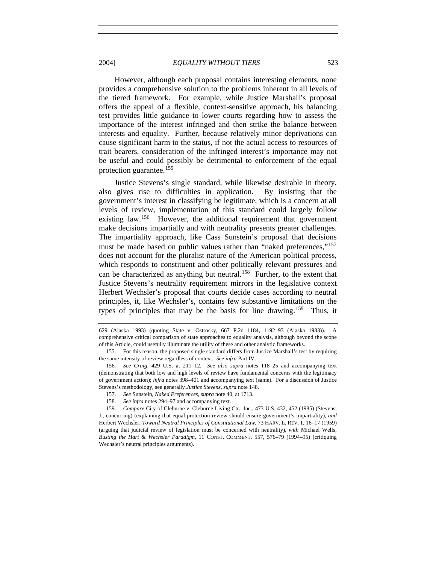However, although each proposal contains interesting elements, none provides a comprehensive solution to the problems inherent in all levels of the tiered framework. For example, while Justice Marshall's proposal offers the appeal of a flexible, context-sensitive approach, his balancing test provides little guidance to lower courts regarding how to assess the importance of the interest infringed and then strike the balance between interests and equality. Further, because relatively minor deprivations can cause significant harm to the status, if not the actual access to resources of trait bearers, consideration of the infringed interest's importance may not be useful and could possibly be detrimental to enforcement of the equal protection guarantee.[155](#page-42-0)

Justice Stevens's single standard, while likewise desirable in theory, also gives rise to difficulties in application. By insisting that the government's interest in classifying be legitimate, which is a concern at all levels of review, implementation of this standard could largely follow existing law.<sup>[156](#page-42-1)</sup> However, the additional requirement that government make decisions impartially and with neutrality presents greater challenges. The impartiality approach, like Cass Sunstein's proposal that decisions must be made based on public values rather than "naked preferences,"<sup>[157](#page-42-2)</sup> does not account for the pluralist nature of the American political process, which responds to constituent and other politically relevant pressures and can be characterized as anything but neutral.<sup>[158](#page-42-3)</sup> Further, to the extent that Justice Stevens's neutrality requirement mirrors in the legislative context Herbert Wechsler's proposal that courts decide cases according to neutral principles, it, like Wechsler's, contains few substantive limitations on the types of principles that may be the basis for line drawing.<sup>[159](#page-42-4)</sup> Thus, it

<sup>629 (</sup>Alaska 1993) (quoting State v. Ostrosky, 667 P.2d 1184, 1192–93 (Alaska 1983)). A comprehensive critical comparison of state approaches to equality analysis, although beyond the scope of this Article, could usefully illuminate the utility of these and other analytic frameworks.

<span id="page-42-0"></span> <sup>155.</sup> For this reason, the proposed single standard differs from Justice Marshall's test by requiring the same intensity of review regardless of context. *See infra* Part IV.

<span id="page-42-1"></span><sup>156.</sup> *See Craig*, 429 U.S. at 211–12. *See also supra* notes 118–25 and accompanying text (demonstrating that both low and high levels of review have fundamental concerns with the legitimacy of government action); *infra* notes 398–401 and accompanying text (same). For a discussion of Justice Stevens's methodology, see generally *Justice Stevens*, *supra* note 148.

<sup>157.</sup> *See* Sunstein, *Naked Preferences*, *supra* note 40, at 1713.

<sup>158.</sup> *See infra* notes 294–97 and accompanying text.

<span id="page-42-4"></span><span id="page-42-3"></span><span id="page-42-2"></span><sup>159.</sup> *Compare* City of Cleburne v. Cleburne Living Ctr., Inc., 473 U.S. 432, 452 (1985) (Stevens, J., concurring) (explaining that equal protection review should ensure government's impartiality), *and*  Herbert Wechsler, *Toward Neutral Principles of Constitutional Law*, 73 HARV. L. REV. 1, 16–17 (1959) (arguing that judicial review of legislation must be concerned with neutrality), *with* Michael Wells, *Busting the Hart* & *Wechsler Paradigm*, 11 CONST. COMMENT. 557, 576–79 (1994–95) (critiquing Wechsler's neutral principles arguments).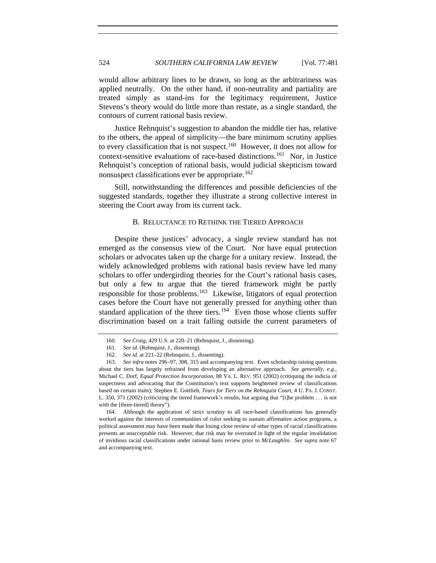would allow arbitrary lines to be drawn, so long as the arbitrariness was applied neutrally. On the other hand, if non-neutrality and partiality are treated simply as stand-ins for the legitimacy requirement, Justice Stevens's theory would do little more than restate, as a single standard, the contours of current rational basis review.

Justice Rehnquist's suggestion to abandon the middle tier has, relative to the others, the appeal of simplicity—the bare minimum scrutiny applies to every classification that is not suspect.<sup>[160](#page-43-0)</sup> However, it does not allow for context-sensitive evaluations of race-based distinctions.<sup>[161](#page-43-1)</sup> Nor, in Justice Rehnquist's conception of rational basis, would judicial skepticism toward nonsuspect classifications ever be appropriate.<sup>[162](#page-43-2)</sup>

Still, notwithstanding the differences and possible deficiencies of the suggested standards, together they illustrate a strong collective interest in steering the Court away from its current tack.

# B. RELUCTANCE TO RETHINK THE TIERED APPROACH

Despite these justices' advocacy, a single review standard has not emerged as the consensus view of the Court. Nor have equal protection scholars or advocates taken up the charge for a unitary review. Instead, the widely acknowledged problems with rational basis review have led many scholars to offer undergirding theories for the Court's rational basis cases, but only a few to argue that the tiered framework might be partly responsible for those problems.<sup>[163](#page-43-3)</sup> Likewise, litigators of equal protection cases before the Court have not generally pressed for anything other than standard application of the three tiers.<sup>[164](#page-43-4)</sup> Even those whose clients suffer discrimination based on a trait falling outside the current parameters of

<span id="page-43-4"></span> 164. Although the application of strict scrutiny to all race-based classifications has generally worked against the interests of communities of color seeking to sustain affirmative action programs, a political assessment may have been made that losing close review of other types of racial classifications presents an unacceptable risk. However, that risk may be overrated in light of the regular invalidation of invidious racial classifications under rational basis review prior to *McLaughlin*. *See supra* note 67 and accompanying text.

<sup>160.</sup> *See Craig*, 429 U.S. at 220–21 (Rehnquist, J., dissenting).

<sup>161.</sup> *See id.* (Rehnquist, J., dissenting).

<sup>162.</sup> *See id.* at 221–22 (Rehnquist, J., dissenting).

<span id="page-43-3"></span><span id="page-43-2"></span><span id="page-43-1"></span><span id="page-43-0"></span><sup>163.</sup> *See infra* notes 296–97, 308, 315 and accompanying text. Even scholarship raising questions about the tiers has largely refrained from developing an alternative approach. *See generally, e.g.*, Michael C. Dorf, *Equal Protection Incorporation*, 88 VA. L. REV. 951 (2002) (critiquing the indicia of suspectness and advocating that the Constitution's text supports heightened review of classifications based on certain traits); Stephen E. Gottlieb, *Tears for Tiers on the Rehnquist Court*, 4 U. PA. J. CONST. L. 350, 371 (2002) (criticizing the tiered framework's results, but arguing that "[t]he problem . . . is not with the [three-tiered] theory").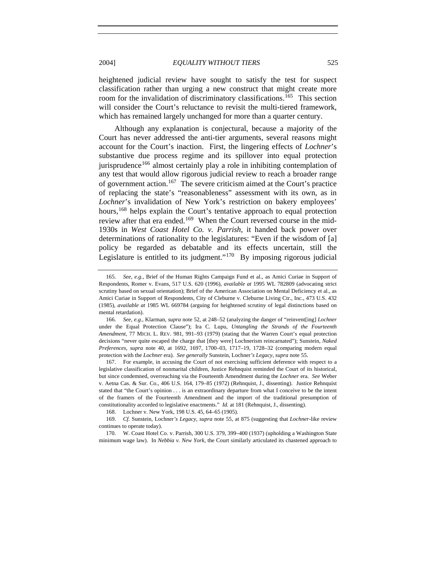heightened judicial review have sought to satisfy the test for suspect classification rather than urging a new construct that might create more room for the invalidation of discriminatory classifications.<sup>[165](#page-44-0)</sup> This section will consider the Court's reluctance to revisit the multi-tiered framework, which has remained largely unchanged for more than a quarter century.

Although any explanation is conjectural, because a majority of the Court has never addressed the anti-tier arguments, several reasons might account for the Court's inaction. First, the lingering effects of *Lochner*'s substantive due process regime and its spillover into equal protection jurisprudence<sup>[166](#page-44-1)</sup> almost certainly play a role in inhibiting contemplation of any test that would allow rigorous judicial review to reach a broader range of government action.[167](#page-44-2) The severe criticism aimed at the Court's practice of replacing the state's "reasonableness" assessment with its own, as in *Lochner*'s invalidation of New York's restriction on bakery employees' hours,<sup>[168](#page-44-3)</sup> helps explain the Court's tentative approach to equal protection review after that era ended.<sup>[169](#page-44-4)</sup> When the Court reversed course in the mid-1930s in *West Coast Hotel Co. v. Parrish*, it handed back power over determinations of rationality to the legislatures: "Even if the wisdom of [a] policy be regarded as debatable and its effects uncertain, still the Legislature is entitled to its judgment."<sup>[170](#page-44-5)</sup> By imposing rigorous judicial

168. Lochner v. New York, 198 U.S. 45, 64–65 (1905).

<span id="page-44-4"></span><span id="page-44-3"></span>169. *Cf.* Sunstein, Lochner*'s Legacy*, *supra* note 55, at 875 (suggesting that *Lochner*-like review continues to operate today).

<span id="page-44-5"></span> 170. W. Coast Hotel Co. v. Parrish, 300 U.S. 379, 399–400 (1937) (upholding a Washington State minimum wage law). In *Nebbia v. New York*, the Court similarly articulated its chastened approach to

<span id="page-44-0"></span><sup>165.</sup> *See, e.g.*, Brief of the Human Rights Campaign Fund et al., as Amici Curiae in Support of Respondents, Romer v. Evans, 517 U.S. 620 (1996), *available at* 1995 WL 782809 (advocating strict scrutiny based on sexual orientation); Brief of the American Association on Mental Deficiency et al., as Amici Curiae in Support of Respondents, City of Cleburne v. Cleburne Living Ctr., Inc., 473 U.S. 432 (1985), *available at* 1985 WL 669784 (arguing for heightened scrutiny of legal distinctions based on mental retardation).

<span id="page-44-1"></span><sup>166.</sup> *See, e.g.*, Klarman, *supra* note 52, at 248–52 (analyzing the danger of "reinvent[ing] *Lochner* under the Equal Protection Clause"); Ira C. Lupu, *Untangling the Strands of the Fourteenth Amendment*, 77 MICH. L. REV. 981, 991–93 (1979) (stating that the Warren Court's equal protection decisions "never quite escaped the charge that [they were] Lochnerism reincarnated"); Sunstein, *Naked Preferences*, *supra* note 40, at 1692, 1697, 1700–03, 1717–19, 1728–32 (comparing modern equal protection with the *Lochner* era). *See generally* Sunstein, Lochner*'s Legacy*, *supra* note 55.

<span id="page-44-2"></span> <sup>167.</sup> For example, in accusing the Court of not exercising sufficient deference with respect to a legislative classification of nonmarital children, Justice Rehnquist reminded the Court of its historical, but since condemned, overreaching via the Fourteenth Amendment during the *Lochner* era. *See* Weber v. Aetna Cas. & Sur. Co., 406 U.S. 164, 179–85 (1972) (Rehnquist, J., dissenting). Justice Rehnquist stated that "the Court's opinion . . . is an extraordinary departure from what I conceive to be the intent of the framers of the Fourteenth Amendment and the import of the traditional presumption of constitutionality accorded to legislative enactments." *Id.* at 181 (Rehnquist, J., dissenting).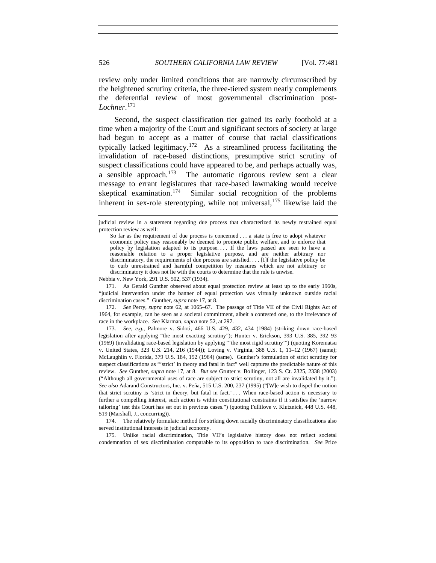review only under limited conditions that are narrowly circumscribed by the heightened scrutiny criteria, the three-tiered system neatly complements the deferential review of most governmental discrimination post-*Lochner*. [171](#page-45-0)

Second, the suspect classification tier gained its early foothold at a time when a majority of the Court and significant sectors of society at large had begun to accept as a matter of course that racial classifications typically lacked legitimacy.<sup>[172](#page-45-1)</sup> As a streamlined process facilitating the invalidation of race-based distinctions, presumptive strict scrutiny of suspect classifications could have appeared to be, and perhaps actually was, a sensible approach.<sup>[173](#page-45-2)</sup> The automatic rigorous review sent a clear message to errant legislatures that race-based lawmaking would receive skeptical examination.<sup>[174](#page-45-3)</sup> Similar social recognition of the problems inherent in sex-role stereotyping, while not universal,<sup>[175](#page-45-4)</sup> likewise laid the

Nebbia v. New York, 291 U.S. 502, 537 (1934).

<span id="page-45-0"></span> 171. As Gerald Gunther observed about equal protection review at least up to the early 1960s, "judicial intervention under the banner of equal protection was virtually unknown outside racial discrimination cases." Gunther, *supra* note 17, at 8.

<span id="page-45-1"></span>172. *See* Perry, *supra* note 62, at 1065–67. The passage of Title VII of the Civil Rights Act of 1964, for example, can be seen as a societal commitment, albeit a contested one, to the irrelevance of race in the workplace. *See* Klarman, *supra* note 52, at 297.

<span id="page-45-2"></span>173. *See, e.g.*, Palmore v. Sidoti, 466 U.S. 429, 432, 434 (1984) (striking down race-based legislation after applying "the most exacting scrutiny"); Hunter v. Erickson, 393 U.S. 385, 392–93 (1969) (invalidating race-based legislation by applying "'the most rigid scrutiny'") (quoting Korematsu v. United States, 323 U.S. 214, 216 (1944)); Loving v. Virginia, 388 U.S. 1, 11–12 (1967) (same); McLaughlin v. Florida, 379 U.S. 184, 192 (1964) (same). Gunther's formulation of strict scrutiny for suspect classifications as "'strict' in theory and fatal in fact" well captures the predictable nature of this review. *See* Gunther, *supra* note 17, at 8. *But see* Grutter v. Bollinger, 123 S. Ct. 2325, 2338 (2003) ("Although all governmental uses of race are subject to strict scrutiny, not all are invalidated by it."). *See also* Adarand Constructors, Inc. v. Peña, 515 U.S. 200, 237 (1995) ("[W]e wish to dispel the notion that strict scrutiny is 'strict in theory, but fatal in fact.' . . . When race-based action is necessary to further a compelling interest, such action is within constitutional constraints if it satisfies the 'narrow tailoring' test this Court has set out in previous cases.") (quoting Fullilove v. Klutznick, 448 U.S. 448, 519 (Marshall, J., concurring)).

<span id="page-45-3"></span> 174. The relatively formulaic method for striking down racially discriminatory classifications also served institutional interests in judicial economy.

<span id="page-45-4"></span> 175. Unlike racial discrimination, Title VII's legislative history does not reflect societal condemnation of sex discrimination comparable to its opposition to race discrimination. *See* Price

judicial review in a statement regarding due process that characterized its newly restrained equal protection review as well:

So far as the requirement of due process is concerned . . . a state is free to adopt whatever economic policy may reasonably be deemed to promote public welfare, and to enforce that policy by legislation adapted to its purpose. . . . If the laws passed are seen to have a reasonable relation to a proper legislative purpose, and are neither arbitrary nor discriminatory, the requirements of due process are satisfied. . . . [I]f the legislative policy be to curb unrestrained and harmful competition by measures which are not arbitrary or discriminatory it does not lie with the courts to determine that the rule is unwise.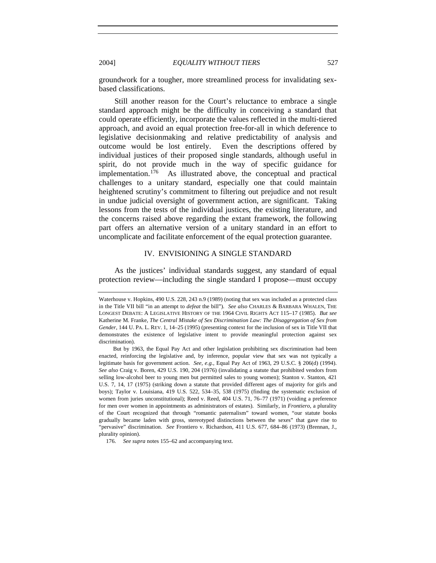groundwork for a tougher, more streamlined process for invalidating sexbased classifications.

Still another reason for the Court's reluctance to embrace a single standard approach might be the difficulty in conceiving a standard that could operate efficiently, incorporate the values reflected in the multi-tiered approach, and avoid an equal protection free-for-all in which deference to legislative decisionmaking and relative predictability of analysis and outcome would be lost entirely. Even the descriptions offered by individual justices of their proposed single standards, although useful in spirit, do not provide much in the way of specific guidance for implementation.<sup>[176](#page-46-0)</sup> As illustrated above, the conceptual and practical challenges to a unitary standard, especially one that could maintain heightened scrutiny's commitment to filtering out prejudice and not result in undue judicial oversight of government action, are significant. Taking lessons from the tests of the individual justices, the existing literature, and the concerns raised above regarding the extant framework, the following part offers an alternative version of a unitary standard in an effort to uncomplicate and facilitate enforcement of the equal protection guarantee.

## IV. ENVISIONING A SINGLE STANDARD

As the justices' individual standards suggest, any standard of equal protection review—including the single standard I propose—must occupy

<span id="page-46-0"></span>176. *See supra* notes 155–62 and accompanying text.

Waterhouse v. Hopkins, 490 U.S. 228, 243 n.9 (1989) (noting that sex was included as a protected class in the Title VII bill "in an attempt to *defeat* the bill"). *See also* CHARLES & BARBARA WHALEN, THE LONGEST DEBATE: A LEGISLATIVE HISTORY OF THE 1964 CIVIL RIGHTS ACT 115–17 (1985). *But see*  Katherine M. Franke, *The Central Mistake of Sex Discrimination Law: The Disaggregation of Sex from Gender*, 144 U. PA. L. REV. 1, 14–25 (1995) (presenting context for the inclusion of sex in Title VII that demonstrates the existence of legislative intent to provide meaningful protection against sex discrimination).

But by 1963, the Equal Pay Act and other legislation prohibiting sex discrimination had been enacted, reinforcing the legislative and, by inference, popular view that sex was not typically a legitimate basis for government action. *See, e.g.*, Equal Pay Act of 1963, 29 U.S.C. § 206(d) (1994). *See also* Craig v. Boren, 429 U.S. 190, 204 (1976) (invalidating a statute that prohibited vendors from selling low-alcohol beer to young men but permitted sales to young women); Stanton v. Stanton, 421 U.S. 7, 14, 17 (1975) (striking down a statute that provided different ages of majority for girls and boys); Taylor v. Louisiana, 419 U.S. 522, 534–35, 538 (1975) (finding the systematic exclusion of women from juries unconstitutional); Reed v. Reed, 404 U.S. 71, 76–77 (1971) (voiding a preference for men over women in appointments as administrators of estates). Similarly, in *Frontiero*, a plurality of the Court recognized that through "romantic paternalism" toward women, "our statute books gradually became laden with gross, stereotyped distinctions between the sexes" that gave rise to "pervasive" discrimination. *See* Frontiero v. Richardson, 411 U.S. 677, 684–86 (1973) (Brennan, J., plurality opinion).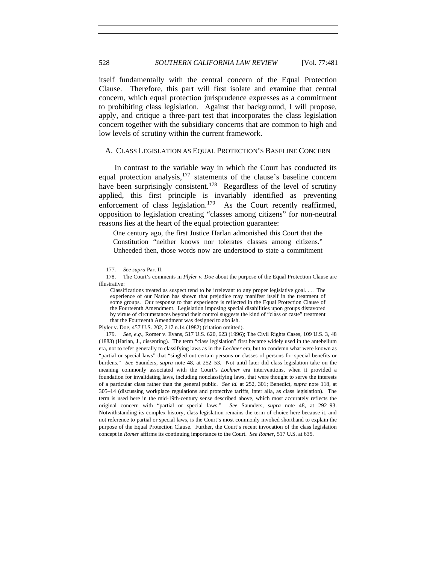itself fundamentally with the central concern of the Equal Protection Clause. Therefore, this part will first isolate and examine that central concern, which equal protection jurisprudence expresses as a commitment to prohibiting class legislation. Against that background, I will propose, apply, and critique a three-part test that incorporates the class legislation concern together with the subsidiary concerns that are common to high and low levels of scrutiny within the current framework.

### A. CLASS LEGISLATION AS EQUAL PROTECTION'S BASELINE CONCERN

In contrast to the variable way in which the Court has conducted its equal protection analysis,<sup>[177](#page-47-0)</sup> statements of the clause's baseline concern have been surprisingly consistent.<sup>[178](#page-47-1)</sup> Regardless of the level of scrutiny applied, this first principle is invariably identified as preventing enforcement of class legislation.<sup>[179](#page-47-2)</sup> As the Court recently reaffirmed, opposition to legislation creating "classes among citizens" for non-neutral reasons lies at the heart of the equal protection guarantee:

One century ago, the first Justice Harlan admonished this Court that the Constitution "neither knows nor tolerates classes among citizens." Unheeded then, those words now are understood to state a commitment

Plyler v. Doe, 457 U.S. 202, 217 n.14 (1982) (citation omitted).

<span id="page-47-2"></span>179. *See, e.g.*, Romer v. Evans, 517 U.S. 620, 623 (1996); The Civil Rights Cases, 109 U.S. 3, 48 (1883) (Harlan, J., dissenting). The term "class legislation" first became widely used in the antebellum era, not to refer generally to classifying laws as in the *Lochner* era, but to condemn what were known as "partial or special laws" that "singled out certain persons or classes of persons for special benefits or burdens." *See* Saunders, *supra* note 48, at 252–53. Not until later did class legislation take on the meaning commonly associated with the Court's *Lochner* era interventions, when it provided a foundation for invalidating laws, including nonclassifying laws, that were thought to serve the interests of a particular class rather than the general public. *See id.* at 252, 301; Benedict, *supra* note 118, at 305–14 (discussing workplace regulations and protective tariffs, inter alia, as class legislation). The term is used here in the mid-19th-century sense described above, which most accurately reflects the original concern with "partial or special laws." *See* Saunders, *supra* note 48, at 292–93. Notwithstanding its complex history, class legislation remains the term of choice here because it, and not reference to partial or special laws, is the Court's most commonly invoked shorthand to explain the purpose of the Equal Protection Clause. Further, the Court's recent invocation of the class legislation concept in *Romer* affirms its continuing importance to the Court. *See Romer*, 517 U.S. at 635.

<sup>177.</sup> *See supra* Part II.

<span id="page-47-1"></span><span id="page-47-0"></span> <sup>178.</sup> The Court's comments in *Plyler v. Doe* about the purpose of the Equal Protection Clause are illustrative:

Classifications treated as suspect tend to be irrelevant to any proper legislative goal. . . . The experience of our Nation has shown that prejudice may manifest itself in the treatment of some groups. Our response to that experience is reflected in the Equal Protection Clause of the Fourteenth Amendment. Legislation imposing special disabilities upon groups disfavored by virtue of circumstances beyond their control suggests the kind of "class or caste" treatment that the Fourteenth Amendment was designed to abolish.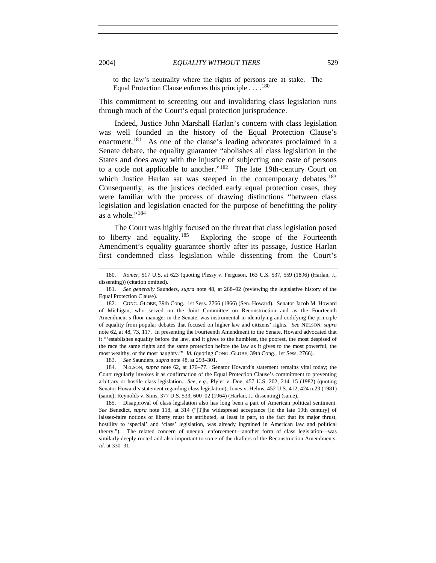to the law's neutrality where the rights of persons are at stake. The Equal Protection Clause enforces this principle . . . .<sup>[180](#page-48-0)</sup>

This commitment to screening out and invalidating class legislation runs through much of the Court's equal protection jurisprudence.

Indeed, Justice John Marshall Harlan's concern with class legislation was well founded in the history of the Equal Protection Clause's enactment.<sup>[181](#page-48-1)</sup> As one of the clause's leading advocates proclaimed in a Senate debate, the equality guarantee "abolishes all class legislation in the States and does away with the injustice of subjecting one caste of persons to a code not applicable to another."[182](#page-48-2) The late 19th-century Court on which Justice Harlan sat was steeped in the contemporary debates.<sup>[183](#page-48-3)</sup> Consequently, as the justices decided early equal protection cases, they were familiar with the process of drawing distinctions "between class legislation and legislation enacted for the purpose of benefitting the polity as a whole."[184](#page-48-4)

 The Court was highly focused on the threat that class legislation posed to liberty and equality.<sup>185</sup> Exploring the scope of the Fourteenth Amendment's equality guarantee shortly after its passage, Justice Harlan first condemned class legislation while dissenting from the Court's

183. *See* Saunders, *supra* note 48, at 293–301.

<span id="page-48-4"></span><span id="page-48-3"></span> 184. NELSON, *supra* note 62, at 176–77. Senator Howard's statement remains vital today; the Court regularly invokes it as confirmation of the Equal Protection Clause's commitment to preventing arbitrary or hostile class legislation. *See, e.g.*, Plyler v. Doe, 457 U.S. 202, 214–15 (1982) (quoting Senator Howard's statement regarding class legislation); Jones v. Helms, 452 U.S. 412, 424 n.23 (1981) (same); Reynolds v. Sims, 377 U.S. 533, 600–02 (1964) (Harlan, J., dissenting) (same).

<span id="page-48-5"></span> 185. Disapproval of class legislation also has long been a part of American political sentiment. *See* Benedict, *supra* note 118, at 314 ("[T]he widespread acceptance [in the late 19th century] of laissez-faire notions of liberty must be attributed, at least in part, to the fact that its major thrust, hostility to 'special' and 'class' legislation, was already ingrained in American law and political theory."). The related concern of unequal enforcement—another form of class legislation—was similarly deeply rooted and also important to some of the drafters of the Reconstruction Amendments. *Id.* at 330–31.

<span id="page-48-0"></span><sup>180.</sup> *Romer*, 517 U.S. at 623 (quoting Plessy v. Ferguson, 163 U.S. 537, 559 (1896) (Harlan, J., dissenting)) (citation omitted).

<span id="page-48-1"></span><sup>181.</sup> *See generally* Saunders, *supra* note 48, at 268–92 (reviewing the legislative history of the Equal Protection Clause).

<span id="page-48-2"></span> <sup>182.</sup> CONG. GLOBE, 39th Cong., 1st Sess. 2766 (1866) (Sen. Howard). Senator Jacob M. Howard of Michigan, who served on the Joint Committee on Reconstruction and as the Fourteenth Amendment's floor manager in the Senate, was instrumental in identifying and codifying the principle of equality from popular debates that focused on higher law and citizens' rights. *See* NELSON, *supra*  note 62, at 48, 73, 117. In presenting the Fourteenth Amendment to the Senate, Howard advocated that it "'establishes equality before the law, and it gives to the humblest, the poorest, the most despised of the race the same rights and the same protection before the law as it gives to the most powerful, the most wealthy, or the most haughty." *Id.* (quoting CONG. GLOBE, 39th Cong., 1st Sess. 2766).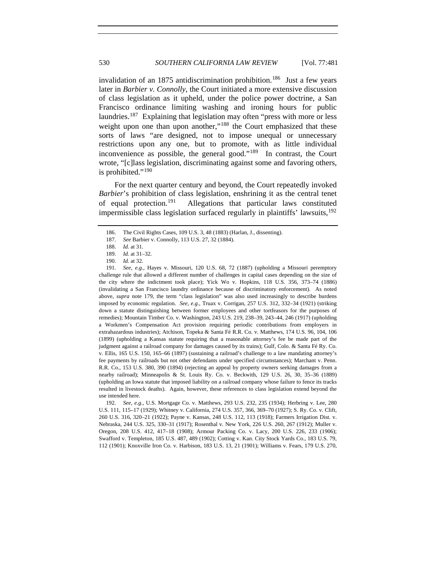invalidation of an 1875 antidiscrimination prohibition.<sup>[186](#page-49-0)</sup> Just a few years later in *Barbier v. Connolly*, the Court initiated a more extensive discussion of class legislation as it upheld, under the police power doctrine, a San Francisco ordinance limiting washing and ironing hours for public laundries.<sup>[187](#page-49-1)</sup> Explaining that legislation may often "press with more or less weight upon one than upon another,"<sup>[188](#page-49-2)</sup> the Court emphasized that these sorts of laws "are designed, not to impose unequal or unnecessary restrictions upon any one, but to promote, with as little individual inconvenience as possible, the general good."[189](#page-49-3) In contrast, the Court wrote, "[c]lass legislation, discriminating against some and favoring others, is prohibited."[190](#page-49-4)

For the next quarter century and beyond, the Court repeatedly invoked *Barbier*'s prohibition of class legislation, enshrining it as the central tenet of equal protection.[191](#page-49-5) Allegations that particular laws constituted impermissible class legislation surfaced regularly in plaintiffs' lawsuits, $192$ 

<span id="page-49-5"></span><span id="page-49-4"></span><span id="page-49-3"></span><span id="page-49-2"></span><span id="page-49-1"></span><span id="page-49-0"></span>191. *See, e.g.*, Hayes v. Missouri, 120 U.S. 68, 72 (1887) (upholding a Missouri peremptory challenge rule that allowed a different number of challenges in capital cases depending on the size of the city where the indictment took place); Yick Wo v. Hopkins, 118 U.S. 356, 373–74 (1886) (invalidating a San Francisco laundry ordinance because of discriminatory enforcement). As noted above, *supra* note 179, the term "class legislation" was also used increasingly to describe burdens imposed by economic regulation. *See, e.g.*, Truax v. Corrigan, 257 U.S. 312, 332–34 (1921) (striking down a statute distinguishing between former employees and other tortfeasors for the purposes of remedies); Mountain Timber Co. v. Washington, 243 U.S. 219, 238–39, 243–44, 246 (1917) (upholding a Workmen's Compensation Act provision requiring periodic contributions from employers in extrahazardous industries); Atchison, Topeka & Santa Fé R.R. Co. v. Matthews, 174 U.S. 96, 104, 106 (1899) (upholding a Kansas statute requiring that a reasonable attorney's fee be made part of the judgment against a railroad company for damages caused by its trains); Gulf, Colo. & Santa Fé Ry. Co. v. Ellis, 165 U.S. 150, 165–66 (1897) (sustaining a railroad's challenge to a law mandating attorney's fee payments by railroads but not other defendants under specified circumstances); Marchant v. Penn. R.R. Co., 153 U.S. 380, 390 (1894) (rejecting an appeal by property owners seeking damages from a nearby railroad); Minneapolis & St. Louis Ry. Co. v. Beckwith, 129 U.S. 26, 30, 35–36 (1889) (upholding an Iowa statute that imposed liability on a railroad company whose failure to fence its tracks resulted in livestock deaths). Again, however, these references to class legislation extend beyond the use intended here.

<span id="page-49-6"></span>192. *See, e.g.*, U.S. Mortgage Co. v. Matthews, 293 U.S. 232, 235 (1934); Herbring v. Lee, 280 U.S. 111, 115–17 (1929); Whitney v. California, 274 U.S. 357, 366, 369–70 (1927); S. Ry. Co. v. Clift, 260 U.S. 316, 320–21 (1922); Payne v. Kansas, 248 U.S. 112, 113 (1918); Farmers Irrigation Dist. v. Nebraska, 244 U.S. 325, 330–31 (1917); Rosenthal v. New York, 226 U.S. 260, 267 (1912); Muller v. Oregon, 208 U.S. 412, 417–18 (1908); Armour Packing Co. v. Lacy, 200 U.S. 226, 233 (1906); Swafford v. Templeton, 185 U.S. 487, 489 (1902); Cotting v. Kan. City Stock Yards Co., 183 U.S. 79, 112 (1901); Knoxville Iron Co. v. Harbison, 183 U.S. 13, 21 (1901); Williams v. Fears, 179 U.S. 270,

 <sup>186.</sup> The Civil Rights Cases, 109 U.S. 3, 48 (1883) (Harlan, J., dissenting).

<sup>187.</sup> *See* Barbier v. Connolly, 113 U.S. 27, 32 (1884).

<sup>188.</sup> *Id.* at 31.

<sup>189.</sup> *Id.* at 31–32.

<sup>190.</sup> *Id.* at 32.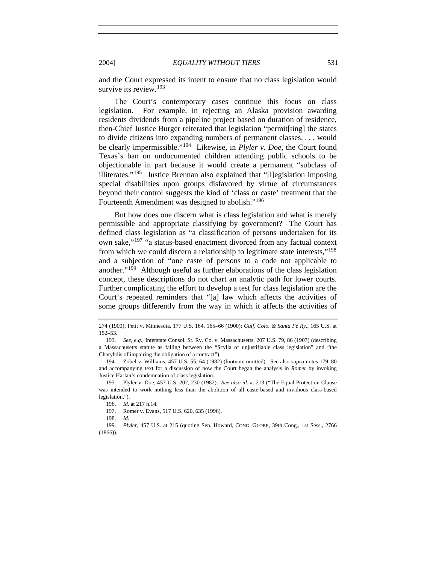and the Court expressed its intent to ensure that no class legislation would survive its review.<sup>[193](#page-50-0)</sup>

The Court's contemporary cases continue this focus on class legislation. For example, in rejecting an Alaska provision awarding residents dividends from a pipeline project based on duration of residence, then-Chief Justice Burger reiterated that legislation "permit[ting] the states to divide citizens into expanding numbers of permanent classes. . . . would be clearly impermissible."[194](#page-50-1) Likewise, in *Plyler v. Doe*, the Court found Texas's ban on undocumented children attending public schools to be objectionable in part because it would create a permanent "subclass of illiterates."<sup>[195](#page-50-2)</sup> Justice Brennan also explained that "[l]egislation imposing special disabilities upon groups disfavored by virtue of circumstances beyond their control suggests the kind of 'class or caste' treatment that the Fourteenth Amendment was designed to abolish."[196](#page-50-3)

But how does one discern what is class legislation and what is merely permissible and appropriate classifying by government? The Court has defined class legislation as "a classification of persons undertaken for its own sake,"[197](#page-50-4) "a status-based enactment divorced from any factual context from which we could discern a relationship to legitimate state interests,"[198](#page-50-5) and a subjection of "one caste of persons to a code not applicable to another."[199](#page-50-6) Although useful as further elaborations of the class legislation concept, these descriptions do not chart an analytic path for lower courts. Further complicating the effort to develop a test for class legislation are the Court's repeated reminders that "[a] law which affects the activities of some groups differently from the way in which it affects the activities of

197. Romer v. Evans, 517 U.S. 620, 635 (1996).

<sup>274 (1900);</sup> Petit v. Minnesota, 177 U.S. 164, 165–66 (1900); *Gulf, Colo. & Santa Fé Ry.*, 165 U.S. at 152–53.

<span id="page-50-0"></span><sup>193.</sup> *See, e.g*., Interstate Consol. St. Ry. Co. v. Massachusetts, 207 U.S. 79, 86 (1907) (describing a Massachusetts statute as falling between the "Scylla of unjustifiable class legislation" and "the Charybdis of impairing the obligation of a contract").

<span id="page-50-1"></span> <sup>194.</sup> Zobel v. Williams, 457 U.S. 55, 64 (1982) (footnote omitted). See also *supra* notes 179–80 and accompanying text for a discussion of how the Court began the analysis in *Romer* by invoking Justice Harlan's condemnation of class legislation.

<span id="page-50-3"></span><span id="page-50-2"></span> <sup>195.</sup> Plyler v. Doe, 457 U.S. 202, 230 (1982). *See also id.* at 213 ("The Equal Protection Clause was intended to work nothing less than the abolition of all caste-based and invidious class-based legislation.").

<sup>196.</sup> *Id.* at 217 n.14.

<sup>198.</sup> *Id.*

<span id="page-50-6"></span><span id="page-50-5"></span><span id="page-50-4"></span><sup>199.</sup> *Plyler*, 457 U.S. at 215 (quoting Sen. Howard, CONG. GLOBE, 39th Cong., 1st Sess., 2766 (1866)).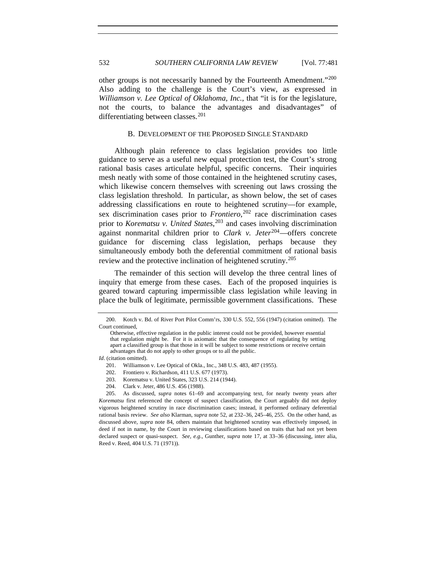other groups is not necessarily banned by the Fourteenth Amendment."<sup>[200](#page-51-0)</sup> Also adding to the challenge is the Court's view, as expressed in *Williamson v. Lee Optical of Oklahoma, Inc.*, that "it is for the legislature, not the courts, to balance the advantages and disadvantages" of differentiating between classes.<sup>[201](#page-51-1)</sup>

## B. DEVELOPMENT OF THE PROPOSED SINGLE STANDARD

Although plain reference to class legislation provides too little guidance to serve as a useful new equal protection test, the Court's strong rational basis cases articulate helpful, specific concerns. Their inquiries mesh neatly with some of those contained in the heightened scrutiny cases, which likewise concern themselves with screening out laws crossing the class legislation threshold. In particular, as shown below, the set of cases addressing classifications en route to heightened scrutiny—for example, sex discrimination cases prior to *Frontiero*, [202](#page-51-2) race discrimination cases prior to *Korematsu v. United States*, [203](#page-51-3) and cases involving discrimination against nonmarital children prior to *Clark v. Jeter*<sup>[204](#page-51-4)</sup>—offers concrete guidance for discerning class legislation, perhaps because they simultaneously embody both the deferential commitment of rational basis review and the protective inclination of heightened scrutiny.<sup>[205](#page-51-5)</sup>

The remainder of this section will develop the three central lines of inquiry that emerge from these cases. Each of the proposed inquiries is geared toward capturing impermissible class legislation while leaving in place the bulk of legitimate, permissible government classifications. These

<span id="page-51-2"></span><span id="page-51-1"></span>*Id*. (citation omitted).

<span id="page-51-0"></span> <sup>200.</sup> Kotch v. Bd. of River Port Pilot Comm'rs, 330 U.S. 552, 556 (1947) (citation omitted). The Court continued,

Otherwise, effective regulation in the public interest could not be provided, however essential that regulation might be. For it is axiomatic that the consequence of regulating by setting apart a classified group is that those in it will be subject to some restrictions or receive certain advantages that do not apply to other groups or to all the public.

 <sup>201.</sup> Williamson v. Lee Optical of Okla., Inc., 348 U.S. 483, 487 (1955).

 <sup>202.</sup> Frontiero v. Richardson, 411 U.S. 677 (1973).

 <sup>203.</sup> Korematsu v. United States, 323 U.S. 214 (1944).

 <sup>204.</sup> Clark v. Jeter, 486 U.S. 456 (1988).

<span id="page-51-5"></span><span id="page-51-4"></span><span id="page-51-3"></span> <sup>205.</sup> As discussed, *supra* notes 61–69 and accompanying text, for nearly twenty years after *Korematsu* first referenced the concept of suspect classification, the Court arguably did not deploy vigorous heightened scrutiny in race discrimination cases; instead, it performed ordinary deferential rational basis review. *See also* Klarman, *supra* note 52, at 232–36, 245–46, 255. On the other hand, as discussed above, *supra* note 84, others maintain that heightened scrutiny was effectively imposed, in deed if not in name, by the Court in reviewing classifications based on traits that had not yet been declared suspect or quasi-suspect. *See, e.g.*, Gunther, *supra* note 17, at 33–36 (discussing, inter alia, Reed v. Reed, 404 U.S. 71 (1971)).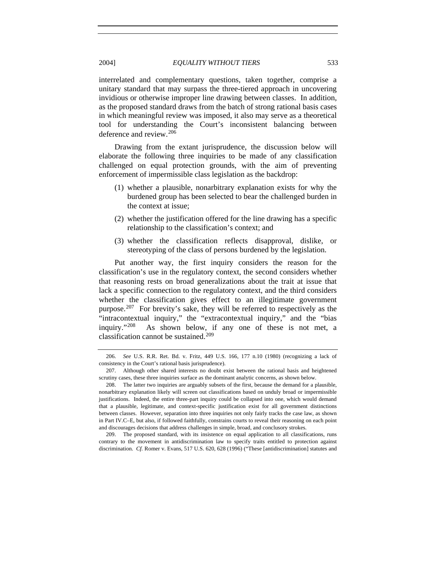interrelated and complementary questions, taken together, comprise a unitary standard that may surpass the three-tiered approach in uncovering invidious or otherwise improper line drawing between classes. In addition, as the proposed standard draws from the batch of strong rational basis cases in which meaningful review was imposed, it also may serve as a theoretical tool for understanding the Court's inconsistent balancing between deference and review.[206](#page-52-0)

Drawing from the extant jurisprudence, the discussion below will elaborate the following three inquiries to be made of any classification challenged on equal protection grounds, with the aim of preventing enforcement of impermissible class legislation as the backdrop:

- (1) whether a plausible, nonarbitrary explanation exists for why the burdened group has been selected to bear the challenged burden in the context at issue;
- (2) whether the justification offered for the line drawing has a specific relationship to the classification's context; and
- (3) whether the classification reflects disapproval, dislike, or stereotyping of the class of persons burdened by the legislation.

 Put another way, the first inquiry considers the reason for the classification's use in the regulatory context, the second considers whether that reasoning rests on broad generalizations about the trait at issue that lack a specific connection to the regulatory context, and the third considers whether the classification gives effect to an illegitimate government purpose.<sup>[207](#page-52-1)</sup> For brevity's sake, they will be referred to respectively as the "intracontextual inquiry," the "extracontextual inquiry," and the "bias inquiry."<sup>[208](#page-52-2)</sup> As shown below, if any one of these is not met, a classification cannot be sustained.[209](#page-52-3)

<span id="page-52-0"></span><sup>206.</sup> *See* U.S. R.R. Ret. Bd. v. Fritz, 449 U.S. 166, 177 n.10 (1980) (recognizing a lack of consistency in the Court's rational basis jurisprudence).

<span id="page-52-1"></span> <sup>207.</sup> Although other shared interests no doubt exist between the rational basis and heightened scrutiny cases, these three inquiries surface as the dominant analytic concerns, as shown below.

<span id="page-52-2"></span> <sup>208.</sup> The latter two inquiries are arguably subsets of the first, because the demand for a plausible, nonarbitrary explanation likely will screen out classifications based on unduly broad or impermissible justifications. Indeed, the entire three-part inquiry could be collapsed into one, which would demand that a plausible, legitimate, and context-specific justification exist for all government distinctions between classes. However, separation into three inquiries not only fairly tracks the case law, as shown in Part IV.C–E, but also, if followed faithfully, constrains courts to reveal their reasoning on each point and discourages decisions that address challenges in simple, broad, and conclusory strokes.

<span id="page-52-3"></span> <sup>209.</sup> The proposed standard, with its insistence on equal application to all classifications, runs contrary to the movement in antidiscrimination law to specify traits entitled to protection against discrimination. *Cf.* Romer v. Evans, 517 U.S. 620, 628 (1996) ("These [antidiscrimination] statutes and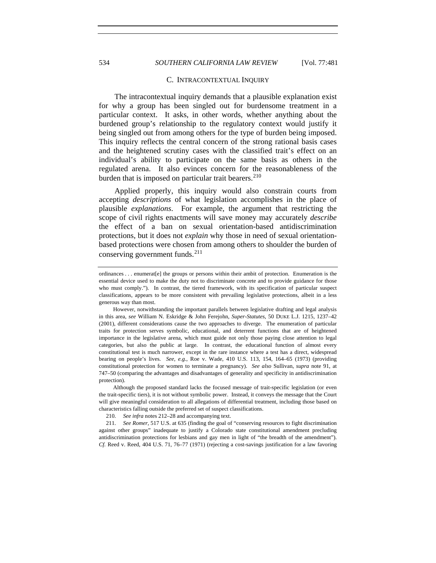## 534 *SOUTHERN CALIFORNIA LAW REVIEW* [Vol. 77:481

### C. INTRACONTEXTUAL INQUIRY

The intracontextual inquiry demands that a plausible explanation exist for why a group has been singled out for burdensome treatment in a particular context. It asks, in other words, whether anything about the burdened group's relationship to the regulatory context would justify it being singled out from among others for the type of burden being imposed. This inquiry reflects the central concern of the strong rational basis cases and the heightened scrutiny cases with the classified trait's effect on an individual's ability to participate on the same basis as others in the regulated arena. It also evinces concern for the reasonableness of the burden that is imposed on particular trait bearers.<sup>[210](#page-53-0)</sup>

Applied properly, this inquiry would also constrain courts from accepting *descriptions* of what legislation accomplishes in the place of plausible *explanations*. For example, the argument that restricting the scope of civil rights enactments will save money may accurately *describe* the effect of a ban on sexual orientation-based antidiscrimination protections, but it does not *explain* why those in need of sexual orientationbased protections were chosen from among others to shoulder the burden of conserving government funds.<sup>[211](#page-53-1)</sup>

Although the proposed standard lacks the focused message of trait-specific legislation (or even the trait-specific tiers), it is not without symbolic power. Instead, it conveys the message that the Court will give meaningful consideration to all allegations of differential treatment, including those based on characteristics falling outside the preferred set of suspect classifications.

210. *See infra* notes 212–28 and accompanying text.

<span id="page-53-1"></span><span id="page-53-0"></span>211. *See Romer*, 517 U.S. at 635 (finding the goal of "conserving resources to fight discrimination against other groups" inadequate to justify a Colorado state constitutional amendment precluding antidiscrimination protections for lesbians and gay men in light of "the breadth of the amendment"). *Cf*. Reed v. Reed, 404 U.S. 71, 76–77 (1971) (rejecting a cost-savings justification for a law favoring

ordinances . . . enumerat[e] the groups or persons within their ambit of protection. Enumeration is the essential device used to make the duty not to discriminate concrete and to provide guidance for those who must comply."). In contrast, the tiered framework, with its specification of particular suspect classifications, appears to be more consistent with prevailing legislative protections, albeit in a less generous way than most.

However, notwithstanding the important parallels between legislative drafting and legal analysis in this area, *see* William N. Eskridge & John Ferejohn, *Super-Statutes*, 50 DUKE L.J. 1215, 1237–42 (2001), different considerations cause the two approaches to diverge. The enumeration of particular traits for protection serves symbolic, educational, and deterrent functions that are of heightened importance in the legislative arena, which must guide not only those paying close attention to legal categories, but also the public at large. In contrast, the educational function of almost every constitutional test is much narrower, except in the rare instance where a test has a direct, widespread bearing on people's lives. *See, e.g.*, Roe v. Wade, 410 U.S. 113, 154, 164–65 (1973) (providing constitutional protection for women to terminate a pregnancy). *See also* Sullivan, *supra* note 91, at 747–50 (comparing the advantages and disadvantages of generality and specificity in antidiscrimination protection).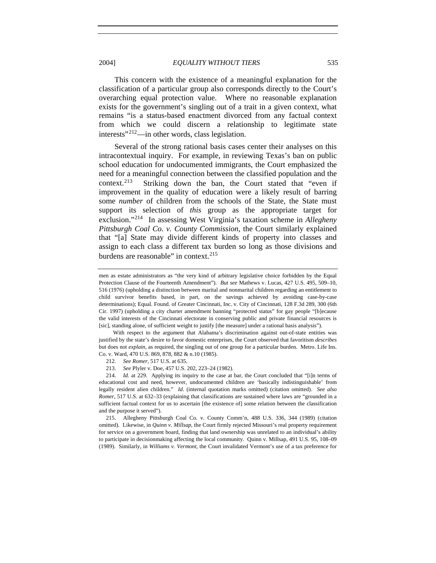This concern with the existence of a meaningful explanation for the classification of a particular group also corresponds directly to the Court's overarching equal protection value. Where no reasonable explanation exists for the government's singling out of a trait in a given context, what remains "is a status-based enactment divorced from any factual context from which we could discern a relationship to legitimate state interests"[212](#page-54-0)—in other words, class legislation.

Several of the strong rational basis cases center their analyses on this intracontextual inquiry. For example, in reviewing Texas's ban on public school education for undocumented immigrants, the Court emphasized the need for a meaningful connection between the classified population and the context.<sup>[213](#page-54-1)</sup> Striking down the ban, the Court stated that "even if improvement in the quality of education were a likely result of barring some *number* of children from the schools of the State, the State must support its selection of *this* group as the appropriate target for exclusion."[214](#page-54-2) In assessing West Virginia's taxation scheme in *Allegheny Pittsburgh Coal Co. v. County Commission*, the Court similarly explained that "[a] State may divide different kinds of property into classes and assign to each class a different tax burden so long as those divisions and burdens are reasonable" in context.<sup>[215](#page-54-3)</sup>

With respect to the argument that Alabama's discrimination against out-of-state entities was justified by the state's desire to favor domestic enterprises, the Court observed that favoritism *describes* but does not *explain*, as required, the singling out of one group for a particular burden. Metro. Life Ins. Co. v. Ward, 470 U.S. 869, 878, 882 & n.10 (1985).

men as estate administrators as "the very kind of arbitrary legislative choice forbidden by the Equal Protection Clause of the Fourteenth Amendment"). *But see* Mathews v. Lucas, 427 U.S. 495, 509–10, 516 (1976) (upholding a distinction between marital and nonmarital children regarding an entitlement to child survivor benefits based, in part, on the savings achieved by avoiding case-by-case determinations); Equal. Found. of Greater Cincinnati, Inc. v. City of Cincinnati, 128 F.3d 289, 300 (6th Cir. 1997) (upholding a city charter amendment banning "protected status" for gay people "[b]ecause the valid interests of the Cincinnati electorate in conserving public and private financial resources is [sic], standing alone, of sufficient weight to justify [the measure] under a rational basis analysis").

<sup>212.</sup> *See Romer*, 517 U.S. at 635.

<sup>213.</sup> *See* Plyler v. Doe, 457 U.S. 202, 223–24 (1982).

<span id="page-54-2"></span><span id="page-54-1"></span><span id="page-54-0"></span><sup>214.</sup> *Id.* at 229. Applying its inquiry to the case at bar, the Court concluded that "[i]n terms of educational cost and need, however, undocumented children are 'basically indistinguishable' from legally resident alien children." *Id*. (internal quotation marks omitted) (citation omitted). *See also Romer*, 517 U.S. at 632–33 (explaining that classifications are sustained where laws are "grounded in a sufficient factual context for us to ascertain [the existence of] some relation between the classification and the purpose it served").

<span id="page-54-3"></span> <sup>215.</sup> Allegheny Pittsburgh Coal Co. v. County Comm'n, 488 U.S. 336, 344 (1989) (citation omitted). Likewise, in *Quinn v. Millsap*, the Court firmly rejected Missouri's real property requirement for service on a government board, finding that land ownership was unrelated to an individual's ability to participate in decisionmaking affecting the local community. Quinn v. Millsap, 491 U.S. 95, 108–09 (1989). Similarly, in *Williams v. Vermont*, the Court invalidated Vermont's use of a tax preference for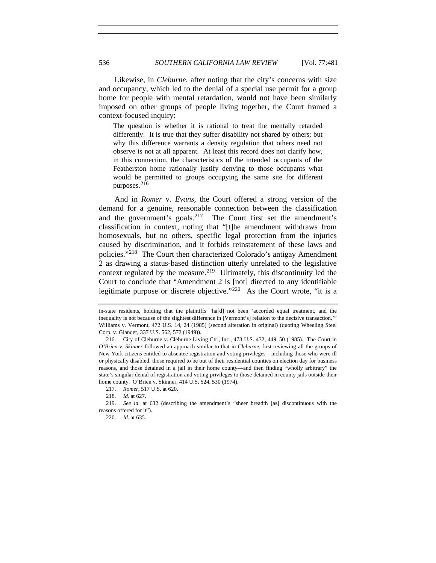Likewise, in *Cleburne*, after noting that the city's concerns with size and occupancy, which led to the denial of a special use permit for a group home for people with mental retardation, would not have been similarly imposed on other groups of people living together, the Court framed a context-focused inquiry:

The question is whether it is rational to treat the mentally retarded differently. It is true that they suffer disability not shared by others; but why this difference warrants a density regulation that others need not observe is not at all apparent. At least this record does not clarify how, in this connection, the characteristics of the intended occupants of the Featherston home rationally justify denying to those occupants what would be permitted to groups occupying the same site for different purposes.[216](#page-55-0)

And in *Romer* v. *Evans*, the Court offered a strong version of the demand for a genuine, reasonable connection between the classification and the government's goals. $2^{17}$  The Court first set the amendment's classification in context, noting that "[t]he amendment withdraws from homosexuals, but no others, specific legal protection from the injuries caused by discrimination, and it forbids reinstatement of these laws and policies."[218](#page-55-2) The Court then characterized Colorado's antigay Amendment 2 as drawing a status-based distinction utterly unrelated to the legislative context regulated by the measure.<sup>[219](#page-55-3)</sup> Ultimately, this discontinuity led the Court to conclude that "Amendment 2 is [not] directed to any identifiable legitimate purpose or discrete objective."<sup>[220](#page-55-4)</sup> As the Court wrote, "it is a

in-state residents, holding that the plaintiffs "ha[d] not been 'accorded equal treatment, and the inequality is not because of the slightest difference in [Vermont's] relation to the decisive transaction.'" Williams v. Vermont, 472 U.S. 14, 24 (1985) (second alteration in original) (quoting Wheeling Steel Corp. v. Glander, 337 U.S. 562, 572 (1949)).

<span id="page-55-0"></span> <sup>216.</sup> City of Cleburne v. Cleburne Living Ctr., Inc., 473 U.S. 432, 449–50 (1985). The Court in *O'Brien v. Skinner* followed an approach similar to that in *Cleburne*, first reviewing all the groups of New York citizens entitled to absentee registration and voting privileges—including those who were ill or physically disabled, those required to be out of their residential counties on election day for business reasons, and those detained in a jail in their home county—and then finding "wholly arbitrary" the state's singular denial of registration and voting privileges to those detained in county jails outside their home county. O'Brien v. Skinner, 414 U.S. 524, 530 (1974).

<sup>217.</sup> *Romer*, 517 U.S. at 620.

<sup>218.</sup> *Id.* at 627.

<span id="page-55-4"></span><span id="page-55-3"></span><span id="page-55-2"></span><span id="page-55-1"></span><sup>219.</sup> *See id.* at 632 (describing the amendment's "sheer breadth [as] discontinuous with the reasons offered for it").

<sup>220.</sup> *Id.* at 635.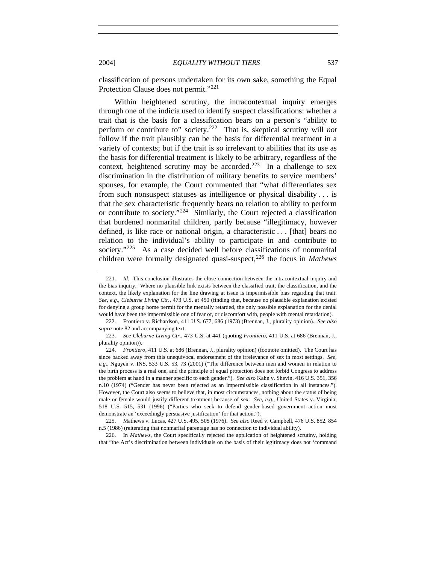classification of persons undertaken for its own sake, something the Equal Protection Clause does not permit."[221](#page-56-0)

 Within heightened scrutiny, the intracontextual inquiry emerges through one of the indicia used to identify suspect classifications: whether a trait that is the basis for a classification bears on a person's "ability to perform or contribute to" society.[222](#page-56-1) That is, skeptical scrutiny will *not*  follow if the trait plausibly can be the basis for differential treatment in a variety of contexts; but if the trait is so irrelevant to abilities that its use as the basis for differential treatment is likely to be arbitrary, regardless of the context, heightened scrutiny may be accorded.<sup>[223](#page-56-2)</sup> In a challenge to sex discrimination in the distribution of military benefits to service members' spouses, for example, the Court commented that "what differentiates sex from such nonsuspect statuses as intelligence or physical disability . . . is that the sex characteristic frequently bears no relation to ability to perform or contribute to society." $224$  Similarly, the Court rejected a classification that burdened nonmarital children, partly because "illegitimacy, however defined, is like race or national origin, a characteristic . . . [that] bears no relation to the individual's ability to participate in and contribute to society."<sup>[225](#page-56-4)</sup> As a case decided well before classifications of nonmarital children were formally designated quasi-suspect,[226](#page-56-5) the focus in *Mathews* 

<span id="page-56-0"></span><sup>221.</sup> *Id.* This conclusion illustrates the close connection between the intracontextual inquiry and the bias inquiry. Where no plausible link exists between the classified trait, the classification, and the context, the likely explanation for the line drawing at issue is impermissible bias regarding that trait. *See, e.g.*, *Cleburne Living Ctr.*, 473 U.S. at 450 (finding that, because no plausible explanation existed for denying a group home permit for the mentally retarded, the only possible explanation for the denial would have been the impermissible one of fear of, or discomfort with, people with mental retardation).

<span id="page-56-1"></span> <sup>222.</sup> Frontiero v. Richardson, 411 U.S. 677, 686 (1973) (Brennan, J., plurality opinion). *See also supra* note 82 and accompanying text.

<span id="page-56-2"></span><sup>223.</sup> *See Cleburne Living Ctr.*, 473 U.S. at 441 (quoting *Frontiero*, 411 U.S. at 686 (Brennan, J., plurality opinion)).

<span id="page-56-3"></span><sup>224.</sup> *Frontiero*, 411 U.S. at 686 (Brennan, J., plurality opinion) (footnote omitted). The Court has since backed away from this unequivocal endorsement of the irrelevance of sex in most settings. *See, e.g.*, Nguyen v. INS, 533 U.S. 53, 73 (2001) ("The difference between men and women in relation to the birth process is a real one, and the principle of equal protection does not forbid Congress to address the problem at hand in a manner specific to each gender."). *See also* Kahn v. Shevin, 416 U.S. 351, 356 n.10 (1974) ("Gender has never been rejected as an impermissible classification in all instances."). However, the Court also seems to believe that, in most circumstances, nothing about the status of being male or female would justify different treatment because of sex. *See, e.g.*, United States v. Virginia, 518 U.S. 515, 531 (1996) ("Parties who seek to defend gender-based government action must demonstrate an 'exceedingly persuasive justification' for that action.").

<span id="page-56-4"></span> <sup>225.</sup> Mathews v. Lucas, 427 U.S. 495, 505 (1976). *See also* Reed v. Campbell, 476 U.S. 852, 854 n.5 (1986) (reiterating that nonmarital parentage has no connection to individual ability).

<span id="page-56-5"></span> <sup>226.</sup> In *Mathews*, the Court specifically rejected the application of heightened scrutiny, holding that "the Act's discrimination between individuals on the basis of their legitimacy does not 'command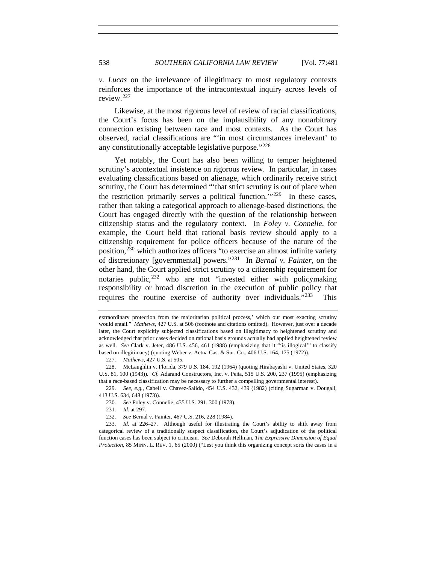*v. Lucas* on the irrelevance of illegitimacy to most regulatory contexts reinforces the importance of the intracontextual inquiry across levels of review.[227](#page-57-0)

Likewise, at the most rigorous level of review of racial classifications, the Court's focus has been on the implausibility of any nonarbitrary connection existing between race and most contexts. As the Court has observed, racial classifications are "'in most circumstances irrelevant' to any constitutionally acceptable legislative purpose."<sup>[228](#page-57-1)</sup>

 Yet notably, the Court has also been willing to temper heightened scrutiny's acontextual insistence on rigorous review. In particular, in cases evaluating classifications based on alienage, which ordinarily receive strict scrutiny, the Court has determined "'that strict scrutiny is out of place when the restriction primarily serves a political function.<sup> $1229$  $1229$ </sup> In these cases, rather than taking a categorical approach to alienage-based distinctions, the Court has engaged directly with the question of the relationship between citizenship status and the regulatory context. In *Foley v. Connelie*, for example, the Court held that rational basis review should apply to a citizenship requirement for police officers because of the nature of the position,[230](#page-57-3) which authorizes officers "to exercise an almost infinite variety of discretionary [governmental] powers."[231](#page-57-4) In *Bernal v. Fainter*, on the other hand, the Court applied strict scrutiny to a citizenship requirement for notaries public,  $232$  who are not "invested either with policymaking responsibility or broad discretion in the execution of public policy that requires the routine exercise of authority over individuals."<sup>[233](#page-57-6)</sup> This

231. *Id.* at 297.

extraordinary protection from the majoritarian political process,' which our most exacting scrutiny would entail." *Mathews*, 427 U.S. at 506 (footnote and citations omitted). However, just over a decade later, the Court explicitly subjected classifications based on illegitimacy to heightened scrutiny and acknowledged that prior cases decided on rational basis grounds actually had applied heightened review as well. *See* Clark v. Jeter, 486 U.S. 456, 461 (1988) (emphasizing that it "'is illogical'" to classify based on illegitimacy) (quoting Weber v. Aetna Cas. & Sur. Co., 406 U.S. 164, 175 (1972)).

<sup>227.</sup> *Mathews*, 427 U.S. at 505.

<span id="page-57-1"></span><span id="page-57-0"></span> <sup>228.</sup> McLaughlin v. Florida, 379 U.S. 184, 192 (1964) (quoting Hirabayashi v. United States, 320 U.S. 81, 100 (1943)). *Cf.* Adarand Constructors, Inc. v. Peña, 515 U.S. 200, 237 (1995) (emphasizing that a race-based classification may be necessary to further a compelling governmental interest).

<span id="page-57-3"></span><span id="page-57-2"></span><sup>229.</sup> *See, e.g.*, Cabell v. Chavez-Salido, 454 U.S. 432, 439 (1982) (citing Sugarman v. Dougall, 413 U.S. 634, 648 (1973)).

<sup>230.</sup> *See* Foley v. Connelie, 435 U.S. 291, 300 (1978).

<sup>232.</sup> *See* Bernal v. Fainter, 467 U.S. 216, 228 (1984).

<span id="page-57-6"></span><span id="page-57-5"></span><span id="page-57-4"></span><sup>233.</sup> *Id.* at 226–27. Although useful for illustrating the Court's ability to shift away from categorical review of a traditionally suspect classification, the Court's adjudication of the political function cases has been subject to criticism. *See* Deborah Hellman, *The Expressive Dimension of Equal Protection*, 85 MINN. L. REV. 1, 65 (2000) ("Lest you think this organizing concept sorts the cases in a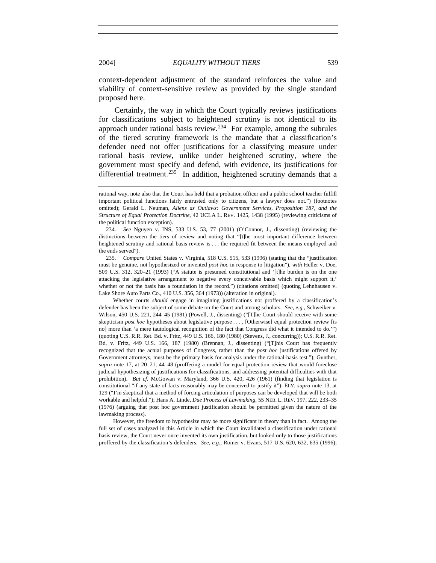context-dependent adjustment of the standard reinforces the value and viability of context-sensitive review as provided by the single standard proposed here.

 Certainly, the way in which the Court typically reviews justifications for classifications subject to heightened scrutiny is not identical to its approach under rational basis review.<sup>[234](#page-58-0)</sup> For example, among the subrules of the tiered scrutiny framework is the mandate that a classification's defender need not offer justifications for a classifying measure under rational basis review, unlike under heightened scrutiny, where the government must specify and defend, with evidence, its justifications for differential treatment.<sup>[235](#page-58-1)</sup> In addition, heightened scrutiny demands that a

<span id="page-58-1"></span>235. *Compare* United States v. Virginia, 518 U.S. 515, 533 (1996) (stating that the "justification must be genuine, not hypothesized or invented *post hoc* in response to litigation"), *with* Heller v. Doe, 509 U.S. 312, 320–21 (1993) ("A statute is presumed constitutional and '[t]he burden is on the one attacking the legislative arrangement to negative every conceivable basis which might support it,' whether or not the basis has a foundation in the record.") (citations omitted) (quoting Lehnhausen v. Lake Shore Auto Parts Co., 410 U.S. 356, 364 (1973)) (alteration in original).

Whether courts *should* engage in imagining justifications not proffered by a classification's defender has been the subject of some debate on the Court and among scholars. *See, e.g.*, Schweiker v. Wilson, 450 U.S. 221, 244–45 (1981) (Powell, J., dissenting) ("[T]he Court should receive with some skepticism *post hoc* hypotheses about legislative purpose . . . . [Otherwise] equal protection review [is no] more than 'a mere tautological recognition of the fact that Congress did what it intended to do.'") (quoting U.S. R.R. Ret. Bd. v. Fritz, 449 U.S. 166, 180 (1980) (Stevens, J., concurring)); U.S. R.R. Ret. Bd. v. Fritz, 449 U.S. 166, 187 (1980) (Brennan, J., dissenting) ("[T]his Court has frequently recognized that the actual purposes of Congress, rather than the *post hoc* justifications offered by Government attorneys, must be the primary basis for analysis under the rational-basis test."); Gunther, *supra* note 17, at 20–21, 44–48 (proffering a model for equal protection review that would foreclose judicial hypothesizing of justifications for classifications, and addressing potential difficulties with that prohibition). *But cf.* McGowan v. Maryland, 366 U.S. 420, 426 (1961) (finding that legislation is constitutional "if any state of facts reasonably may be conceived to justify it"); ELY, *supra* note 13, at 129 ("I'm skeptical that a method of forcing articulation of purposes can be developed that will be both workable and helpful."); Hans A. Linde, *Due Process of Lawmaking*, 55 NEB. L. REV. 197, 222, 233–35 (1976) (arguing that post hoc government justification should be permitted given the nature of the lawmaking process).

However, the freedom to hypothesize may be more significant in theory than in fact. Among the full set of cases analyzed in this Article in which the Court invalidated a classification under rational basis review, the Court never once invented its own justification, but looked only to those justifications proffered by the classification's defenders. *See, e.g.*, Romer v. Evans, 517 U.S. 620, 632, 635 (1996);

rational way, note also that the Court has held that a probation officer and a public school teacher fulfill important political functions fairly entrusted only to citizens, but a lawyer does not.") (footnotes omitted); Gerald L. Neuman, *Aliens as Outlaws: Government Services, Proposition 187, and the Structure of Equal Protection Doctrine*, 42 UCLA L. REV. 1425, 1438 (1995) (reviewing criticisms of the political function exception).

<span id="page-58-0"></span><sup>234.</sup> *See* Nguyen v. INS, 533 U.S. 53, 77 (2001) (O'Connor, J., dissenting) (reviewing the distinctions between the tiers of review and noting that "[t]he most important difference between heightened scrutiny and rational basis review is . . . the required fit between the means employed and the ends served").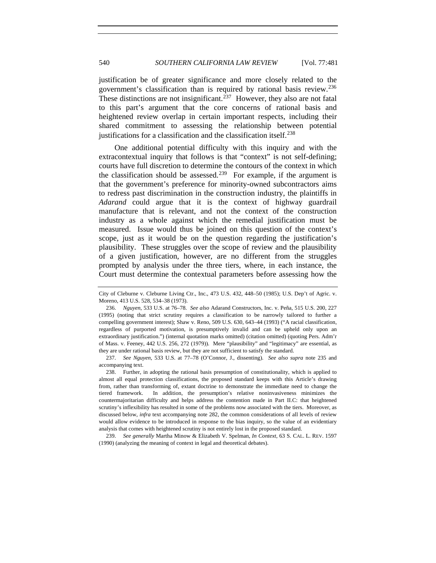justification be of greater significance and more closely related to the government's classification than is required by rational basis review.[236](#page-59-0) These distinctions are not insignificant.<sup>[237](#page-59-1)</sup> However, they also are not fatal to this part's argument that the core concerns of rational basis and heightened review overlap in certain important respects, including their shared commitment to assessing the relationship between potential justifications for a classification and the classification itself.<sup>[238](#page-59-2)</sup>

One additional potential difficulty with this inquiry and with the extracontextual inquiry that follows is that "context" is not self-defining; courts have full discretion to determine the contours of the context in which the classification should be assessed.<sup>[239](#page-59-3)</sup> For example, if the argument is that the government's preference for minority-owned subcontractors aims to redress past discrimination in the construction industry, the plaintiffs in *Adarand* could argue that it is the context of highway guardrail manufacture that is relevant, and not the context of the construction industry as a whole against which the remedial justification must be measured. Issue would thus be joined on this question of the context's scope, just as it would be on the question regarding the justification's plausibility. These struggles over the scope of review and the plausibility of a given justification, however, are no different from the struggles prompted by analysis under the three tiers, where, in each instance, the Court must determine the contextual parameters before assessing how the

<span id="page-59-1"></span>237. *See Nguyen*, 533 U.S. at 77–78 (O'Connor, J., dissenting). *See also supra* note 235 and accompanying text.

<span id="page-59-2"></span> 238. Further, in adopting the rational basis presumption of constitutionality, which is applied to almost all equal protection classifications, the proposed standard keeps with this Article's drawing from, rather than transforming of, extant doctrine to demonstrate the immediate need to change the tiered framework. In addition, the presumption's relative noninvasiveness minimizes the countermajoritarian difficulty and helps address the contention made in Part II.C: that heightened scrutiny's inflexibility has resulted in some of the problems now associated with the tiers. Moreover, as discussed below, *infra* text accompanying note 282, the common considerations of all levels of review would allow evidence to be introduced in response to the bias inquiry, so the value of an evidentiary analysis that comes with heightened scrutiny is not entirely lost in the proposed standard.

<span id="page-59-3"></span>239. *See generally* Martha Minow & Elizabeth V. Spelman, *In Context*, 63 S. CAL. L. REV. 1597 (1990) (analyzing the meaning of context in legal and theoretical debates).

City of Cleburne v. Cleburne Living Ctr., Inc., 473 U.S. 432, 448–50 (1985); U.S. Dep't of Agric. v. Moreno, 413 U.S. 528, 534–38 (1973).

<span id="page-59-0"></span><sup>236.</sup> *Nguyen*, 533 U.S. at 76–78. *See also* Adarand Constructors, Inc. v. Peña, 515 U.S. 200, 227 (1995) (noting that strict scrutiny requires a classification to be narrowly tailored to further a compelling government interest); Shaw v. Reno, 509 U.S. 630, 643–44 (1993) ("A racial classification, regardless of purported motivation, is presumptively invalid and can be upheld only upon an extraordinary justification.") (internal quotation marks omitted) (citation omitted) (quoting Pers. Adm'r of Mass. v. Feeney, 442 U.S. 256, 272 (1979)). Mere "plausibility" and "legitimacy" are essential, as they are under rational basis review, but they are not sufficient to satisfy the standard.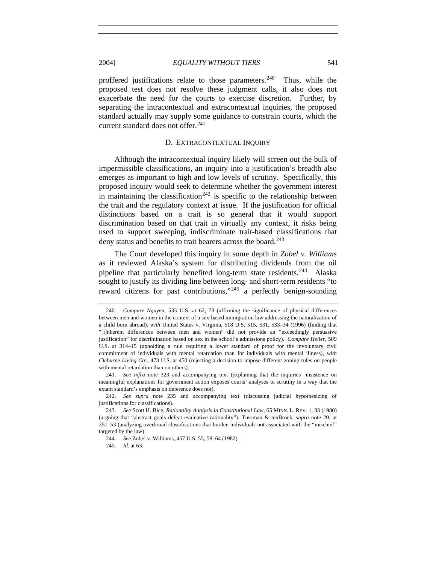proffered justifications relate to those parameters.<sup>[240](#page-60-0)</sup> Thus, while the proposed test does not resolve these judgment calls, it also does not exacerbate the need for the courts to exercise discretion. Further, by separating the intracontextual and extracontextual inquiries, the proposed standard actually may supply some guidance to constrain courts, which the current standard does not offer.<sup>[241](#page-60-1)</sup>

### D. EXTRACONTEXTUAL INQUIRY

Although the intracontextual inquiry likely will screen out the bulk of impermissible classifications, an inquiry into a justification's breadth also emerges as important to high and low levels of scrutiny. Specifically, this proposed inquiry would seek to determine whether the government interest in maintaining the classification<sup>[242](#page-60-2)</sup> is specific to the relationship between the trait and the regulatory context at issue. If the justification for official distinctions based on a trait is so general that it would support discrimination based on that trait in virtually any context, it risks being used to support sweeping, indiscriminate trait-based classifications that deny status and benefits to trait bearers across the board.<sup>[243](#page-60-3)</sup>

The Court developed this inquiry in some depth in *Zobel v. Williams* as it reviewed Alaska's system for distributing dividends from the oil pipeline that particularly benefited long-term state residents.<sup>[244](#page-60-4)</sup> Alaska sought to justify its dividing line between long- and short-term residents "to reward citizens for past contributions,"<sup>[245](#page-60-5)</sup> a perfectly benign-sounding

<span id="page-60-0"></span><sup>240.</sup> *Compare Nguyen*, 533 U.S. at 62, 73 (affirming the significance of physical differences between men and women in the context of a sex-based immigration law addressing the naturalization of a child born abroad), *with* United States v. Virginia, 518 U.S. 515, 531, 533–34 (1996) (finding that "[i]nherent differences between men and women" did not provide an "exceedingly persuasive justification" for discrimination based on sex in the school's admissions policy). *Compare Heller*, 509 U.S. at 314–15 (upholding a rule requiring a lower standard of proof for the involuntary civil commitment of individuals with mental retardation than for individuals with mental illness), *with Cleburne Living Ctr.*, 473 U.S. at 450 (rejecting a decision to impose different zoning rules on people with mental retardation than on others).

<span id="page-60-1"></span><sup>241.</sup> *See infra* note 323 and accompanying text (explaining that the inquiries' insistence on meaningful explanations for government action exposes courts' analyses to scrutiny in a way that the extant standard's emphasis on deference does not).

<span id="page-60-2"></span><sup>242.</sup> *See supra* note 235 and accompanying text (discussing judicial hypothesizing of justifications for classifications).

<span id="page-60-5"></span><span id="page-60-4"></span><span id="page-60-3"></span><sup>243.</sup> *See* Scott H. Bice, *Rationality Analysis in Constitutional Law*, 65 MINN. L. REV. 1, 33 (1980) (arguing that "abstract goals defeat evaluative rationality"); Tussman & tenBroek, *supra* note 20, at 351–53 (analyzing overbroad classifications that burden individuals not associated with the "mischief" targeted by the law).

<sup>244.</sup> *See* Zobel v. Williams, 457 U.S. 55, 58–64 (1982).

<sup>245.</sup> *Id.* at 63.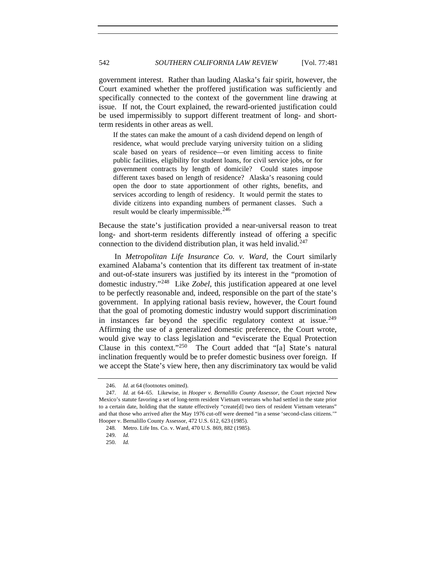government interest. Rather than lauding Alaska's fair spirit, however, the Court examined whether the proffered justification was sufficiently and specifically connected to the context of the government line drawing at issue. If not, the Court explained, the reward-oriented justification could be used impermissibly to support different treatment of long- and shortterm residents in other areas as well.

If the states can make the amount of a cash dividend depend on length of residence, what would preclude varying university tuition on a sliding scale based on years of residence—or even limiting access to finite public facilities, eligibility for student loans, for civil service jobs, or for government contracts by length of domicile? Could states impose different taxes based on length of residence? Alaska's reasoning could open the door to state apportionment of other rights, benefits, and services according to length of residency. It would permit the states to divide citizens into expanding numbers of permanent classes. Such a result would be clearly impermissible.<sup>[246](#page-61-0)</sup>

Because the state's justification provided a near-universal reason to treat long- and short-term residents differently instead of offering a specific connection to the dividend distribution plan, it was held invalid. $247$ 

In *Metropolitan Life Insurance Co. v. Ward*, the Court similarly examined Alabama's contention that its different tax treatment of in-state and out-of-state insurers was justified by its interest in the "promotion of domestic industry."[248](#page-61-2) Like *Zobel*, this justification appeared at one level to be perfectly reasonable and, indeed, responsible on the part of the state's government. In applying rational basis review, however, the Court found that the goal of promoting domestic industry would support discrimination in instances far beyond the specific regulatory context at issue. $249$ Affirming the use of a generalized domestic preference, the Court wrote, would give way to class legislation and "eviscerate the Equal Protection Clause in this context."[250](#page-61-4) The Court added that "[a] State's natural inclination frequently would be to prefer domestic business over foreign. If we accept the State's view here, then any discriminatory tax would be valid

<sup>246.</sup> *Id.* at 64 (footnotes omitted).

<span id="page-61-2"></span><span id="page-61-1"></span><span id="page-61-0"></span><sup>247.</sup> *Id.* at 64–65. Likewise, in *Hooper v. Bernalillo County Assessor*, the Court rejected New Mexico's statute favoring a set of long-term resident Vietnam veterans who had settled in the state prior to a certain date, holding that the statute effectively "create[d] two tiers of resident Vietnam veterans" and that those who arrived after the May 1976 cut-off were deemed "in a sense 'second-class citizens.'" Hooper v. Bernalillo County Assessor, 472 U.S. 612, 623 (1985).

 <sup>248.</sup> Metro. Life Ins. Co. v. Ward, 470 U.S. 869, 882 (1985).

<span id="page-61-3"></span><sup>249.</sup> *Id.*

<span id="page-61-4"></span><sup>250.</sup> *Id.*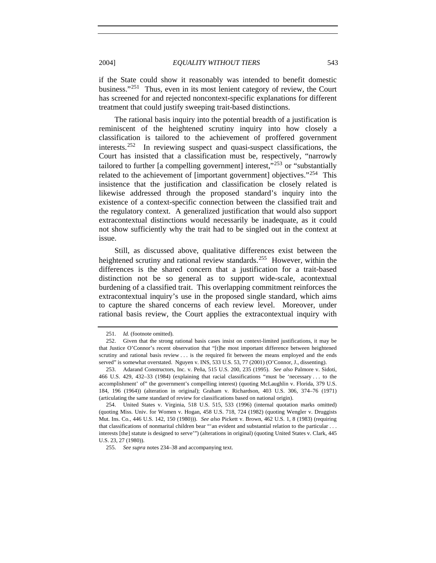if the State could show it reasonably was intended to benefit domestic business."[251](#page-62-0) Thus, even in its most lenient category of review, the Court has screened for and rejected noncontext-specific explanations for different treatment that could justify sweeping trait-based distinctions.

The rational basis inquiry into the potential breadth of a justification is reminiscent of the heightened scrutiny inquiry into how closely a classification is tailored to the achievement of proffered government interests.<sup>[252](#page-62-1)</sup> In reviewing suspect and quasi-suspect classifications, the Court has insisted that a classification must be, respectively, "narrowly tailored to further [a compelling government] interest," $253$  or "substantially related to the achievement of [important government] objectives."<sup>[254](#page-62-3)</sup> This insistence that the justification and classification be closely related is likewise addressed through the proposed standard's inquiry into the existence of a context-specific connection between the classified trait and the regulatory context. A generalized justification that would also support extracontextual distinctions would necessarily be inadequate, as it could not show sufficiently why the trait had to be singled out in the context at issue.

Still, as discussed above, qualitative differences exist between the heightened scrutiny and rational review standards.<sup>[255](#page-62-4)</sup> However, within the differences is the shared concern that a justification for a trait-based distinction not be so general as to support wide-scale, acontextual burdening of a classified trait. This overlapping commitment reinforces the extracontextual inquiry's use in the proposed single standard, which aims to capture the shared concerns of each review level. Moreover, under rational basis review, the Court applies the extracontextual inquiry with

<sup>251.</sup> *Id.* (footnote omitted).

<span id="page-62-1"></span><span id="page-62-0"></span> <sup>252.</sup> Given that the strong rational basis cases insist on context-limited justifications, it may be that Justice O'Connor's recent observation that "[t]he most important difference between heightened scrutiny and rational basis review . . . is the required fit between the means employed and the ends served" is somewhat overstated. Nguyen v. INS, 533 U.S. 53, 77 (2001) (O'Connor, J., dissenting).

<span id="page-62-2"></span> <sup>253.</sup> Adarand Constructors, Inc. v. Peña, 515 U.S. 200, 235 (1995). *See also* Palmore v. Sidoti, 466 U.S. 429, 432–33 (1984) (explaining that racial classifications "must be 'necessary . . . to the accomplishment' of" the government's compelling interest) (quoting McLaughlin v. Florida, 379 U.S. 184, 196 (1964)) (alteration in original); Graham v. Richardson, 403 U.S. 306, 374–76 (1971) (articulating the same standard of review for classifications based on national origin).

<span id="page-62-3"></span> <sup>254.</sup> United States v. Virginia, 518 U.S. 515, 533 (1996) (internal quotation marks omitted) (quoting Miss. Univ. for Women v. Hogan, 458 U.S. 718, 724 (1982) (quoting Wengler v. Druggists Mut. Ins. Co., 446 U.S. 142, 150 (1980))). *See also* Pickett v. Brown, 462 U.S. 1, 8 (1983) (requiring that classifications of nonmarital children bear "'an evident and substantial relation to the particular . . . interests [the] statute is designed to serve'") (alterations in original) (quoting United States v. Clark, 445 U.S. 23, 27 (1980)).

<span id="page-62-4"></span><sup>255.</sup> *See supra* notes 234–38 and accompanying text.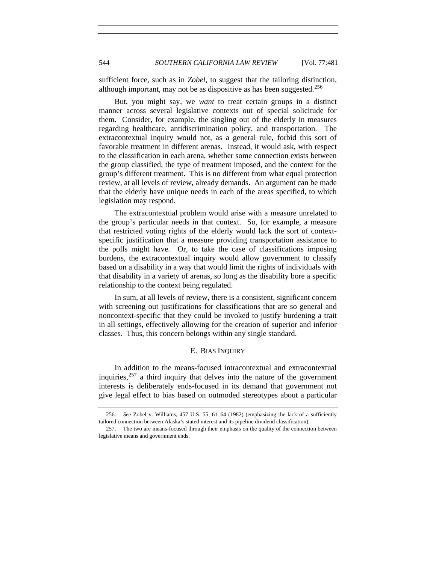sufficient force, such as in *Zobel*, to suggest that the tailoring distinction, although important, may not be as dispositive as has been suggested.<sup>[256](#page-63-0)</sup>

But, you might say, we *want* to treat certain groups in a distinct manner across several legislative contexts out of special solicitude for them. Consider, for example, the singling out of the elderly in measures regarding healthcare, antidiscrimination policy, and transportation. The extracontextual inquiry would not, as a general rule, forbid this sort of favorable treatment in different arenas. Instead, it would ask, with respect to the classification in each arena, whether some connection exists between the group classified, the type of treatment imposed, and the context for the group's different treatment. This is no different from what equal protection review, at all levels of review, already demands. An argument can be made that the elderly have unique needs in each of the areas specified, to which legislation may respond.

The extracontextual problem would arise with a measure unrelated to the group's particular needs in that context. So, for example, a measure that restricted voting rights of the elderly would lack the sort of contextspecific justification that a measure providing transportation assistance to the polls might have. Or, to take the case of classifications imposing burdens, the extracontextual inquiry would allow government to classify based on a disability in a way that would limit the rights of individuals with that disability in a variety of arenas, so long as the disability bore a specific relationship to the context being regulated.

In sum, at all levels of review, there is a consistent, significant concern with screening out justifications for classifications that are so general and noncontext-specific that they could be invoked to justify burdening a trait in all settings, effectively allowing for the creation of superior and inferior classes. Thus, this concern belongs within any single standard.

## E. BIAS INQUIRY

In addition to the means-focused intracontextual and extracontextual inquiries,  $257$  a third inquiry that delves into the nature of the government interests is deliberately ends-focused in its demand that government not give legal effect to bias based on outmoded stereotypes about a particular

<span id="page-63-0"></span><sup>256.</sup> *See* Zobel v. Williams, 457 U.S. 55, 61–64 (1982) (emphasizing the lack of a sufficiently tailored connection between Alaska's stated interest and its pipeline dividend classification).

<span id="page-63-1"></span> <sup>257.</sup> The two are means-focused through their emphasis on the quality of the connection between legislative means and government ends.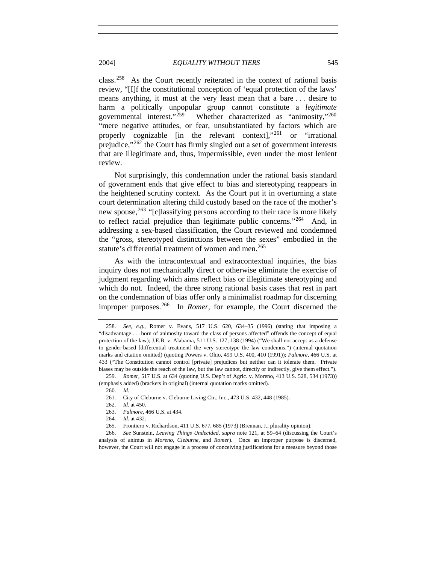class.<sup>[258](#page-64-0)</sup> As the Court recently reiterated in the context of rational basis review, "[I]f the constitutional conception of 'equal protection of the laws' means anything, it must at the very least mean that a bare . . . desire to harm a politically unpopular group cannot constitute a *legitimate* governmental interest."<sup>259</sup> Whether characterized as "animosity."<sup>260</sup> Whether characterized as "animosity," $260$ "mere negative attitudes, or fear, unsubstantiated by factors which are properly cognizable [in the relevant context],"[261](#page-64-3) or "irrational prejudice,"[262](#page-64-4) the Court has firmly singled out a set of government interests that are illegitimate and, thus, impermissible, even under the most lenient review.

Not surprisingly, this condemnation under the rational basis standard of government ends that give effect to bias and stereotyping reappears in the heightened scrutiny context. As the Court put it in overturning a state court determination altering child custody based on the race of the mother's new spouse,<sup>[263](#page-64-5)</sup> "[c]lassifying persons according to their race is more likely to reflect racial prejudice than legitimate public concerns."[264](#page-64-6) And, in addressing a sex-based classification, the Court reviewed and condemned the "gross, stereotyped distinctions between the sexes" embodied in the statute's differential treatment of women and men.<sup>[265](#page-64-7)</sup>

As with the intracontextual and extracontextual inquiries, the bias inquiry does not mechanically direct or otherwise eliminate the exercise of judgment regarding which aims reflect bias or illegitimate stereotyping and which do not. Indeed, the three strong rational basis cases that rest in part on the condemnation of bias offer only a minimalist roadmap for discerning improper purposes.[266](#page-64-8) In *Romer*, for example, the Court discerned the

<span id="page-64-0"></span><sup>258.</sup> *See, e.g.*, Romer v. Evans, 517 U.S. 620, 634–35 (1996) (stating that imposing a "disadvantage . . . born of animosity toward the class of persons affected" offends the concept of equal protection of the law); J.E.B. v. Alabama, 511 U.S. 127, 138 (1994) ("We shall not accept as a defense to gender-based [differential treatment] the very stereotype the law condemns.") (internal quotation marks and citation omitted) (quoting Powers v. Ohio, 499 U.S. 400, 410 (1991)); *Palmore*, 466 U.S. at 433 ("The Constitution cannot control [private] prejudices but neither can it tolerate them. Private biases may be outside the reach of the law, but the law cannot, directly or indirectly, give them effect.").

<span id="page-64-4"></span><span id="page-64-3"></span><span id="page-64-2"></span><span id="page-64-1"></span><sup>259.</sup> *Romer*, 517 U.S. at 634 (quoting U.S. Dep't of Agric. v. Moreno, 413 U.S. 528, 534 (1973)) (emphasis added) (brackets in original) (internal quotation marks omitted).

<sup>260.</sup> *Id.*

 <sup>261.</sup> City of Cleburne v. Cleburne Living Ctr., Inc., 473 U.S. 432, 448 (1985).

<sup>262.</sup> *Id.* at 450.

<sup>263.</sup> *Palmore*, 466 U.S. at 434.

<sup>264.</sup> *Id.* at 432.

 <sup>265.</sup> Frontiero v. Richardson, 411 U.S. 677, 685 (1973) (Brennan, J., plurality opinion).

<span id="page-64-8"></span><span id="page-64-7"></span><span id="page-64-6"></span><span id="page-64-5"></span><sup>266.</sup> *See* Sunstein, *Leaving Things Undecided*, *supra* note 121, at 59–64 (discussing the Court's analysis of animus in *Moreno*, *Cleburne*, and *Romer*). Once an improper purpose is discerned, however, the Court will not engage in a process of conceiving justifications for a measure beyond those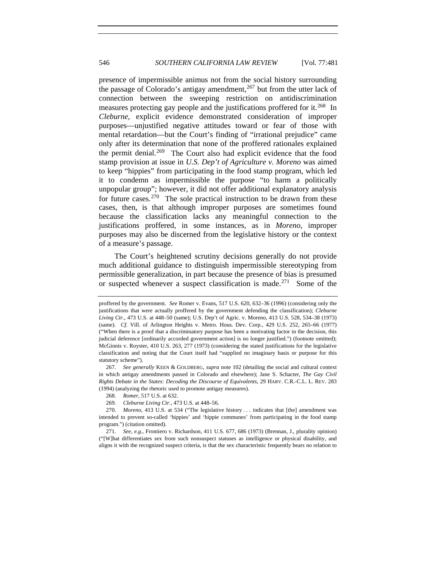presence of impermissible animus not from the social history surrounding the passage of Colorado's antigay amendment,  $267$  but from the utter lack of connection between the sweeping restriction on antidiscrimination measures protecting gay people and the justifications proffered for it.<sup>[268](#page-65-1)</sup> In *Cleburne*, explicit evidence demonstrated consideration of improper purposes—unjustified negative attitudes toward or fear of those with mental retardation—but the Court's finding of "irrational prejudice" came only after its determination that none of the proffered rationales explained the permit denial.<sup>[269](#page-65-2)</sup> The Court also had explicit evidence that the food stamp provision at issue in *U.S. Dep't of Agriculture v. Moreno* was aimed to keep "hippies" from participating in the food stamp program, which led it to condemn as impermissible the purpose "to harm a politically unpopular group"; however, it did not offer additional explanatory analysis for future cases.<sup>[270](#page-65-3)</sup> The sole practical instruction to be drawn from these cases, then, is that although improper purposes are sometimes found because the classification lacks any meaningful connection to the justifications proffered, in some instances, as in *Moreno*, improper purposes may also be discerned from the legislative history or the context of a measure's passage.

The Court's heightened scrutiny decisions generally do not provide much additional guidance to distinguish impermissible stereotyping from permissible generalization, in part because the presence of bias is presumed or suspected whenever a suspect classification is made.<sup>[271](#page-65-4)</sup> Some of the

proffered by the government. *See* Romer v. Evans, 517 U.S. 620, 632–36 (1996) (considering only the justifications that were actually proffered by the government defending the classification); *Cleburne Living Ctr.*, 473 U.S. at 448–50 (same); U.S. Dep't of Agric. v. Moreno, 413 U.S. 528, 534–38 (1973) (same). *Cf.* Vill. of Arlington Heights v. Metro. Hous. Dev. Corp., 429 U.S. 252, 265–66 (1977) ("When there is a proof that a discriminatory purpose has been a motivating factor in the decision, this judicial deference [ordinarily accorded government action] is no longer justified.") (footnote omitted); McGinnis v. Royster, 410 U.S. 263, 277 (1973) (considering the stated justifications for the legislative classification and noting that the Court itself had "supplied no imaginary basis or purpose for this statutory scheme").

<span id="page-65-0"></span><sup>267.</sup> *See generally* KEEN & GOLDBERG, *supra* note 102 (detailing the social and cultural context in which antigay amendments passed in Colorado and elsewhere); Jane S. Schacter, *The Gay Civil Rights Debate in the States: Decoding the Discourse of Equivalents*, 29 HARV. C.R.-C.L. L. REV. 283 (1994) (analyzing the rhetoric used to promote antigay measures).

<sup>268.</sup> *Romer*, 517 U.S. at 632.

<sup>269.</sup> *Cleburne Living Ctr.*, 473 U.S. at 448–56.

<span id="page-65-3"></span><span id="page-65-2"></span><span id="page-65-1"></span><sup>270.</sup> *Moreno*, 413 U.S. at 534 ("The legislative history . . . indicates that [the] amendment was intended to prevent so-called 'hippies' and 'hippie communes' from participating in the food stamp program.") (citation omitted).

<span id="page-65-4"></span><sup>271.</sup> *See, e.g.*, Frontiero v. Richardson, 411 U.S. 677, 686 (1973) (Brennan, J., plurality opinion) ("[W]hat differentiates sex from such nonsuspect statuses as intelligence or physical disability, and aligns it with the recognized suspect criteria, is that the sex characteristic frequently bears no relation to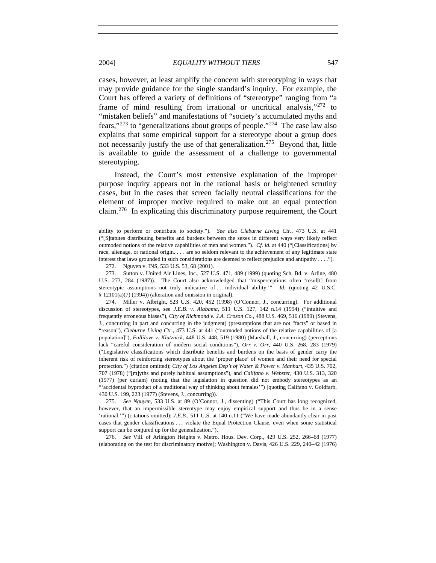cases, however, at least amplify the concern with stereotyping in ways that may provide guidance for the single standard's inquiry. For example, the Court has offered a variety of definitions of "stereotype" ranging from "a frame of mind resulting from irrational or uncritical analysis,"<sup>[272](#page-66-0)</sup> to "mistaken beliefs" and manifestations of "society's accumulated myths and fears,"<sup>[273](#page-66-1)</sup> to "generalizations about groups of people."<sup>[274](#page-66-2)</sup> The case law also explains that some empirical support for a stereotype about a group does not necessarily justify the use of that generalization.<sup>[275](#page-66-3)</sup> Beyond that, little is available to guide the assessment of a challenge to governmental stereotyping.

Instead, the Court's most extensive explanation of the improper purpose inquiry appears not in the rational basis or heightened scrutiny cases, but in the cases that screen facially neutral classifications for the element of improper motive required to make out an equal protection claim.[276](#page-66-4) In explicating this discriminatory purpose requirement, the Court

272. Nguyen v. INS, 533 U.S. 53, 68 (2001).

<span id="page-66-1"></span><span id="page-66-0"></span> 273. Sutton v. United Air Lines, Inc., 527 U.S. 471, 489 (1999) (quoting Sch. Bd. v. Arline, 480 U.S. 273, 284 (1987)). The Court also acknowledged that "misperceptions often 'resul[t] from stereotypic assumptions not truly indicative of ... individual ability." *Id.* (quoting 42 U.S.C.  $§ 12101(a)(7) (1994)$  (alteration and omission in original).

<span id="page-66-2"></span> 274. Miller v. Albright, 523 U.S. 420, 452 (1998) (O'Connor, J., concurring). For additional discussion of stereotypes, see *J.E.B. v. Alabama*, 511 U.S. 127, 142 n.14 (1994) ("intuitive and frequently erroneous biases"), *City of Richmond v. J.A. Croson Co.*, 488 U.S. 469, 516 (1989) (Stevens, J., concurring in part and concurring in the judgment) (presumptions that are not "facts" or based in "reason"), *Cleburne Living Ctr.*, 473 U.S. at 441 ("outmoded notions of the relative capabilities of [a population]"), *Fullilove v. Klutznick*, 448 U.S. 448, 519 (1980) (Marshall, J., concurring) (perceptions lack "careful consideration of modern social conditions"), *Orr v. Orr*, 440 U.S. 268, 283 (1979) ("Legislative classifications which distribute benefits and burdens on the basis of gender carry the inherent risk of reinforcing stereotypes about the 'proper place' of women and their need for special protection.") (citation omitted); *City of Los Angeles Dep't of Water & Power v. Manhart*, 435 U.S. 702, 707 (1978) ("[m]yths and purely habitual assumptions"), and *Califano v. Webster*, 430 U.S. 313, 320 (1977) (per curiam) (noting that the legislation in question did not embody stereotypes as an "'accidental byproduct of a traditional way of thinking about females'") (quoting Califano v. Goldfarb, 430 U.S. 199, 223 (1977) (Stevens, J., concurring)).

<span id="page-66-3"></span>275. *See Nguyen*, 533 U.S. at 89 (O'Connor, J., dissenting) ("This Court has long recognized, however, that an impermissible stereotype may enjoy empirical support and thus be in a sense 'rational.'") (citations omitted); *J.E.B.*, 511 U.S. at 140 n.11 ("We have made abundantly clear in past cases that gender classifications . . . violate the Equal Protection Clause, even when some statistical support can be conjured up for the generalization.").

<span id="page-66-4"></span>276. *See* Vill. of Arlington Heights v. Metro. Hous. Dev. Corp., 429 U.S. 252, 266–68 (1977) (elaborating on the test for discriminatory motive); Washington v. Davis, 426 U.S. 229, 240–42 (1976)

ability to perform or contribute to society."). *See also Cleburne Living Ctr.*, 473 U.S. at 441 ("[S]tatutes distributing benefits and burdens between the sexes in different ways very likely reflect outmoded notions of the relative capabilities of men and women."). *Cf. id.* at 440 ("[Classifications] by race, alienage, or national origin. . . . are so seldom relevant to the achievement of any legitimate state interest that laws grounded in such considerations are deemed to reflect prejudice and antipathy . . . .").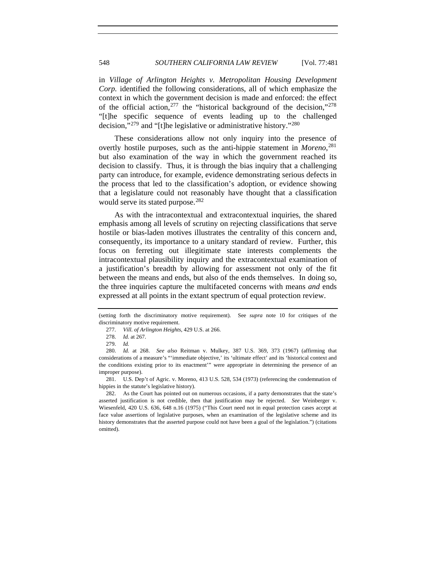in *Village of Arlington Heights v. Metropolitan Housing Development Corp.* identified the following considerations, all of which emphasize the context in which the government decision is made and enforced: the effect of the official action,<sup>[277](#page-67-0)</sup> the "historical background of the decision,"<sup>[278](#page-67-1)</sup> "[t]he specific sequence of events leading up to the challenged decision,"<sup>[279](#page-67-2)</sup> and "[t]he legislative or administrative history."<sup>[280](#page-67-3)</sup>

These considerations allow not only inquiry into the presence of overtly hostile purposes, such as the anti-hippie statement in *Moreno*, [281](#page-67-4) but also examination of the way in which the government reached its decision to classify. Thus, it is through the bias inquiry that a challenging party can introduce, for example, evidence demonstrating serious defects in the process that led to the classification's adoption, or evidence showing that a legislature could not reasonably have thought that a classification would serve its stated purpose.<sup>[282](#page-67-5)</sup>

As with the intracontextual and extracontextual inquiries, the shared emphasis among all levels of scrutiny on rejecting classifications that serve hostile or bias-laden motives illustrates the centrality of this concern and, consequently, its importance to a unitary standard of review. Further, this focus on ferreting out illegitimate state interests complements the intracontextual plausibility inquiry and the extracontextual examination of a justification's breadth by allowing for assessment not only of the fit between the means and ends, but also of the ends themselves. In doing so, the three inquiries capture the multifaceted concerns with means *and* ends expressed at all points in the extant spectrum of equal protection review.

<span id="page-67-0"></span><sup>(</sup>setting forth the discriminatory motive requirement). See *supra* note 10 for critiques of the discriminatory motive requirement.

<sup>277.</sup> *Vill. of Arlington Heights*, 429 U.S. at 266.

<sup>278.</sup> *Id.* at 267.

<sup>279.</sup> *Id.*

<span id="page-67-3"></span><span id="page-67-2"></span><span id="page-67-1"></span><sup>280.</sup> *Id.* at 268. *See also* Reitman v. Mulkey, 387 U.S. 369, 373 (1967) (affirming that considerations of a measure's "'immediate objective,' its 'ultimate effect' and its 'historical context and the conditions existing prior to its enactment'" were appropriate in determining the presence of an improper purpose).

<span id="page-67-4"></span> <sup>281.</sup> U.S. Dep't of Agric. v. Moreno, 413 U.S. 528, 534 (1973) (referencing the condemnation of hippies in the statute's legislative history).

<span id="page-67-5"></span> <sup>282.</sup> As the Court has pointed out on numerous occasions, if a party demonstrates that the state's asserted justification is not credible, then that justification may be rejected. *See* Weinberger v. Wiesenfeld, 420 U.S. 636, 648 n.16 (1975) ("This Court need not in equal protection cases accept at face value assertions of legislative purposes, when an examination of the legislative scheme and its history demonstrates that the asserted purpose could not have been a goal of the legislation.") (citations omitted).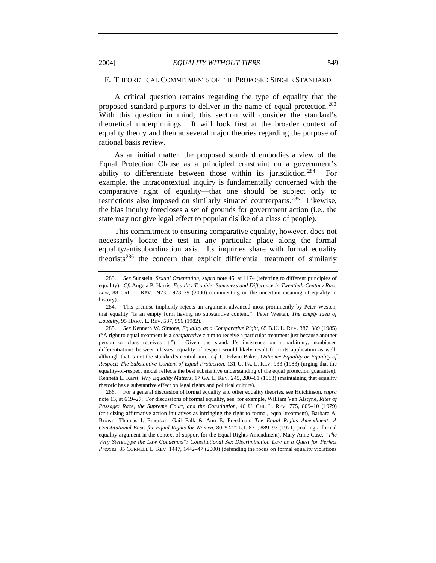# F. THEORETICAL COMMITMENTS OF THE PROPOSED SINGLE STANDARD

A critical question remains regarding the type of equality that the proposed standard purports to deliver in the name of equal protection.<sup>[283](#page-68-0)</sup> With this question in mind, this section will consider the standard's theoretical underpinnings. It will look first at the broader context of equality theory and then at several major theories regarding the purpose of rational basis review.

As an initial matter, the proposed standard embodies a view of the Equal Protection Clause as a principled constraint on a government's ability to differentiate between those within its jurisdiction.<sup>[284](#page-68-1)</sup> For example, the intracontextual inquiry is fundamentally concerned with the comparative right of equality—that one should be subject only to restrictions also imposed on similarly situated counterparts.<sup>[285](#page-68-2)</sup> Likewise, the bias inquiry forecloses a set of grounds for government action (i.e., the state may not give legal effect to popular dislike of a class of people).

This commitment to ensuring comparative equality, however, does not necessarily locate the test in any particular place along the formal equality/antisubordination axis. Its inquiries share with formal equality theorists<sup>[286](#page-68-3)</sup> the concern that explicit differential treatment of similarly

<span id="page-68-0"></span><sup>283.</sup> *See* Sunstein, *Sexual Orientation*, *supra* note 45, at 1174 (referring to different principles of equality). *Cf.* Angela P. Harris, *Equality Trouble: Sameness and Difference in Twentieth-Century Race Law*, 88 CAL. L. REV. 1923, 1928–29 (2000) (commenting on the uncertain meaning of equality in history).

<span id="page-68-1"></span> <sup>284.</sup> This premise implicitly rejects an argument advanced most prominently by Peter Westen, that equality "is an empty form having no substantive content." Peter Westen, *The Empty Idea of Equality*, 95 HARV. L. REV. 537, 596 (1982).

<span id="page-68-2"></span><sup>285.</sup> *See* Kenneth W. Simons, *Equality as a Comparative Right*, 65 B.U. L. REV. 387, 389 (1985) ("A right to equal treatment is a *comparative* claim to receive a particular treatment just because another person or class receives it."). Given the standard's insistence on nonarbitrary, nonbiased differentiations between classes, equality of respect would likely result from its application as well, although that is not the standard's central aim. *Cf.* C. Edwin Baker, *Outcome Equality or Equality of Respect: The Substantive Content of Equal Protection*, 131 U. PA. L. REV. 933 (1983) (urging that the equality-of-respect model reflects the best substantive understanding of the equal protection guarantee); Kenneth L. Karst, *Why Equality Matters*, 17 GA. L. REV. 245, 280–81 (1983) (maintaining that equality rhetoric has a substantive effect on legal rights and political culture).

<span id="page-68-3"></span> <sup>286.</sup> For a general discussion of formal equality and other equality theories, see Hutchinson, *supra*  note 13, at 619–27. For discussions of formal equality, see, for example, William Van Alstyne, *Rites of Passage: Race, the Supreme Court, and the Constitution*, 46 U. CHI. L. REV. 775, 809–10 (1979) (criticizing affirmative action initiatives as infringing the right to formal, equal treatment), Barbara A. Brown, Thomas I. Emerson, Gail Falk & Ann E. Freedman, *The Equal Rights Amendment: A Constitutional Basis for Equal Rights for Women*, 80 YALE L.J. 871, 889–93 (1971) (making a formal equality argument in the context of support for the Equal Rights Amendment), Mary Anne Case, *"The Very Stereotype the Law Condemns": Constitutional Sex Discrimination Law as a Quest for Perfect Proxies*, 85 CORNELL L. REV. 1447, 1442–47 (2000) (defending the focus on formal equality violations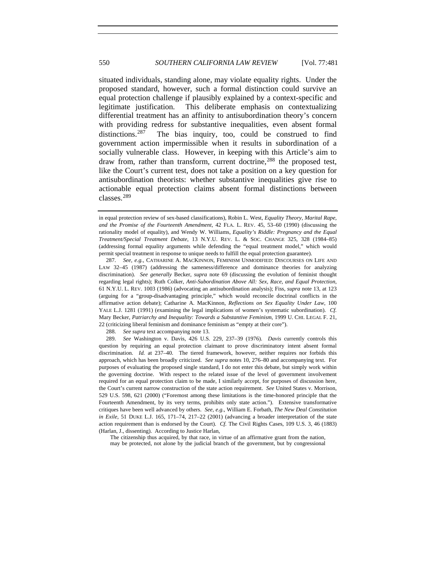situated individuals, standing alone, may violate equality rights. Under the proposed standard, however, such a formal distinction could survive an equal protection challenge if plausibly explained by a context-specific and legitimate justification. This deliberate emphasis on contextualizing differential treatment has an affinity to antisubordination theory's concern with providing redress for substantive inequalities, even absent formal distinctions.<sup>[287](#page-69-0)</sup> The bias inquiry, too, could be construed to find government action impermissible when it results in subordination of a socially vulnerable class. However, in keeping with this Article's aim to draw from, rather than transform, current doctrine,  $288$  the proposed test, like the Court's current test, does not take a position on a key question for antisubordination theorists: whether substantive inequalities give rise to actionable equal protection claims absent formal distinctions between classes.[289](#page-69-2)

<span id="page-69-0"></span>287. *See, e.g.*, CATHARINE A. MACKINNON, FEMINISM UNMODIFIED: DISCOURSES ON LIFE AND LAW 32–45 (1987) (addressing the sameness/difference and dominance theories for analyzing discrimination). *See generally* Becker, *supra* note 69 (discussing the evolution of feminist thought regarding legal rights); Ruth Colker, *Anti-Subordination Above All: Sex, Race, and Equal Protection*, 61 N.Y.U. L. REV. 1003 (1986) (advocating an antisubordination analysis); Fiss, *supra* note 13, at 123 (arguing for a "group-disadvantaging principle," which would reconcile doctrinal conflicts in the affirmative action debate); Catharine A. MacKinnon, *Reflections on Sex Equality Under Law*, 100 YALE L.J. 1281 (1991) (examining the legal implications of women's systematic subordination). *Cf.*  Mary Becker, *Patriarchy and Inequality: Towards a Substantive Feminism*, 1999 U. CHI. LEGAL F. 21, 22 (criticizing liberal feminism and dominance feminism as "empty at their core").

288. *See supra* text accompanying note 13.

<span id="page-69-2"></span><span id="page-69-1"></span>289. *See* Washington v. Davis, 426 U.S. 229, 237–39 (1976). *Davis* currently controls this question by requiring an equal protection claimant to prove discriminatory intent absent formal discrimination. *Id.* at 237–40. The tiered framework, however, neither requires nor forbids this approach, which has been broadly criticized. *See supra* notes 10, 276–80 and accompanying text. For purposes of evaluating the proposed single standard, I do not enter this debate, but simply work within the governing doctrine. With respect to the related issue of the level of government involvement required for an equal protection claim to be made, I similarly accept, for purposes of discussion here, the Court's current narrow construction of the state action requirement. *See* United States v. Morrison, 529 U.S. 598, 621 (2000) ("Foremost among these limitations is the time-honored principle that the Fourteenth Amendment, by its very terms, prohibits only state action."). Extensive transformative critiques have been well advanced by others. *See, e.g.*, William E. Forbath, *The New Deal Constitution in Exile*, 51 DUKE L.J. 165, 171–74, 217–22 (2001) (advancing a broader interpretation of the state action requirement than is endorsed by the Court). *Cf.* The Civil Rights Cases, 109 U.S. 3, 46 (1883) (Harlan, J., dissenting). According to Justice Harlan,

The citizenship thus acquired, by that race, in virtue of an affirmative grant from the nation, may be protected, not alone by the judicial branch of the government, but by congressional

in equal protection review of sex-based classifications), Robin L. West, *Equality Theory, Marital Rape, and the Promise of the Fourteenth Amendment*, 42 FLA. L. REV. 45, 53–60 (1990) (discussing the rationality model of equality), and Wendy W. Williams, *Equality's Riddle: Pregnancy and the Equal Treatment/Special Treatment Debate*, 13 N.Y.U. REV. L. & SOC. CHANGE 325, 328 (1984–85) (addressing formal equality arguments while defending the "equal treatment model," which would permit special treatment in response to unique needs to fulfill the equal protection guarantee).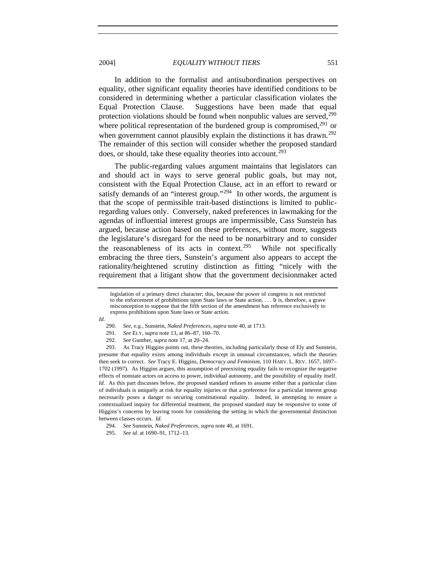In addition to the formalist and antisubordination perspectives on equality, other significant equality theories have identified conditions to be considered in determining whether a particular classification violates the Equal Protection Clause. Suggestions have been made that equal protection violations should be found when nonpublic values are served,  $290$ where political representation of the burdened group is compromised.<sup>[291](#page-70-1)</sup> or when government cannot plausibly explain the distinctions it has drawn.<sup>[292](#page-70-2)</sup> The remainder of this section will consider whether the proposed standard does, or should, take these equality theories into account.<sup>[293](#page-70-3)</sup>

The public-regarding values argument maintains that legislators can and should act in ways to serve general public goals, but may not, consistent with the Equal Protection Clause, act in an effort to reward or satisfy demands of an "interest group."<sup>[294](#page-70-4)</sup> In other words, the argument is that the scope of permissible trait-based distinctions is limited to publicregarding values only. Conversely, naked preferences in lawmaking for the agendas of influential interest groups are impermissible, Cass Sunstein has argued, because action based on these preferences, without more, suggests the legislature's disregard for the need to be nonarbitrary and to consider the reasonableness of its acts in context.<sup>[295](#page-70-5)</sup> While not specifically embracing the three tiers, Sunstein's argument also appears to accept the rationality/heightened scrutiny distinction as fitting "nicely with the requirement that a litigant show that the government decisionmaker acted

<span id="page-70-1"></span><span id="page-70-0"></span>*Id.* 

- 291. *See* ELY, *supra* note 13, at 86–87, 160–70.
- 292. *See* Gunther, *supra* note 17, at 20–24.

<span id="page-70-3"></span><span id="page-70-2"></span> 293. As Tracy Higgins points out, these theories, including particularly those of Ely and Sunstein, presume that equality exists among individuals except in unusual circumstances, which the theories then seek to correct. *See* Tracy E. Higgins, *Democracy and Feminism*, 110 HARV. L. REV. 1657, 1697– 1702 (1997). As Higgins argues, this assumption of preexisting equality fails to recognize the negative effects of nonstate actors on access to power, individual autonomy, and the possibility of equality itself. *Id.* As this part discusses below, the proposed standard refuses to assume either that a particular class of individuals is uniquely at risk for equality injuries or that a preference for a particular interest group necessarily poses a danger to securing constitutional equality. Indeed, in attempting to ensure a contextualized inquiry for differential treatment, the proposed standard may be responsive to some of Higgins's concerns by leaving room for considering the setting in which the governmental distinction between classes occurs. *Id.*

legislation of a primary direct character; this, because the power of congress is not restricted to the enforcement of prohibitions upon State laws or State action. . . . It is, therefore, a grave misconception to suppose that the fifth section of the amendment has reference exclusively to express prohibitions upon State laws or State action.

<sup>290.</sup> *See, e.g.*, Sunstein, *Naked Preferences*, *supra* note 40, at 1713.

<span id="page-70-4"></span><sup>294.</sup> *See* Sunstein, *Naked Preferences*, *supra* note 40, at 1691.

<span id="page-70-5"></span><sup>295.</sup> *See id.* at 1690–91, 1712–13.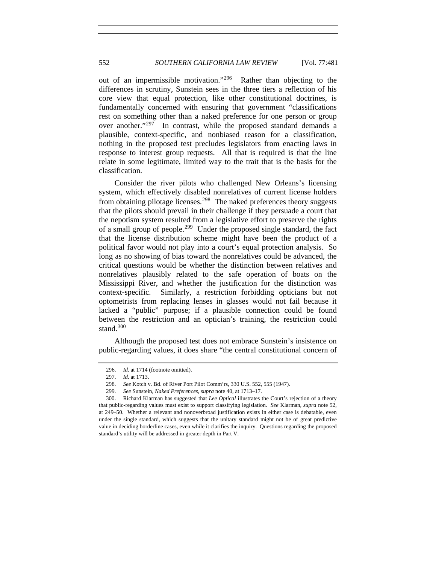out of an impermissible motivation."[296](#page-71-0) Rather than objecting to the differences in scrutiny, Sunstein sees in the three tiers a reflection of his core view that equal protection, like other constitutional doctrines, is fundamentally concerned with ensuring that government "classifications rest on something other than a naked preference for one person or group over another."<sup>[297](#page-71-1)</sup> In contrast, while the proposed standard demands a plausible, context-specific, and nonbiased reason for a classification, nothing in the proposed test precludes legislators from enacting laws in response to interest group requests. All that is required is that the line relate in some legitimate, limited way to the trait that is the basis for the classification.

Consider the river pilots who challenged New Orleans's licensing system, which effectively disabled nonrelatives of current license holders from obtaining pilotage licenses.<sup>[298](#page-71-2)</sup> The naked preferences theory suggests that the pilots should prevail in their challenge if they persuade a court that the nepotism system resulted from a legislative effort to preserve the rights of a small group of people.[299](#page-71-3) Under the proposed single standard, the fact that the license distribution scheme might have been the product of a political favor would not play into a court's equal protection analysis. So long as no showing of bias toward the nonrelatives could be advanced, the critical questions would be whether the distinction between relatives and nonrelatives plausibly related to the safe operation of boats on the Mississippi River, and whether the justification for the distinction was context-specific. Similarly, a restriction forbidding opticians but not optometrists from replacing lenses in glasses would not fail because it lacked a "public" purpose; if a plausible connection could be found between the restriction and an optician's training, the restriction could stand.<sup>[300](#page-71-4)</sup>

<span id="page-71-0"></span>Although the proposed test does not embrace Sunstein's insistence on public-regarding values, it does share "the central constitutional concern of

<sup>296.</sup> *Id.* at 1714 (footnote omitted).

<sup>297.</sup> *Id.* at 1713.

<sup>298.</sup> *See* Kotch v. Bd. of River Port Pilot Comm'rs, 330 U.S. 552, 555 (1947).

<sup>299.</sup> *See* Sunstein, *Naked Preferences*, *supra* note 40, at 1713–17.

<span id="page-71-4"></span><span id="page-71-3"></span><span id="page-71-2"></span><span id="page-71-1"></span> <sup>300.</sup> Richard Klarman has suggested that *Lee Optical* illustrates the Court's rejection of a theory that public-regarding values must exist to support classifying legislation. *See* Klarman, *supra* note 52, at 249–50. Whether a relevant and nonoverbroad justification exists in either case is debatable, even under the single standard, which suggests that the unitary standard might not be of great predictive value in deciding borderline cases, even while it clarifies the inquiry. Questions regarding the proposed standard's utility will be addressed in greater depth in Part V.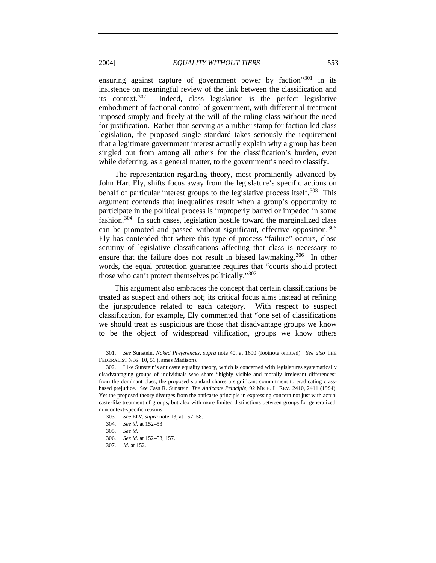ensuring against capture of government power by faction<sup>"[301](#page-72-0)</sup> in its insistence on meaningful review of the link between the classification and its context.[302](#page-72-1) Indeed, class legislation is the perfect legislative embodiment of factional control of government, with differential treatment imposed simply and freely at the will of the ruling class without the need for justification. Rather than serving as a rubber stamp for faction-led class legislation, the proposed single standard takes seriously the requirement that a legitimate government interest actually explain why a group has been singled out from among all others for the classification's burden, even while deferring, as a general matter, to the government's need to classify.

The representation-regarding theory, most prominently advanced by John Hart Ely, shifts focus away from the legislature's specific actions on behalf of particular interest groups to the legislative process itself.<sup>[303](#page-72-2)</sup> This argument contends that inequalities result when a group's opportunity to participate in the political process is improperly barred or impeded in some fashion. $304$  In such cases, legislation hostile toward the marginalized class can be promoted and passed without significant, effective opposition.<sup>[305](#page-72-4)</sup> Ely has contended that where this type of process "failure" occurs, close scrutiny of legislative classifications affecting that class is necessary to ensure that the failure does not result in biased lawmaking.<sup>[306](#page-72-5)</sup> In other words, the equal protection guarantee requires that "courts should protect those who can't protect themselves politically."<sup>[307](#page-72-6)</sup>

This argument also embraces the concept that certain classifications be treated as suspect and others not; its critical focus aims instead at refining the jurisprudence related to each category. With respect to suspect classification, for example, Ely commented that "one set of classifications we should treat as suspicious are those that disadvantage groups we know to be the object of widespread vilification, groups we know others

<span id="page-72-0"></span><sup>301.</sup> *See* Sunstein, *Naked Preferences*, *supra* note 40, at 1690 (footnote omitted). *See also* THE FEDERALIST NOS. 10, 51 (James Madison).

<span id="page-72-1"></span> <sup>302.</sup> Like Sunstein's anticaste equality theory, which is concerned with legislatures systematically disadvantaging groups of individuals who share "highly visible and morally irrelevant differences" from the dominant class, the proposed standard shares a significant commitment to eradicating classbased prejudice. *See* Cass R. Sunstein, *The Anticaste Principle*, 92 MICH. L. REV. 2410, 2411 (1994). Yet the proposed theory diverges from the anticaste principle in expressing concern not just with actual caste-like treatment of groups, but also with more limited distinctions between groups for generalized, noncontext-specific reasons.

<span id="page-72-5"></span><span id="page-72-4"></span><span id="page-72-3"></span><span id="page-72-2"></span><sup>303.</sup> *See* ELY, *supra* note 13, at 157–58.

<sup>304.</sup> *See id.* at 152–53.

<sup>305.</sup> *See id.*

<sup>306.</sup> *See id.* at 152–53, 157.

<span id="page-72-6"></span><sup>307.</sup> *Id.* at 152.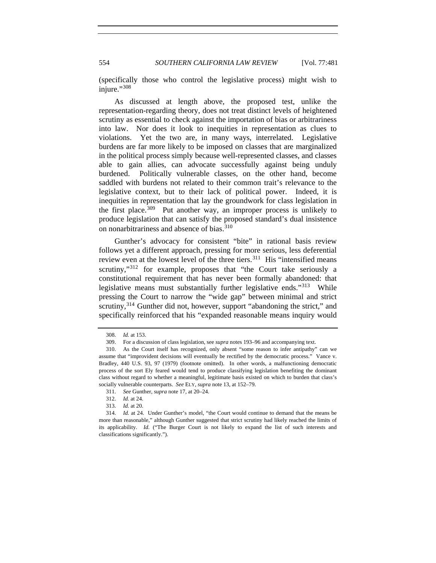554 *SOUTHERN CALIFORNIA LAW REVIEW* [Vol. 77:481

(specifically those who control the legislative process) might wish to injure."<sup>[308](#page-73-0)</sup>

As discussed at length above, the proposed test, unlike the representation-regarding theory, does not treat distinct levels of heightened scrutiny as essential to check against the importation of bias or arbitrariness into law. Nor does it look to inequities in representation as clues to violations. Yet the two are, in many ways, interrelated. Legislative burdens are far more likely to be imposed on classes that are marginalized in the political process simply because well-represented classes, and classes able to gain allies, can advocate successfully against being unduly burdened. Politically vulnerable classes, on the other hand, become saddled with burdens not related to their common trait's relevance to the legislative context, but to their lack of political power. Indeed, it is inequities in representation that lay the groundwork for class legislation in the first place.  $309$  Put another way, an improper process is unlikely to produce legislation that can satisfy the proposed standard's dual insistence on nonarbitrariness and absence of bias.<sup>[310](#page-73-2)</sup>

Gunther's advocacy for consistent "bite" in rational basis review follows yet a different approach, pressing for more serious, less deferential review even at the lowest level of the three tiers.<sup>[311](#page-73-3)</sup> His "intensified means" scrutiny,"<sup>[312](#page-73-4)</sup> for example, proposes that "the Court take seriously a constitutional requirement that has never been formally abandoned: that legislative means must substantially further legislative ends."<sup>[313](#page-73-5)</sup> While pressing the Court to narrow the "wide gap" between minimal and strict scrutiny,<sup>[314](#page-73-6)</sup> Gunther did not, however, support "abandoning the strict," and specifically reinforced that his "expanded reasonable means inquiry would

<sup>308.</sup> *Id.* at 153.

 <sup>309.</sup> For a discussion of class legislation, see *supra* notes 193–96 and accompanying text.

<span id="page-73-2"></span><span id="page-73-1"></span><span id="page-73-0"></span> <sup>310.</sup> As the Court itself has recognized, only absent "some reason to infer antipathy" can we assume that "improvident decisions will eventually be rectified by the democratic process." Vance v. Bradley, 440 U.S. 93, 97 (1979) (footnote omitted). In other words, a malfunctioning democratic process of the sort Ely feared would tend to produce classifying legislation benefiting the dominant class without regard to whether a meaningful, legitimate basis existed on which to burden that class's socially vulnerable counterparts. *See* ELY, *supra* note 13, at 152–79.

<sup>311.</sup> *See* Gunther, *supra* note 17, at 20–24.

<sup>312.</sup> *Id.* at 24.

<sup>313.</sup> *Id.* at 20.

<span id="page-73-6"></span><span id="page-73-5"></span><span id="page-73-4"></span><span id="page-73-3"></span><sup>314.</sup> *Id.* at 24. Under Gunther's model, "the Court would continue to demand that the means be more than reasonable," although Gunther suggested that strict scrutiny had likely reached the limits of its applicability. *Id.* ("The Burger Court is not likely to expand the list of such interests and classifications significantly.").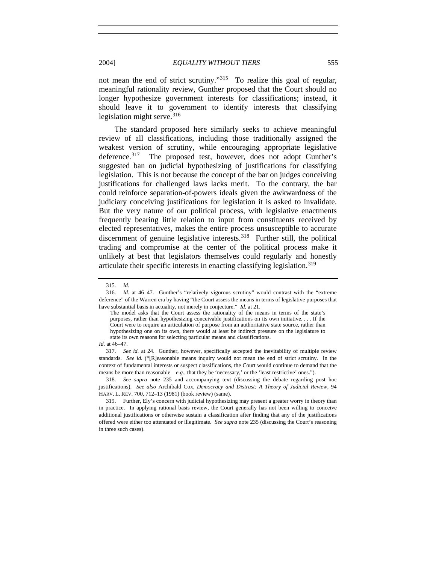not mean the end of strict scrutiny."<sup>[315](#page-74-0)</sup> To realize this goal of regular, meaningful rationality review, Gunther proposed that the Court should no longer hypothesize government interests for classifications; instead, it should leave it to government to identify interests that classifying legislation might serve.<sup>[316](#page-74-1)</sup>

The standard proposed here similarly seeks to achieve meaningful review of all classifications, including those traditionally assigned the weakest version of scrutiny, while encouraging appropriate legislative deference.<sup>[317](#page-74-2)</sup> The proposed test, however, does not adopt Gunther's suggested ban on judicial hypothesizing of justifications for classifying legislation. This is not because the concept of the bar on judges conceiving justifications for challenged laws lacks merit. To the contrary, the bar could reinforce separation-of-powers ideals given the awkwardness of the judiciary conceiving justifications for legislation it is asked to invalidate. But the very nature of our political process, with legislative enactments frequently bearing little relation to input from constituents received by elected representatives, makes the entire process unsusceptible to accurate discernment of genuine legislative interests.  $318$  Further still, the political trading and compromise at the center of the political process make it unlikely at best that legislators themselves could regularly and honestly articulate their specific interests in enacting classifying legislation.<sup>[319](#page-74-4)</sup>

*Id.* at 46–47.

<span id="page-74-2"></span>317. *See id.* at 24. Gunther, however, specifically accepted the inevitability of multiple review standards. *See id.* ("[R]easonable means inquiry would not mean the end of strict scrutiny. In the context of fundamental interests or suspect classifications, the Court would continue to demand that the means be more than reasonable—*e.g.*, that they be 'necessary,' or the 'least restrictive' ones.").

<span id="page-74-3"></span>318. *See supra* note 235 and accompanying text (discussing the debate regarding post hoc justifications). *See also* Archibald Cox, *Democracy and Distrust: A Theory of Judicial Review*, 94 HARV. L. REV. 700, 712–13 (1981) (book review) (same).

<sup>315.</sup> *Id.*

<span id="page-74-1"></span><span id="page-74-0"></span><sup>316.</sup> *Id.* at 46–47. Gunther's "relatively vigorous scrutiny" would contrast with the "extreme deference" of the Warren era by having "the Court assess the means in terms of legislative purposes that have substantial basis in actuality, not merely in conjecture." *Id.* at 21.

The model asks that the Court assess the rationality of the means in terms of the state's purposes, rather than hypothesizing conceivable justifications on its own initiative. . . . If the Court were to require an articulation of purpose from an authoritative state source, rather than hypothesizing one on its own, there would at least be indirect pressure on the legislature to state its own reasons for selecting particular means and classifications.

<span id="page-74-4"></span> <sup>319.</sup> Further, Ely's concern with judicial hypothesizing may present a greater worry in theory than in practice. In applying rational basis review, the Court generally has not been willing to conceive additional justifications or otherwise sustain a classification after finding that any of the justifications offered were either too attenuated or illegitimate. *See supra* note 235 (discussing the Court's reasoning in three such cases).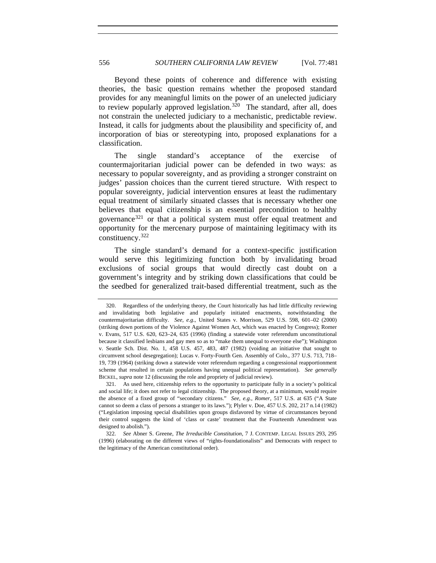Beyond these points of coherence and difference with existing theories, the basic question remains whether the proposed standard provides for any meaningful limits on the power of an unelected judiciary to review popularly approved legislation.<sup>[320](#page-75-0)</sup> The standard, after all, does not constrain the unelected judiciary to a mechanistic, predictable review. Instead, it calls for judgments about the plausibility and specificity of, and incorporation of bias or stereotyping into, proposed explanations for a classification.

The single standard's acceptance of the exercise of countermajoritarian judicial power can be defended in two ways: as necessary to popular sovereignty, and as providing a stronger constraint on judges' passion choices than the current tiered structure. With respect to popular sovereignty, judicial intervention ensures at least the rudimentary equal treatment of similarly situated classes that is necessary whether one believes that equal citizenship is an essential precondition to healthy governance<sup>[321](#page-75-1)</sup> or that a political system must offer equal treatment and opportunity for the mercenary purpose of maintaining legitimacy with its constituency.[322](#page-75-2)

The single standard's demand for a context-specific justification would serve this legitimizing function both by invalidating broad exclusions of social groups that would directly cast doubt on a government's integrity and by striking down classifications that could be the seedbed for generalized trait-based differential treatment, such as the

<span id="page-75-0"></span> <sup>320.</sup> Regardless of the underlying theory, the Court historically has had little difficulty reviewing and invalidating both legislative and popularly initiated enactments, notwithstanding the countermajoritarian difficulty. *See, e.g.*, United States v. Morrison, 529 U.S. 598, 601–02 (2000) (striking down portions of the Violence Against Women Act, which was enacted by Congress); Romer v. Evans, 517 U.S. 620, 623–24, 635 (1996) (finding a statewide voter referendum unconstitutional because it classified lesbians and gay men so as to "make them unequal to everyone else"); Washington v. Seattle Sch. Dist. No. 1, 458 U.S. 457, 483, 487 (1982) (voiding an initiative that sought to circumvent school desegregation); Lucas v. Forty-Fourth Gen. Assembly of Colo., 377 U.S. 713, 718– 19, 739 (1964) (striking down a statewide voter referendum regarding a congressional reapportionment scheme that resulted in certain populations having unequal political representation). *See generally*  BICKEL, *supra* note 12 (discussing the role and propriety of judicial review).

<span id="page-75-1"></span> <sup>321.</sup> As used here, citizenship refers to the opportunity to participate fully in a society's political and social life; it does not refer to legal citizenship. The proposed theory, at a minimum, would require the absence of a fixed group of "secondary citizens." *See, e.g.*, *Romer*, 517 U.S. at 635 ("A State cannot so deem a class of persons a stranger to its laws."); Plyler v. Doe, 457 U.S. 202, 217 n.14 (1982) ("Legislation imposing special disabilities upon groups disfavored by virtue of circumstances beyond their control suggests the kind of 'class or caste' treatment that the Fourteenth Amendment was designed to abolish.").

<span id="page-75-2"></span><sup>322.</sup> *See* Abner S. Greene, *The Irreducible Constitution*, 7 J. CONTEMP. LEGAL ISSUES 293, 295 (1996) (elaborating on the different views of "rights-foundationalists" and Democrats with respect to the legitimacy of the American constitutional order).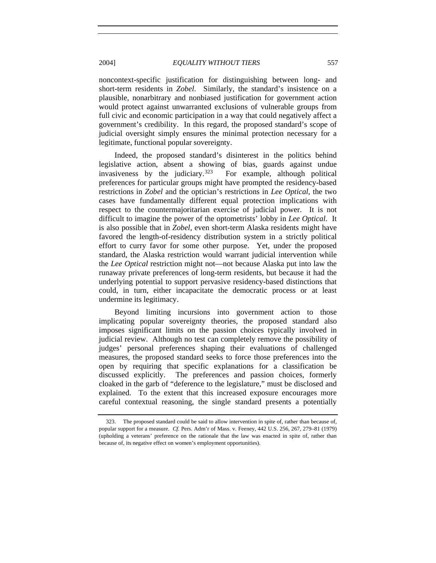noncontext-specific justification for distinguishing between long- and short-term residents in *Zobel*. Similarly, the standard's insistence on a plausible, nonarbitrary and nonbiased justification for government action would protect against unwarranted exclusions of vulnerable groups from full civic and economic participation in a way that could negatively affect a government's credibility. In this regard, the proposed standard's scope of judicial oversight simply ensures the minimal protection necessary for a legitimate, functional popular sovereignty.

Indeed, the proposed standard's disinterest in the politics behind legislative action, absent a showing of bias, guards against undue invasiveness by the judiciary.<sup>[323](#page-76-0)</sup> For example, although political preferences for particular groups might have prompted the residency-based restrictions in *Zobel* and the optician's restrictions in *Lee Optical*, the two cases have fundamentally different equal protection implications with respect to the countermajoritarian exercise of judicial power. It is not difficult to imagine the power of the optometrists' lobby in *Lee Optical*. It is also possible that in *Zobel*, even short-term Alaska residents might have favored the length-of-residency distribution system in a strictly political effort to curry favor for some other purpose. Yet, under the proposed standard, the Alaska restriction would warrant judicial intervention while the *Lee Optical* restriction might not—not because Alaska put into law the runaway private preferences of long-term residents, but because it had the underlying potential to support pervasive residency-based distinctions that could, in turn, either incapacitate the democratic process or at least undermine its legitimacy.

Beyond limiting incursions into government action to those implicating popular sovereignty theories, the proposed standard also imposes significant limits on the passion choices typically involved in judicial review. Although no test can completely remove the possibility of judges' personal preferences shaping their evaluations of challenged measures, the proposed standard seeks to force those preferences into the open by requiring that specific explanations for a classification be discussed explicitly. The preferences and passion choices, formerly cloaked in the garb of "deference to the legislature," must be disclosed and explained. To the extent that this increased exposure encourages more careful contextual reasoning, the single standard presents a potentially

<span id="page-76-0"></span> <sup>323.</sup> The proposed standard could be said to allow intervention in spite of, rather than because of, popular support for a measure. *Cf.* Pers. Adm'r of Mass. v. Feeney, 442 U.S. 256, 267, 279–81 (1979) (upholding a veterans' preference on the rationale that the law was enacted in spite of, rather than because of, its negative effect on women's employment opportunities).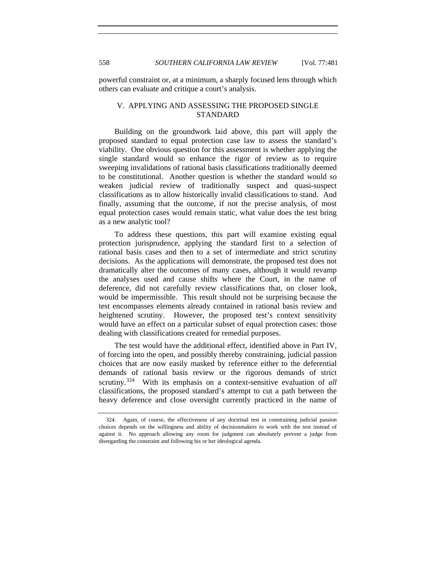powerful constraint or, at a minimum, a sharply focused lens through which others can evaluate and critique a court's analysis.

### V. APPLYING AND ASSESSING THE PROPOSED SINGLE STANDARD

Building on the groundwork laid above, this part will apply the proposed standard to equal protection case law to assess the standard's viability. One obvious question for this assessment is whether applying the single standard would so enhance the rigor of review as to require sweeping invalidations of rational basis classifications traditionally deemed to be constitutional. Another question is whether the standard would so weaken judicial review of traditionally suspect and quasi-suspect classifications as to allow historically invalid classifications to stand. And finally, assuming that the outcome, if not the precise analysis, of most equal protection cases would remain static, what value does the test bring as a new analytic tool?

To address these questions, this part will examine existing equal protection jurisprudence, applying the standard first to a selection of rational basis cases and then to a set of intermediate and strict scrutiny decisions. As the applications will demonstrate, the proposed test does not dramatically alter the outcomes of many cases, although it would revamp the analyses used and cause shifts where the Court, in the name of deference, did not carefully review classifications that, on closer look, would be impermissible. This result should not be surprising because the test encompasses elements already contained in rational basis review and heightened scrutiny. However, the proposed test's context sensitivity would have an effect on a particular subset of equal protection cases: those dealing with classifications created for remedial purposes.

The test would have the additional effect, identified above in Part IV, of forcing into the open, and possibly thereby constraining, judicial passion choices that are now easily masked by reference either to the deferential demands of rational basis review or the rigorous demands of strict scrutiny.<sup>[324](#page-77-0)</sup> With its emphasis on a context-sensitive evaluation of *all* classifications, the proposed standard's attempt to cut a path between the heavy deference and close oversight currently practiced in the name of

<span id="page-77-0"></span> <sup>324.</sup> Again, of course, the effectiveness of any doctrinal test in constraining judicial passion choices depends on the willingness and ability of decisionmakers to work with the test instead of against it. No approach allowing any room for judgment can absolutely prevent a judge from disregarding the constraint and following his or her ideological agenda.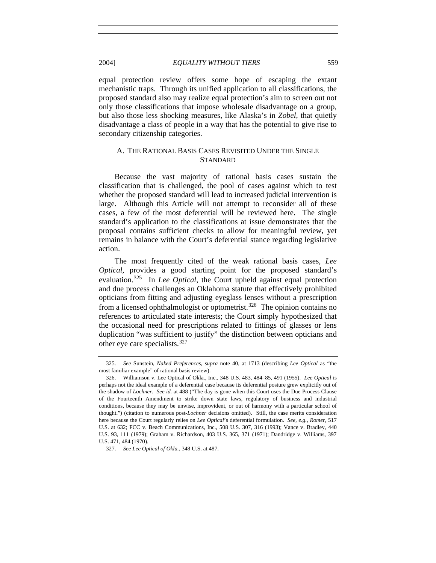equal protection review offers some hope of escaping the extant mechanistic traps. Through its unified application to all classifications, the proposed standard also may realize equal protection's aim to screen out not only those classifications that impose wholesale disadvantage on a group, but also those less shocking measures, like Alaska's in *Zobel*, that quietly disadvantage a class of people in a way that has the potential to give rise to secondary citizenship categories.

# A. THE RATIONAL BASIS CASES REVISITED UNDER THE SINGLE STANDARD

Because the vast majority of rational basis cases sustain the classification that is challenged, the pool of cases against which to test whether the proposed standard will lead to increased judicial intervention is large. Although this Article will not attempt to reconsider all of these cases, a few of the most deferential will be reviewed here. The single standard's application to the classifications at issue demonstrates that the proposal contains sufficient checks to allow for meaningful review, yet remains in balance with the Court's deferential stance regarding legislative action.

The most frequently cited of the weak rational basis cases, *Lee Optical*, provides a good starting point for the proposed standard's evaluation.[325](#page-78-0) In *Lee Optical*, the Court upheld against equal protection and due process challenges an Oklahoma statute that effectively prohibited opticians from fitting and adjusting eyeglass lenses without a prescription from a licensed ophthalmologist or optometrist.<sup>[326](#page-78-1)</sup> The opinion contains no references to articulated state interests; the Court simply hypothesized that the occasional need for prescriptions related to fittings of glasses or lens duplication "was sufficient to justify" the distinction between opticians and other eye care specialists.<sup>[327](#page-78-2)</sup>

<span id="page-78-0"></span><sup>325.</sup> *See* Sunstein, *Naked Preferences*, *supra* note 40, at 1713 (describing *Lee Optical* as "the most familiar example" of rational basis review).

<span id="page-78-1"></span> <sup>326.</sup> Williamson v. Lee Optical of Okla., Inc., 348 U.S. 483, 484–85, 491 (1955). *Lee Optical* is perhaps not the ideal example of a deferential case because its deferential posture grew explicitly out of the shadow of *Lochner*. *See id.* at 488 ("The day is gone when this Court uses the Due Process Clause of the Fourteenth Amendment to strike down state laws, regulatory of business and industrial conditions, because they may be unwise, improvident, or out of harmony with a particular school of thought.") (citation to numerous post-*Lochner* decisions omitted). Still, the case merits consideration here because the Court regularly relies on *Lee Optical*'s deferential formulation. *See, e.g.*, *Romer*, 517 U.S. at 632; FCC v. Beach Communications, Inc., 508 U.S. 307, 316 (1993); Vance v. Bradley, 440 U.S. 93, 111 (1979); Graham v. Richardson, 403 U.S. 365, 371 (1971); Dandridge v. Williams, 397 U.S. 471, 484 (1970).

<span id="page-78-2"></span><sup>327.</sup> *See Lee Optical of Okla.*, 348 U.S. at 487.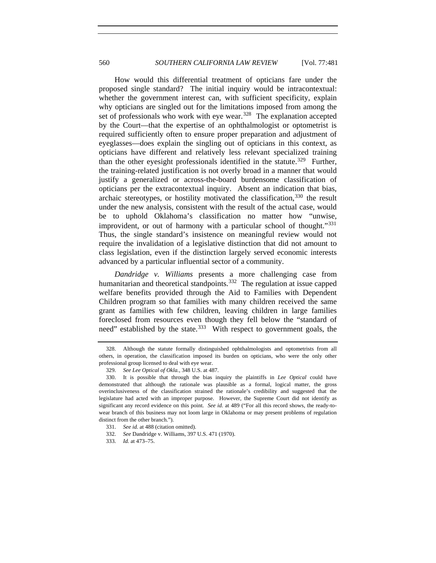How would this differential treatment of opticians fare under the proposed single standard? The initial inquiry would be intracontextual: whether the government interest can, with sufficient specificity, explain why opticians are singled out for the limitations imposed from among the set of professionals who work with eye wear.<sup>[328](#page-79-0)</sup> The explanation accepted by the Court—that the expertise of an ophthalmologist or optometrist is required sufficiently often to ensure proper preparation and adjustment of eyeglasses—does explain the singling out of opticians in this context, as opticians have different and relatively less relevant specialized training than the other eyesight professionals identified in the statute.<sup>[329](#page-79-1)</sup> Further, the training-related justification is not overly broad in a manner that would justify a generalized or across-the-board burdensome classification of opticians per the extracontextual inquiry. Absent an indication that bias, archaic stereotypes, or hostility motivated the classification,  $330$  the result under the new analysis, consistent with the result of the actual case, would be to uphold Oklahoma's classification no matter how "unwise, improvident, or out of harmony with a particular school of thought." $331$ Thus, the single standard's insistence on meaningful review would not require the invalidation of a legislative distinction that did not amount to class legislation, even if the distinction largely served economic interests advanced by a particular influential sector of a community.

*Dandridge v. Williams* presents a more challenging case from humanitarian and theoretical standpoints.<sup>[332](#page-79-4)</sup> The regulation at issue capped welfare benefits provided through the Aid to Families with Dependent Children program so that families with many children received the same grant as families with few children, leaving children in large families foreclosed from resources even though they fell below the "standard of need" established by the state.<sup>[333](#page-79-5)</sup> With respect to government goals, the

<span id="page-79-0"></span> <sup>328.</sup> Although the statute formally distinguished ophthalmologists and optometrists from all others, in operation, the classification imposed its burden on opticians, who were the only other professional group licensed to deal with eye wear.

<sup>329.</sup> *See Lee Optical of Okla.*, 348 U.S. at 487.

<span id="page-79-2"></span><span id="page-79-1"></span> <sup>330.</sup> It is possible that through the bias inquiry the plaintiffs in *Lee Optical* could have demonstrated that although the rationale was plausible as a formal, logical matter, the gross overinclusiveness of the classification strained the rationale's credibility and suggested that the legislature had acted with an improper purpose. However, the Supreme Court did not identify as significant any record evidence on this point. *See id.* at 489 ("For all this record shows, the ready-towear branch of this business may not loom large in Oklahoma or may present problems of regulation distinct from the other branch.").

<span id="page-79-3"></span><sup>331.</sup> *See id.* at 488 (citation omitted).

<span id="page-79-5"></span><span id="page-79-4"></span><sup>332.</sup> *See* Dandridge v. Williams, 397 U.S. 471 (1970).

<sup>333.</sup> *Id.* at 473–75.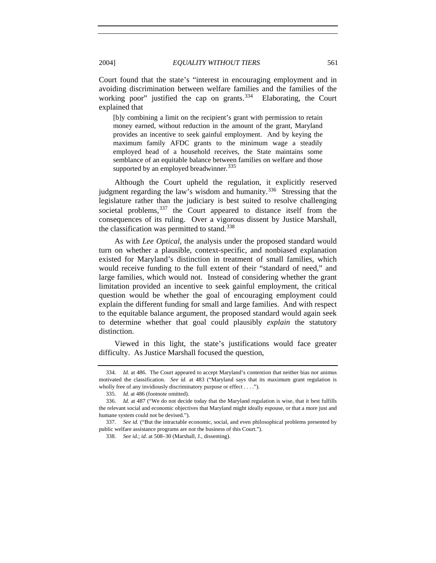Court found that the state's "interest in encouraging employment and in avoiding discrimination between welfare families and the families of the working poor" justified the cap on grants. $334$  Elaborating, the Court explained that

[b]y combining a limit on the recipient's grant with permission to retain money earned, without reduction in the amount of the grant, Maryland provides an incentive to seek gainful employment. And by keying the maximum family AFDC grants to the minimum wage a steadily employed head of a household receives, the State maintains some semblance of an equitable balance between families on welfare and those supported by an employed breadwinner.<sup>[335](#page-80-1)</sup>

Although the Court upheld the regulation, it explicitly reserved judgment regarding the law's wisdom and humanity.<sup>[336](#page-80-2)</sup> Stressing that the legislature rather than the judiciary is best suited to resolve challenging societal problems,  $337$  the Court appeared to distance itself from the consequences of its ruling. Over a vigorous dissent by Justice Marshall, the classification was permitted to stand.<sup>[338](#page-80-4)</sup>

As with *Lee Optical*, the analysis under the proposed standard would turn on whether a plausible, context-specific, and nonbiased explanation existed for Maryland's distinction in treatment of small families, which would receive funding to the full extent of their "standard of need," and large families, which would not. Instead of considering whether the grant limitation provided an incentive to seek gainful employment, the critical question would be whether the goal of encouraging employment could explain the different funding for small and large families. And with respect to the equitable balance argument, the proposed standard would again seek to determine whether that goal could plausibly *explain* the statutory distinction.

Viewed in this light, the state's justifications would face greater difficulty. As Justice Marshall focused the question,

<span id="page-80-0"></span><sup>334.</sup> *Id.* at 486. The Court appeared to accept Maryland's contention that neither bias nor animus motivated the classification. *See id.* at 483 ("Maryland says that its maximum grant regulation is wholly free of any invidiously discriminatory purpose or effect . . . .").

<sup>335.</sup> *Id.* at 486 (footnote omitted).

<span id="page-80-2"></span><span id="page-80-1"></span><sup>336.</sup> *Id.* at 487 ("We do not decide today that the Maryland regulation is wise, that it best fulfills the relevant social and economic objectives that Maryland might ideally espouse, or that a more just and humane system could not be devised.").

<span id="page-80-4"></span><span id="page-80-3"></span><sup>337.</sup> *See id.* ("But the intractable economic, social, and even philosophical problems presented by public welfare assistance programs are not the business of this Court.").

<sup>338.</sup> *See id.*; *id.* at 508–30 (Marshall, J., dissenting).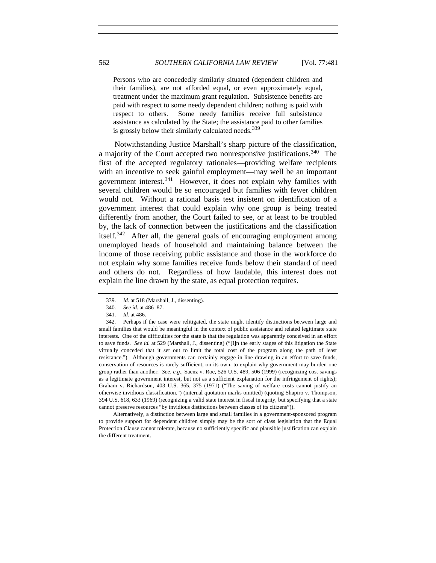Persons who are concededly similarly situated (dependent children and their families), are not afforded equal, or even approximately equal, treatment under the maximum grant regulation. Subsistence benefits are paid with respect to some needy dependent children; nothing is paid with respect to others. Some needy families receive full subsistence assistance as calculated by the State; the assistance paid to other families is grossly below their similarly calculated needs.<sup>[339](#page-81-0)</sup>

Notwithstanding Justice Marshall's sharp picture of the classification, a majority of the Court accepted two nonresponsive justifications.<sup>[340](#page-81-1)</sup> The first of the accepted regulatory rationales—providing welfare recipients with an incentive to seek gainful employment—may well be an important government interest.<sup>[341](#page-81-2)</sup> However, it does not explain why families with several children would be so encouraged but families with fewer children would not. Without a rational basis test insistent on identification of a government interest that could explain why one group is being treated differently from another, the Court failed to see, or at least to be troubled by, the lack of connection between the justifications and the classification itself.[342](#page-81-3) After all, the general goals of encouraging employment among unemployed heads of household and maintaining balance between the income of those receiving public assistance and those in the workforce do not explain why some families receive funds below their standard of need and others do not. Regardless of how laudable, this interest does not explain the line drawn by the state, as equal protection requires.

Alternatively, a distinction between large and small families in a government-sponsored program to provide support for dependent children simply may be the sort of class legislation that the Equal Protection Clause cannot tolerate, because no sufficiently specific and plausible justification can explain the different treatment.

<sup>339.</sup> *Id.* at 518 (Marshall, J., dissenting).

<sup>340.</sup> *See id.* at 486–87.

<sup>341.</sup> *Id.* at 486.

<span id="page-81-3"></span><span id="page-81-2"></span><span id="page-81-1"></span><span id="page-81-0"></span> <sup>342.</sup> Perhaps if the case were relitigated, the state might identify distinctions between large and small families that would be meaningful in the context of public assistance and related legitimate state interests. One of the difficulties for the state is that the regulation was apparently conceived in an effort to save funds. *See id.* at 529 (Marshall, J., dissenting) ("[I]n the early stages of this litigation the State virtually conceded that it set out to limit the total cost of the program along the path of least resistance."). Although governments can certainly engage in line drawing in an effort to save funds, conservation of resources is rarely sufficient, on its own, to explain why government may burden one group rather than another. *See, e.g.*, Saenz v. Roe, 526 U.S. 489, 506 (1999) (recognizing cost savings as a legitimate government interest, but not as a sufficient explanation for the infringement of rights); Graham v. Richardson, 403 U.S. 365, 375 (1971) ("The saving of welfare costs cannot justify an otherwise invidious classification.") (internal quotation marks omitted) (quoting Shapiro v. Thompson, 394 U.S. 618, 633 (1969) (recognizing a valid state interest in fiscal integrity, but specifying that a state cannot preserve resources "by invidious distinctions between classes of its citizens")).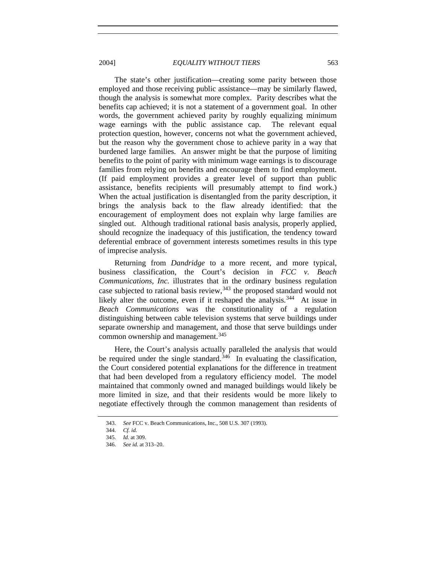The state's other justification—creating some parity between those employed and those receiving public assistance—may be similarly flawed, though the analysis is somewhat more complex. Parity describes what the benefits cap achieved; it is not a statement of a government goal. In other words, the government achieved parity by roughly equalizing minimum wage earnings with the public assistance cap. The relevant equal protection question, however, concerns not what the government achieved, but the reason why the government chose to achieve parity in a way that burdened large families. An answer might be that the purpose of limiting benefits to the point of parity with minimum wage earnings is to discourage families from relying on benefits and encourage them to find employment. (If paid employment provides a greater level of support than public assistance, benefits recipients will presumably attempt to find work.) When the actual justification is disentangled from the parity description, it brings the analysis back to the flaw already identified: that the encouragement of employment does not explain why large families are singled out. Although traditional rational basis analysis, properly applied, should recognize the inadequacy of this justification, the tendency toward deferential embrace of government interests sometimes results in this type of imprecise analysis.

Returning from *Dandridge* to a more recent, and more typical, business classification, the Court's decision in *FCC v. Beach Communications, Inc.* illustrates that in the ordinary business regulation case subjected to rational basis review,  $343$  the proposed standard would not likely alter the outcome, even if it reshaped the analysis.<sup>[344](#page-82-1)</sup> At issue in *Beach Communications* was the constitutionality of a regulation distinguishing between cable television systems that serve buildings under separate ownership and management, and those that serve buildings under common ownership and management.<sup>[345](#page-82-2)</sup>

Here, the Court's analysis actually paralleled the analysis that would be required under the single standard.<sup>[346](#page-82-3)</sup> In evaluating the classification, the Court considered potential explanations for the difference in treatment that had been developed from a regulatory efficiency model. The model maintained that commonly owned and managed buildings would likely be more limited in size, and that their residents would be more likely to negotiate effectively through the common management than residents of

<span id="page-82-0"></span><sup>343.</sup> *See* FCC v. Beach Communications, Inc., 508 U.S. 307 (1993).

<span id="page-82-2"></span><span id="page-82-1"></span><sup>344.</sup> *Cf. id.*

<sup>345.</sup> *Id.* at 309.

<span id="page-82-3"></span><sup>346.</sup> *See id.* at 313–20.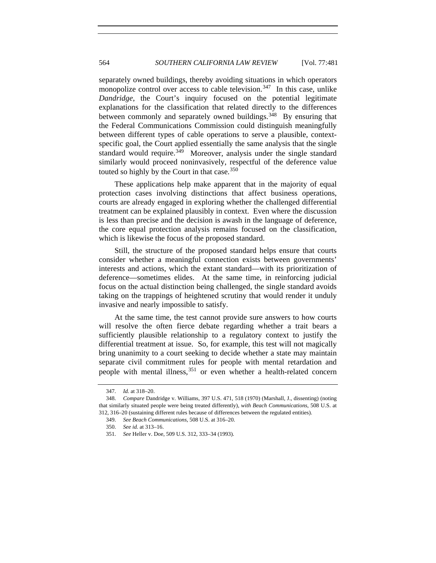### 564 *SOUTHERN CALIFORNIA LAW REVIEW* [Vol. 77:481

separately owned buildings, thereby avoiding situations in which operators monopolize control over access to cable television.<sup>[347](#page-83-0)</sup> In this case, unlike *Dandridge*, the Court's inquiry focused on the potential legitimate explanations for the classification that related directly to the differences between commonly and separately owned buildings.<sup>[348](#page-83-1)</sup> By ensuring that the Federal Communications Commission could distinguish meaningfully between different types of cable operations to serve a plausible, contextspecific goal, the Court applied essentially the same analysis that the single standard would require.<sup>[349](#page-83-2)</sup> Moreover, analysis under the single standard similarly would proceed noninvasively, respectful of the deference value touted so highly by the Court in that case.  $350$ 

These applications help make apparent that in the majority of equal protection cases involving distinctions that affect business operations, courts are already engaged in exploring whether the challenged differential treatment can be explained plausibly in context. Even where the discussion is less than precise and the decision is awash in the language of deference, the core equal protection analysis remains focused on the classification, which is likewise the focus of the proposed standard.

Still, the structure of the proposed standard helps ensure that courts consider whether a meaningful connection exists between governments' interests and actions, which the extant standard—with its prioritization of deference—sometimes elides. At the same time, in reinforcing judicial focus on the actual distinction being challenged, the single standard avoids taking on the trappings of heightened scrutiny that would render it unduly invasive and nearly impossible to satisfy.

At the same time, the test cannot provide sure answers to how courts will resolve the often fierce debate regarding whether a trait bears a sufficiently plausible relationship to a regulatory context to justify the differential treatment at issue. So, for example, this test will not magically bring unanimity to a court seeking to decide whether a state may maintain separate civil commitment rules for people with mental retardation and people with mental illness,  $351$  or even whether a health-related concern

<sup>347.</sup> *Id.* at 318–20.

<span id="page-83-4"></span><span id="page-83-3"></span><span id="page-83-2"></span><span id="page-83-1"></span><span id="page-83-0"></span><sup>348.</sup> *Compare* Dandridge v. Williams, 397 U.S. 471, 518 (1970) (Marshall, J., dissenting) (noting that similarly situated people were being treated differently), *with Beach Communications*, 508 U.S. at 312, 316–20 (sustaining different rules because of differences between the regulated entities).

<sup>349.</sup> *See Beach Communications*, 508 U.S. at 316–20.

<sup>350.</sup> *See id.* at 313–16.

<sup>351.</sup> *See* Heller v. Doe, 509 U.S. 312, 333–34 (1993).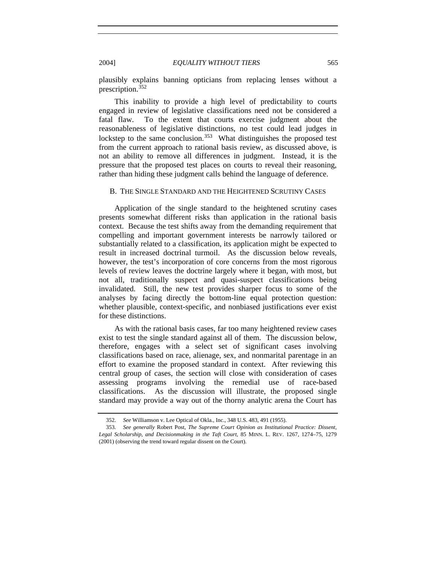plausibly explains banning opticians from replacing lenses without a prescription.<sup>[352](#page-84-0)</sup>

This inability to provide a high level of predictability to courts engaged in review of legislative classifications need not be considered a fatal flaw. To the extent that courts exercise judgment about the reasonableness of legislative distinctions, no test could lead judges in lockstep to the same conclusion.<sup>[353](#page-84-1)</sup> What distinguishes the proposed test from the current approach to rational basis review, as discussed above, is not an ability to remove all differences in judgment. Instead, it is the pressure that the proposed test places on courts to reveal their reasoning, rather than hiding these judgment calls behind the language of deference.

#### B. THE SINGLE STANDARD AND THE HEIGHTENED SCRUTINY CASES

Application of the single standard to the heightened scrutiny cases presents somewhat different risks than application in the rational basis context. Because the test shifts away from the demanding requirement that compelling and important government interests be narrowly tailored or substantially related to a classification, its application might be expected to result in increased doctrinal turmoil. As the discussion below reveals, however, the test's incorporation of core concerns from the most rigorous levels of review leaves the doctrine largely where it began, with most, but not all, traditionally suspect and quasi-suspect classifications being invalidated. Still, the new test provides sharper focus to some of the analyses by facing directly the bottom-line equal protection question: whether plausible, context-specific, and nonbiased justifications ever exist for these distinctions.

As with the rational basis cases, far too many heightened review cases exist to test the single standard against all of them. The discussion below, therefore, engages with a select set of significant cases involving classifications based on race, alienage, sex, and nonmarital parentage in an effort to examine the proposed standard in context. After reviewing this central group of cases, the section will close with consideration of cases assessing programs involving the remedial use of race-based classifications. As the discussion will illustrate, the proposed single standard may provide a way out of the thorny analytic arena the Court has

<sup>352.</sup> *See* Williamson v. Lee Optical of Okla., Inc., 348 U.S. 483, 491 (1955).

<span id="page-84-1"></span><span id="page-84-0"></span><sup>353.</sup> *See generally* Robert Post, *The Supreme Court Opinion as Institutional Practice: Dissent, Legal Scholarship, and Decisionmaking in the Taft Court*, 85 MINN. L. REV. 1267, 1274–75, 1279 (2001) (observing the trend toward regular dissent on the Court).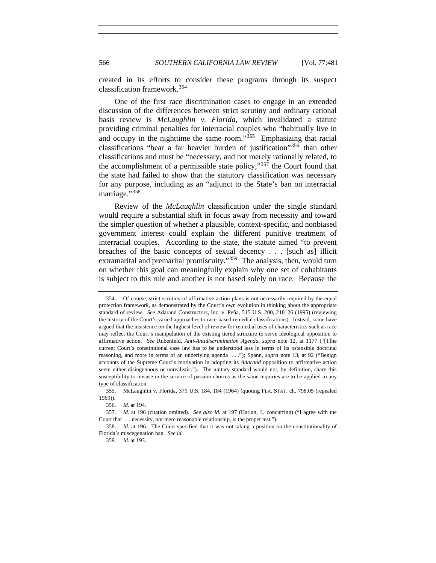created in its efforts to consider these programs through its suspect classification framework.[354](#page-85-0)

One of the first race discrimination cases to engage in an extended discussion of the differences between strict scrutiny and ordinary rational basis review is *McLaughlin v. Florida*, which invalidated a statute providing criminal penalties for interracial couples who "habitually live in and occupy in the nighttime the same room."[355](#page-85-1) Emphasizing that racial classifications "bear a far heavier burden of justification"[356](#page-85-2) than other classifications and must be "necessary, and not merely rationally related, to the accomplishment of a permissible state policy," $357$  the Court found that the state had failed to show that the statutory classification was necessary for any purpose, including as an "adjunct to the State's ban on interracial marriage."[358](#page-85-4)

Review of the *McLaughlin* classification under the single standard would require a substantial shift in focus away from necessity and toward the simpler question of whether a plausible, context-specific, and nonbiased government interest could explain the different punitive treatment of interracial couples. According to the state, the statute aimed "to prevent breaches of the basic concepts of sexual decency . . . [such as] illicit extramarital and premarital promiscuity."<sup>[359](#page-85-5)</sup> The analysis, then, would turn on whether this goal can meaningfully explain why one set of cohabitants is subject to this rule and another is not based solely on race. Because the

<span id="page-85-0"></span> <sup>354.</sup> Of course, strict scrutiny of affirmative action plans is not necessarily required by the equal protection framework, as demonstrated by the Court's own evolution in thinking about the appropriate standard of review. *See* Adarand Constructors, Inc. v. Peña, 515 U.S. 200, 218–26 (1995) (reviewing the history of the Court's varied approaches to race-based remedial classifications). Instead, some have argued that the insistence on the highest level of review for remedial uses of characteristics such as race may reflect the Court's manipulation of the existing tiered structure to serve ideological opposition to affirmative action. *See* Rubenfeld, *Anti-Antidiscrimination Agenda*, *supra* note 12, at 1177 ("[T]he current Court's constitutional case law has to be understood less in terms of its ostensible doctrinal reasoning, and more in terms of an underlying agenda . . . ."); Spann, *supra* note 13, at 92 ("Benign accounts of the Supreme Court's motivation in adopting its *Adarand* opposition to affirmative action seem either disingenuous or unrealistic."). The unitary standard would not, by definition, share this susceptibility to misuse in the service of passion choices as the same inquiries are to be applied to any type of classification.

<span id="page-85-1"></span> <sup>355.</sup> McLaughlin v. Florida, 379 U.S. 184, 184 (1964) (quoting FLA. STAT. ch. 798.05 (repealed 1969)).

<sup>356.</sup> *Id.* at 194.

<span id="page-85-3"></span><span id="page-85-2"></span><sup>357.</sup> *Id.* at 196 (citation omitted). *See also id.* at 197 (Harlan, J., concurring) ("I agree with the Court that . . . necessity, not mere reasonable relationship, is the proper test.").

<span id="page-85-5"></span><span id="page-85-4"></span><sup>358.</sup> *Id.* at 196. The Court specified that it was not taking a position on the constitutionality of Florida's miscegenation ban. *See id.*

<sup>359.</sup> *Id.* at 193.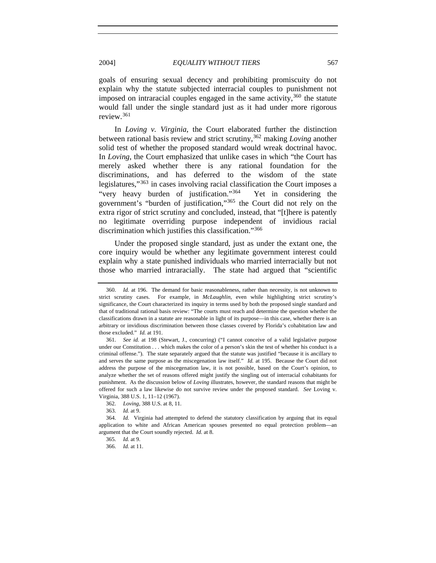goals of ensuring sexual decency and prohibiting promiscuity do not explain why the statute subjected interracial couples to punishment not imposed on intraracial couples engaged in the same activity,  $360$  the statute would fall under the single standard just as it had under more rigorous

In *Loving v. Virginia*, the Court elaborated further the distinction between rational basis review and strict scrutiny,[362](#page-86-2) making *Loving* another solid test of whether the proposed standard would wreak doctrinal havoc. In *Loving*, the Court emphasized that unlike cases in which "the Court has merely asked whether there is any rational foundation for the discriminations, and has deferred to the wisdom of the state legislatures,"[363](#page-86-3) in cases involving racial classification the Court imposes a "very heavy burden of justification."[364](#page-86-4) Yet in considering the government's "burden of justification,"[365](#page-86-5) the Court did not rely on the extra rigor of strict scrutiny and concluded, instead, that "[t]here is patently no legitimate overriding purpose independent of invidious racial discrimination which justifies this classification."[366](#page-86-6)

Under the proposed single standard, just as under the extant one, the core inquiry would be whether any legitimate government interest could explain why a state punished individuals who married interracially but not those who married intraracially. The state had argued that "scientific

review.[361](#page-86-1)

<span id="page-86-0"></span><sup>360.</sup> *Id.* at 196. The demand for basic reasonableness, rather than necessity, is not unknown to strict scrutiny cases. For example, in *McLaughlin*, even while highlighting strict scrutiny's significance, the Court characterized its inquiry in terms used by both the proposed single standard and that of traditional rational basis review: "The courts must reach and determine the question whether the classifications drawn in a statute are reasonable in light of its purpose—in this case, whether there is an arbitrary or invidious discrimination between those classes covered by Florida's cohabitation law and those excluded." *Id.* at 191.

<span id="page-86-1"></span><sup>361.</sup> *See id.* at 198 (Stewart, J., concurring) ("I cannot conceive of a valid legislative purpose under our Constitution . . . which makes the color of a person's skin the test of whether his conduct is a criminal offense."). The state separately argued that the statute was justified "because it is ancillary to and serves the same purpose as the miscegenation law itself." *Id.* at 195. Because the Court did not address the purpose of the miscegenation law, it is not possible, based on the Court's opinion, to analyze whether the set of reasons offered might justify the singling out of interracial cohabitants for punishment. As the discussion below of *Loving* illustrates, however, the standard reasons that might be offered for such a law likewise do not survive review under the proposed standard. *See* Loving v. Virginia, 388 U.S. 1, 11–12 (1967).

<sup>362.</sup> *Loving*, 388 U.S. at 8, 11.

<sup>363.</sup> *Id.* at 9.

<span id="page-86-6"></span><span id="page-86-5"></span><span id="page-86-4"></span><span id="page-86-3"></span><span id="page-86-2"></span><sup>364.</sup> *Id.* Virginia had attempted to defend the statutory classification by arguing that its equal application to white and African American spouses presented no equal protection problem—an argument that the Court soundly rejected. *Id.* at 8.

<sup>365.</sup> *Id.* at 9.

<sup>366.</sup> *Id.* at 11.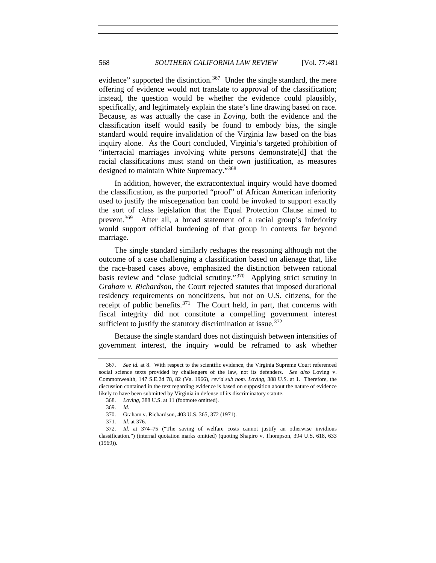evidence" supported the distinction.<sup>[367](#page-87-0)</sup> Under the single standard, the mere offering of evidence would not translate to approval of the classification; instead, the question would be whether the evidence could plausibly, specifically, and legitimately explain the state's line drawing based on race. Because, as was actually the case in *Loving*, both the evidence and the classification itself would easily be found to embody bias, the single standard would require invalidation of the Virginia law based on the bias inquiry alone. As the Court concluded, Virginia's targeted prohibition of "interracial marriages involving white persons demonstrate[d] that the racial classifications must stand on their own justification, as measures designed to maintain White Supremacy."<sup>[368](#page-87-1)</sup>

In addition, however, the extracontextual inquiry would have doomed the classification, as the purported "proof" of African American inferiority used to justify the miscegenation ban could be invoked to support exactly the sort of class legislation that the Equal Protection Clause aimed to prevent.[369](#page-87-2) After all, a broad statement of a racial group's inferiority would support official burdening of that group in contexts far beyond marriage.

The single standard similarly reshapes the reasoning although not the outcome of a case challenging a classification based on alienage that, like the race-based cases above, emphasized the distinction between rational basis review and "close judicial scrutiny."[370](#page-87-3) Applying strict scrutiny in *Graham v. Richardson*, the Court rejected statutes that imposed durational residency requirements on noncitizens, but not on U.S. citizens, for the receipt of public benefits.<sup>[371](#page-87-4)</sup> The Court held, in part, that concerns with fiscal integrity did not constitute a compelling government interest sufficient to justify the statutory discrimination at issue.  $372$ 

Because the single standard does not distinguish between intensities of government interest, the inquiry would be reframed to ask whether

<span id="page-87-0"></span><sup>367.</sup> *See id.* at 8. With respect to the scientific evidence, the Virginia Supreme Court referenced social science texts provided by challengers of the law, not its defenders. *See also* Loving v. Commonwealth, 147 S.E.2d 78, 82 (Va. 1966), *rev'd sub nom. Loving*, 388 U.S. at 1. Therefore, the discussion contained in the text regarding evidence is based on supposition about the nature of evidence likely to have been submitted by Virginia in defense of its discriminatory statute.

<sup>368.</sup> *Loving*, 388 U.S. at 11 (footnote omitted).

<sup>369.</sup> *Id.*

 <sup>370.</sup> Graham v. Richardson, 403 U.S. 365, 372 (1971).

<sup>371.</sup> *Id.* at 376.

<span id="page-87-5"></span><span id="page-87-4"></span><span id="page-87-3"></span><span id="page-87-2"></span><span id="page-87-1"></span><sup>372.</sup> *Id.* at 374–75 ("The saving of welfare costs cannot justify an otherwise invidious classification.") (internal quotation marks omitted) (quoting Shapiro v. Thompson, 394 U.S. 618, 633 (1969)).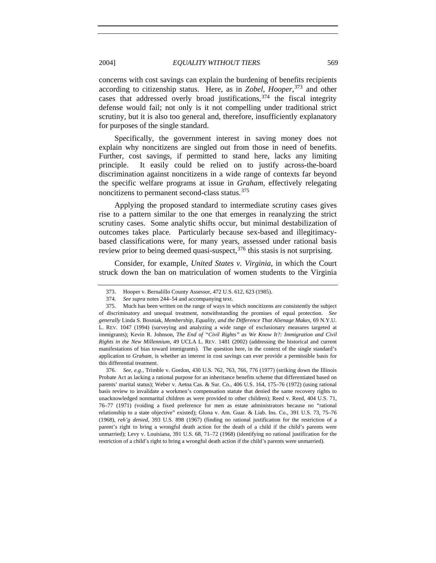concerns with cost savings can explain the burdening of benefits recipients according to citizenship status. Here, as in *Zobel*, *Hooper*, [373](#page-88-0) and other cases that addressed overly broad justifications,  $374$  the fiscal integrity defense would fail; not only is it not compelling under traditional strict scrutiny, but it is also too general and, therefore, insufficiently explanatory for purposes of the single standard.

Specifically, the government interest in saving money does not explain why noncitizens are singled out from those in need of benefits. Further, cost savings, if permitted to stand here, lacks any limiting principle. It easily could be relied on to justify across-the-board discrimination against noncitizens in a wide range of contexts far beyond the specific welfare programs at issue in *Graham*, effectively relegating noncitizens to permanent second-class status.<sup>[375](#page-88-2)</sup>

Applying the proposed standard to intermediate scrutiny cases gives rise to a pattern similar to the one that emerges in reanalyzing the strict scrutiny cases. Some analytic shifts occur, but minimal destabilization of outcomes takes place. Particularly because sex-based and illegitimacybased classifications were, for many years, assessed under rational basis review prior to being deemed quasi-suspect,  $376$  this stasis is not surprising.

Consider, for example, *United States v. Virginia*, in which the Court struck down the ban on matriculation of women students to the Virginia

 <sup>373.</sup> Hooper v. Bernalillo County Assessor, 472 U.S. 612, 623 (1985).

<sup>374.</sup> *See supra* notes 244–54 and accompanying text.

<span id="page-88-2"></span><span id="page-88-1"></span><span id="page-88-0"></span> <sup>375.</sup> Much has been written on the range of ways in which noncitizens are consistently the subject of discriminatory and unequal treatment, notwithstanding the promises of equal protection. *See generally* Linda S. Bosniak, *Membership, Equality, and the Difference That Alienage Makes*, 69 N.Y.U. L. REV. 1047 (1994) (surveying and analyzing a wide range of exclusionary measures targeted at immigrants); Kevin R. Johnson, *The End of "Civil Rights" as We Know It?: Immigration and Civil Rights in the New Millennium*, 49 UCLA L. REV. 1481 (2002) (addressing the historical and current manifestations of bias toward immigrants). The question here, in the context of the single standard's application to *Graham*, is whether an interest in cost savings can ever provide a permissible basis for this differential treatment.

<span id="page-88-3"></span><sup>376.</sup> *See, e.g.*, Trimble v. Gordon, 430 U.S. 762, 763, 766, 776 (1977) (striking down the Illinois Probate Act as lacking a rational purpose for an inheritance benefits scheme that differentiated based on parents' marital status); Weber v. Aetna Cas. & Sur. Co., 406 U.S. 164, 175–76 (1972) (using rational basis review to invalidate a workmen's compensation statute that denied the same recovery rights to unacknowledged nonmarital children as were provided to other children); Reed v. Reed, 404 U.S. 71, 76–77 (1971) (voiding a fixed preference for men as estate administrators because no "rational relationship to a state objective" existed); Glona v. Am. Guar. & Liab. Ins. Co., 391 U.S. 73, 75–76 (1968), *reh'g denied*, 393 U.S. 898 (1967) (finding no rational justification for the restriction of a parent's right to bring a wrongful death action for the death of a child if the child's parents were unmarried); Levy v. Louisiana, 391 U.S. 68, 71–72 (1968) (identifying no rational justification for the restriction of a child's right to bring a wrongful death action if the child's parents were unmarried).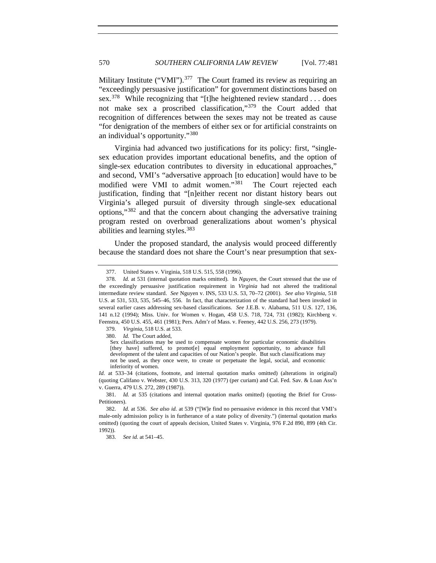Military Institute ("VMI").<sup>[377](#page-89-0)</sup> The Court framed its review as requiring an "exceedingly persuasive justification" for government distinctions based on sex.<sup>[378](#page-89-1)</sup> While recognizing that "[t]he heightened review standard . . . does not make sex a proscribed classification,"[379](#page-89-2) the Court added that recognition of differences between the sexes may not be treated as cause "for denigration of the members of either sex or for artificial constraints on an individual's opportunity."[380](#page-89-3)

Virginia had advanced two justifications for its policy: first, "singlesex education provides important educational benefits, and the option of single-sex education contributes to diversity in educational approaches," and second, VMI's "adversative approach [to education] would have to be modified were VMI to admit women."<sup>[381](#page-89-4)</sup> The Court rejected each justification, finding that "[n]either recent nor distant history bears out Virginia's alleged pursuit of diversity through single-sex educational options,"[382](#page-89-5) and that the concern about changing the adversative training program rested on overbroad generalizations about women's physical abilities and learning styles.[383](#page-89-6)

Under the proposed standard, the analysis would proceed differently because the standard does not share the Court's near presumption that sex-

383. *See id.* at 541–45.

 <sup>377.</sup> United States v. Virginia, 518 U.S. 515, 558 (1996).

<span id="page-89-1"></span><span id="page-89-0"></span><sup>378.</sup> *Id.* at 531 (internal quotation marks omitted). In *Nguyen*, the Court stressed that the use of the exceedingly persuasive justification requirement in *Virginia* had not altered the traditional intermediate review standard. *See* Nguyen v. INS, 533 U.S. 53, 70–72 (2001). *See also Virginia*, 518 U.S. at 531, 533, 535, 545–46, 556. In fact, that characterization of the standard had been invoked in several earlier cases addressing sex-based classifications. *See* J.E.B. v. Alabama, 511 U.S. 127, 136, 141 n.12 (1994); Miss. Univ. for Women v. Hogan, 458 U.S. 718, 724, 731 (1982); Kirchberg v. Feenstra, 450 U.S. 455, 461 (1981); Pers. Adm'r of Mass. v. Feeney, 442 U.S. 256, 273 (1979).

<span id="page-89-2"></span><sup>379.</sup> *Virginia*, 518 U.S. at 533.

<span id="page-89-3"></span><sup>380.</sup> *Id.* The Court added,

Sex classifications may be used to compensate women for particular economic disabilities [they have] suffered, to promot[e] equal employment opportunity, to advance full development of the talent and capacities of our Nation's people. But such classifications may not be used, as they once were, to create or perpetuate the legal, social, and economic inferiority of women.

*Id.* at 533–34 (citations, footnote, and internal quotation marks omitted) (alterations in original) (quoting Califano v. Webster, 430 U.S. 313, 320 (1977) (per curiam) and Cal. Fed. Sav. & Loan Ass'n v. Guerra, 479 U.S. 272, 289 (1987)).

<span id="page-89-4"></span><sup>381.</sup> *Id.* at 535 (citations and internal quotation marks omitted) (quoting the Brief for Cross-Petitioners).

<span id="page-89-6"></span><span id="page-89-5"></span><sup>382.</sup> *Id.* at 536. *See also id.* at 539 ("[W]e find no persuasive evidence in this record that VMI's male-only admission policy is in furtherance of a state policy of diversity.") (internal quotation marks omitted) (quoting the court of appeals decision, United States v. Virginia, 976 F.2d 890, 899 (4th Cir. 1992)).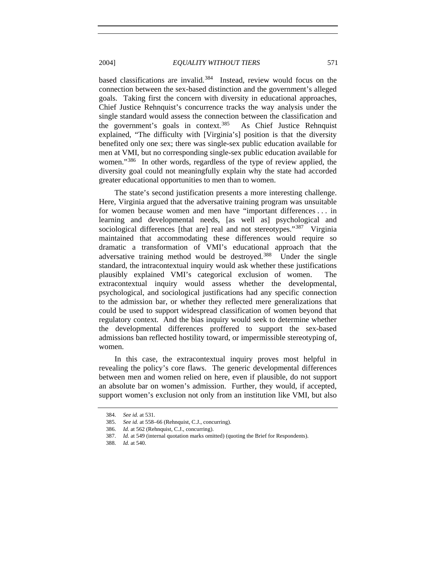based classifications are invalid.<sup>[384](#page-90-0)</sup> Instead, review would focus on the connection between the sex-based distinction and the government's alleged goals. Taking first the concern with diversity in educational approaches, Chief Justice Rehnquist's concurrence tracks the way analysis under the single standard would assess the connection between the classification and the government's goals in context.<sup>[385](#page-90-1)</sup> As Chief Justice Rehnquist explained, "The difficulty with [Virginia's] position is that the diversity benefited only one sex; there was single-sex public education available for men at VMI, but no corresponding single-sex public education available for women."<sup>[386](#page-90-2)</sup> In other words, regardless of the type of review applied, the diversity goal could not meaningfully explain why the state had accorded greater educational opportunities to men than to women.

The state's second justification presents a more interesting challenge. Here, Virginia argued that the adversative training program was unsuitable for women because women and men have "important differences . . . in learning and developmental needs, [as well as] psychological and sociological differences [that are] real and not stereotypes."<sup>[387](#page-90-3)</sup> Virginia maintained that accommodating these differences would require so dramatic a transformation of VMI's educational approach that the adversative training method would be destroyed.<sup>[388](#page-90-4)</sup> Under the single standard, the intracontextual inquiry would ask whether these justifications plausibly explained VMI's categorical exclusion of women. The extracontextual inquiry would assess whether the developmental, psychological, and sociological justifications had any specific connection to the admission bar, or whether they reflected mere generalizations that could be used to support widespread classification of women beyond that regulatory context. And the bias inquiry would seek to determine whether the developmental differences proffered to support the sex-based admissions ban reflected hostility toward, or impermissible stereotyping of, women.

In this case, the extracontextual inquiry proves most helpful in revealing the policy's core flaws. The generic developmental differences between men and women relied on here, even if plausible, do not support an absolute bar on women's admission. Further, they would, if accepted, support women's exclusion not only from an institution like VMI, but also

<span id="page-90-0"></span><sup>384.</sup> *See id.* at 531.

<span id="page-90-1"></span><sup>385.</sup> *See id.* at 558–66 (Rehnquist, C.J., concurring).

<sup>386.</sup> *Id.* at 562 (Rehnquist, C.J., concurring).

<span id="page-90-3"></span><span id="page-90-2"></span><sup>387.</sup> *Id.* at 549 (internal quotation marks omitted) (quoting the Brief for Respondents).

<span id="page-90-4"></span><sup>388.</sup> *Id.* at 540.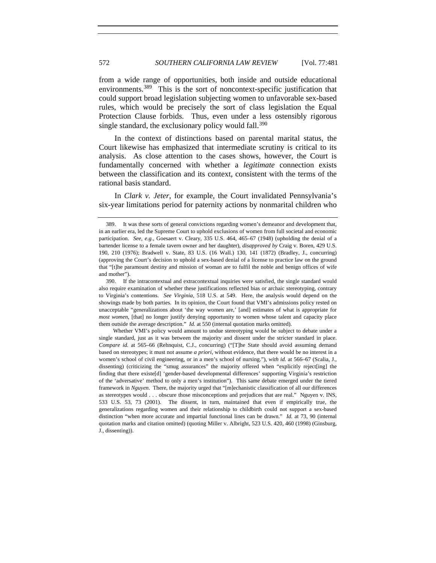from a wide range of opportunities, both inside and outside educational environments.<sup>[389](#page-91-0)</sup> This is the sort of noncontext-specific justification that could support broad legislation subjecting women to unfavorable sex-based rules, which would be precisely the sort of class legislation the Equal Protection Clause forbids. Thus, even under a less ostensibly rigorous single standard, the exclusionary policy would fall. $390$ 

In the context of distinctions based on parental marital status, the Court likewise has emphasized that intermediate scrutiny is critical to its analysis. As close attention to the cases shows, however, the Court is fundamentally concerned with whether a *legitimate* connection exists between the classification and its context, consistent with the terms of the rational basis standard.

In *Clark v. Jeter*, for example, the Court invalidated Pennsylvania's six-year limitations period for paternity actions by nonmarital children who

Whether VMI's policy would amount to undue stereotyping would be subject to debate under a single standard, just as it was between the majority and dissent under the stricter standard in place. *Compare id.* at 565–66 (Rehnquist, C.J., concurring) ("[T]he State should avoid assuming demand based on stereotypes; it must not assume *a priori*, without evidence, that there would be no interest in a women's school of civil engineering, or in a men's school of nursing."), *with id.* at 566–67 (Scalia, J., dissenting) (criticizing the "smug assurances" the majority offered when "explicitly reject[ing] the finding that there existe[d] 'gender-based developmental differences' supporting Virginia's restriction of the 'adversative' method to only a men's institution"). This same debate emerged under the tiered framework in *Nguyen*. There, the majority urged that "[m]echanistic classification of all our differences as stereotypes would . . . obscure those misconceptions and prejudices that are real." Nguyen v. INS, 533 U.S. 53, 73 (2001). The dissent, in turn, maintained that even if empirically true, the generalizations regarding women and their relationship to childbirth could not support a sex-based distinction "when more accurate and impartial functional lines can be drawn." *Id.* at 73, 90 (internal quotation marks and citation omitted) (quoting Miller v. Albright, 523 U.S. 420, 460 (1998) (Ginsburg, J., dissenting)).

<span id="page-91-0"></span> <sup>389.</sup> It was these sorts of general convictions regarding women's demeanor and development that, in an earlier era, led the Supreme Court to uphold exclusions of women from full societal and economic participation. *See, e.g.*, Goesaert v. Cleary, 335 U.S. 464, 465–67 (1948) (upholding the denial of a bartender license to a female tavern owner and her daughter), *disapproved by* Craig v. Boren, 429 U.S. 190, 210 (1976); Bradwell v. State, 83 U.S. (16 Wall.) 130, 141 (1872) (Bradley, J., concurring) (approving the Court's decision to uphold a sex-based denial of a license to practice law on the ground that "[t]he paramount destiny and mission of woman are to fulfil the noble and benign offices of wife and mother").

<span id="page-91-1"></span> <sup>390.</sup> If the intracontextual and extracontextual inquiries were satisfied, the single standard would also require examination of whether these justifications reflected bias or archaic stereotyping, contrary to Virginia's contentions. *See Virginia*, 518 U.S. at 549. Here, the analysis would depend on the showings made by both parties. In its opinion, the Court found that VMI's admissions policy rested on unacceptable "generalizations about 'the way women are,' [and] estimates of what is appropriate for *most women*, [that] no longer justify denying opportunity to women whose talent and capacity place them outside the average description." *Id.* at 550 (internal quotation marks omitted).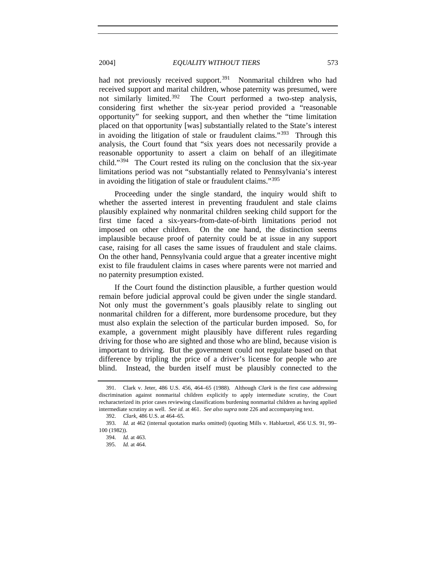had not previously received support.<sup>[391](#page-92-0)</sup> Nonmarital children who had received support and marital children, whose paternity was presumed, were not similarly limited.<sup>[392](#page-92-1)</sup> The Court performed a two-step analysis, considering first whether the six-year period provided a "reasonable opportunity" for seeking support, and then whether the "time limitation placed on that opportunity [was] substantially related to the State's interest in avoiding the litigation of stale or fraudulent claims."<sup>[393](#page-92-2)</sup> Through this analysis, the Court found that "six years does not necessarily provide a reasonable opportunity to assert a claim on behalf of an illegitimate child."<sup>[394](#page-92-3)</sup> The Court rested its ruling on the conclusion that the six-year limitations period was not "substantially related to Pennsylvania's interest in avoiding the litigation of stale or fraudulent claims."<sup>[395](#page-92-4)</sup>

Proceeding under the single standard, the inquiry would shift to whether the asserted interest in preventing fraudulent and stale claims plausibly explained why nonmarital children seeking child support for the first time faced a six-years-from-date-of-birth limitations period not imposed on other children. On the one hand, the distinction seems implausible because proof of paternity could be at issue in any support case, raising for all cases the same issues of fraudulent and stale claims. On the other hand, Pennsylvania could argue that a greater incentive might exist to file fraudulent claims in cases where parents were not married and no paternity presumption existed.

If the Court found the distinction plausible, a further question would remain before judicial approval could be given under the single standard. Not only must the government's goals plausibly relate to singling out nonmarital children for a different, more burdensome procedure, but they must also explain the selection of the particular burden imposed. So, for example, a government might plausibly have different rules regarding driving for those who are sighted and those who are blind, because vision is important to driving. But the government could not regulate based on that difference by tripling the price of a driver's license for people who are blind. Instead, the burden itself must be plausibly connected to the

<span id="page-92-0"></span> <sup>391.</sup> Clark v. Jeter, 486 U.S. 456, 464–65 (1988). Although *Clark* is the first case addressing discrimination against nonmarital children explicitly to apply intermediate scrutiny, the Court recharacterized its prior cases reviewing classifications burdening nonmarital children as having applied intermediate scrutiny as well. *See id.* at 461. *See also supra* note 226 and accompanying text.

<sup>392.</sup> *Clark*, 486 U.S. at 464–65.

<span id="page-92-4"></span><span id="page-92-3"></span><span id="page-92-2"></span><span id="page-92-1"></span><sup>393.</sup> *Id.* at 462 (internal quotation marks omitted) (quoting Mills v. Habluetzel, 456 U.S. 91, 99– 100 (1982)).

<sup>394.</sup> *Id.* at 463.

<sup>395.</sup> *Id.* at 464.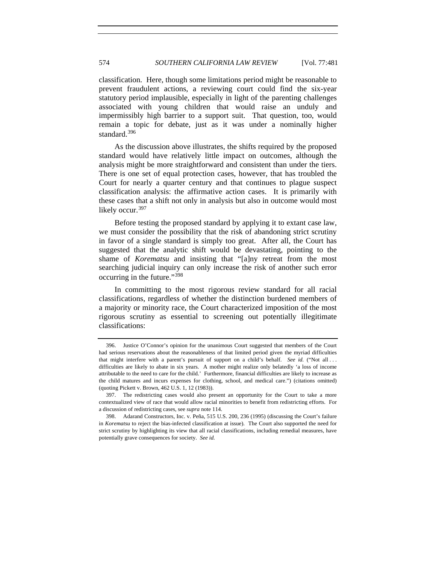classification. Here, though some limitations period might be reasonable to prevent fraudulent actions, a reviewing court could find the six-year statutory period implausible, especially in light of the parenting challenges associated with young children that would raise an unduly and impermissibly high barrier to a support suit. That question, too, would remain a topic for debate, just as it was under a nominally higher standard.<sup>[396](#page-93-0)</sup>

As the discussion above illustrates, the shifts required by the proposed standard would have relatively little impact on outcomes, although the analysis might be more straightforward and consistent than under the tiers. There is one set of equal protection cases, however, that has troubled the Court for nearly a quarter century and that continues to plague suspect classification analysis: the affirmative action cases. It is primarily with these cases that a shift not only in analysis but also in outcome would most likely occur.<sup>[397](#page-93-1)</sup>

Before testing the proposed standard by applying it to extant case law, we must consider the possibility that the risk of abandoning strict scrutiny in favor of a single standard is simply too great. After all, the Court has suggested that the analytic shift would be devastating, pointing to the shame of *Korematsu* and insisting that "[a]ny retreat from the most searching judicial inquiry can only increase the risk of another such error occurring in the future."[398](#page-93-2)

In committing to the most rigorous review standard for all racial classifications, regardless of whether the distinction burdened members of a majority or minority race, the Court characterized imposition of the most rigorous scrutiny as essential to screening out potentially illegitimate classifications:

<span id="page-93-0"></span> <sup>396.</sup> Justice O'Connor's opinion for the unanimous Court suggested that members of the Court had serious reservations about the reasonableness of that limited period given the myriad difficulties that might interfere with a parent's pursuit of support on a child's behalf. *See id.* ("Not all ... difficulties are likely to abate in six years. A mother might realize only belatedly 'a loss of income attributable to the need to care for the child.' Furthermore, financial difficulties are likely to increase as the child matures and incurs expenses for clothing, school, and medical care.") (citations omitted) (quoting Pickett v. Brown, 462 U.S. 1, 12 (1983)).

<span id="page-93-1"></span> <sup>397.</sup> The redistricting cases would also present an opportunity for the Court to take a more contextualized view of race that would allow racial minorities to benefit from redistricting efforts. For a discussion of redistricting cases, see *supra* note 114.

<span id="page-93-2"></span> <sup>398.</sup> Adarand Constructors, Inc. v. Peña, 515 U.S. 200, 236 (1995) (discussing the Court's failure in *Korematsu* to reject the bias-infected classification at issue). The Court also supported the need for strict scrutiny by highlighting its view that all racial classifications, including remedial measures, have potentially grave consequences for society. *See id.*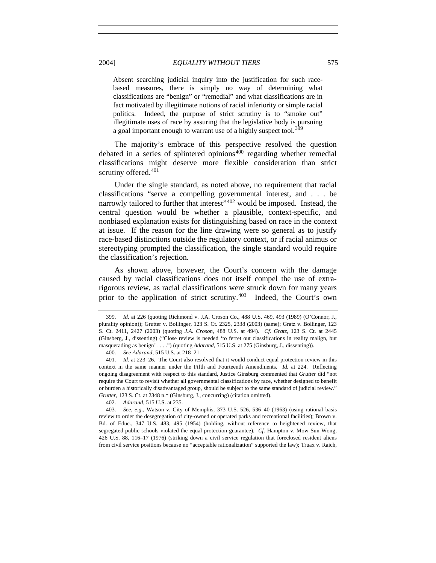Absent searching judicial inquiry into the justification for such racebased measures, there is simply no way of determining what classifications are "benign" or "remedial" and what classifications are in fact motivated by illegitimate notions of racial inferiority or simple racial politics. Indeed, the purpose of strict scrutiny is to "smoke out" illegitimate uses of race by assuring that the legislative body is pursuing a goal important enough to warrant use of a highly suspect tool.<sup>[399](#page-94-0)</sup>

The majority's embrace of this perspective resolved the question debated in a series of splintered opinions $400$  regarding whether remedial classifications might deserve more flexible consideration than strict scrutiny offered.<sup>[401](#page-94-2)</sup>

Under the single standard, as noted above, no requirement that racial classifications "serve a compelling governmental interest, and . . . be narrowly tailored to further that interest" $402$  would be imposed. Instead, the central question would be whether a plausible, context-specific, and nonbiased explanation exists for distinguishing based on race in the context at issue. If the reason for the line drawing were so general as to justify race-based distinctions outside the regulatory context, or if racial animus or stereotyping prompted the classification, the single standard would require the classification's rejection.

As shown above, however, the Court's concern with the damage caused by racial classifications does not itself compel the use of extrarigorous review, as racial classifications were struck down for many years prior to the application of strict scrutiny.<sup>[403](#page-94-4)</sup> Indeed, the Court's own

<span id="page-94-0"></span><sup>399.</sup> *Id.* at 226 (quoting Richmond v. J.A. Croson Co., 488 U.S. 469, 493 (1989) (O'Connor, J., plurality opinion)); Grutter v. Bollinger, 123 S. Ct. 2325, 2338 (2003) (same); Gratz v. Bollinger, 123 S. Ct. 2411, 2427 (2003) (quoting *J.A. Croson*, 488 U.S. at 494). *Cf. Gratz*, 123 S. Ct. at 2445 (Ginsberg, J., dissenting) ("Close review is needed 'to ferret out classifications in reality malign, but masquerading as benign' . . . .") (quoting *Adarand*, 515 U.S. at 275 (Ginsburg, J., dissenting)).

<sup>400.</sup> *See Adarand*, 515 U.S. at 218–21.

<span id="page-94-2"></span><span id="page-94-1"></span><sup>401.</sup> *Id.* at 223–26. The Court also resolved that it would conduct equal protection review in this context in the same manner under the Fifth and Fourteenth Amendments. *Id.* at 224. Reflecting ongoing disagreement with respect to this standard, Justice Ginsburg commented that *Grutter* did "not require the Court to revisit whether all governmental classifications by race, whether designed to benefit or burden a historically disadvantaged group, should be subject to the same standard of judicial review." *Grutter*, 123 S. Ct. at 2348 n.\* (Ginsburg, J., concurring) (citation omitted).

<sup>402.</sup> *Adarand*, 515 U.S. at 235.

<span id="page-94-4"></span><span id="page-94-3"></span><sup>403.</sup> *See, e.g.*, Watson v. City of Memphis, 373 U.S. 526, 536–40 (1963) (using rational basis review to order the desegregation of city-owned or operated parks and recreational facilities); Brown v. Bd. of Educ., 347 U.S. 483, 495 (1954) (holding, without reference to heightened review, that segregated public schools violated the equal protection guarantee). *Cf.* Hampton v. Mow Sun Wong, 426 U.S. 88, 116–17 (1976) (striking down a civil service regulation that foreclosed resident aliens from civil service positions because no "acceptable rationalization" supported the law); Truax v. Raich,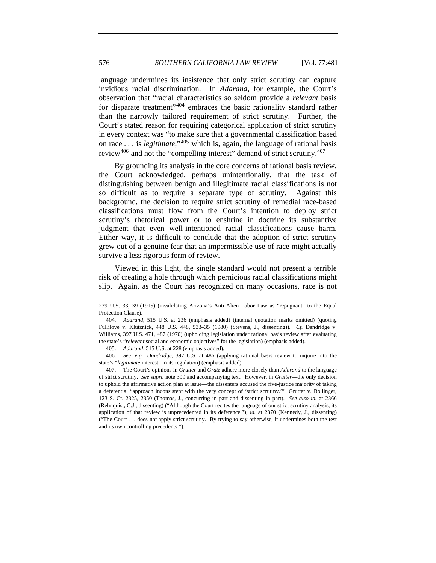language undermines its insistence that only strict scrutiny can capture invidious racial discrimination. In *Adarand*, for example, the Court's observation that "racial characteristics so seldom provide a *relevant* basis for disparate treatment"<sup>[404](#page-95-0)</sup> embraces the basic rationality standard rather than the narrowly tailored requirement of strict scrutiny. Further, the Court's stated reason for requiring categorical application of strict scrutiny in every context was "to make sure that a governmental classification based on race . . . is *legitimate*,"[405](#page-95-1) which is, again, the language of rational basis review<sup>[406](#page-95-2)</sup> and not the "compelling interest" demand of strict scrutiny.<sup>[407](#page-95-3)</sup>

By grounding its analysis in the core concerns of rational basis review, the Court acknowledged, perhaps unintentionally, that the task of distinguishing between benign and illegitimate racial classifications is not so difficult as to require a separate type of scrutiny. Against this background, the decision to require strict scrutiny of remedial race-based classifications must flow from the Court's intention to deploy strict scrutiny's rhetorical power or to enshrine in doctrine its substantive judgment that even well-intentioned racial classifications cause harm. Either way, it is difficult to conclude that the adoption of strict scrutiny grew out of a genuine fear that an impermissible use of race might actually survive a less rigorous form of review.

Viewed in this light, the single standard would not present a terrible risk of creating a hole through which pernicious racial classifications might slip. Again, as the Court has recognized on many occasions, race is not

<sup>239</sup> U.S. 33, 39 (1915) (invalidating Arizona's Anti-Alien Labor Law as "repugnant" to the Equal Protection Clause).

<span id="page-95-0"></span><sup>404.</sup> *Adarand*, 515 U.S. at 236 (emphasis added) (internal quotation marks omitted) (quoting Fullilove v. Klutznick, 448 U.S. 448, 533–35 (1980) (Stevens, J., dissenting)). *Cf.* Dandridge v. Williams, 397 U.S. 471, 487 (1970) (upholding legislation under rational basis review after evaluating the state's "*relevant* social and economic objectives" for the legislation) (emphasis added).

<sup>405.</sup> *Adarand*, 515 U.S. at 228 (emphasis added).

<span id="page-95-2"></span><span id="page-95-1"></span><sup>406.</sup> *See, e.g.*, *Dandridge*, 397 U.S. at 486 (applying rational basis review to inquire into the state's "*legitimate* interest" in its regulation) (emphasis added).

<span id="page-95-3"></span> <sup>407.</sup> The Court's opinions in *Grutter* and *Gratz* adhere more closely than *Adarand* to the language of strict scrutiny. *See supra* note 399 and accompanying text. However, in *Grutter*—the only decision to uphold the affirmative action plan at issue—the dissenters accused the five-justice majority of taking a deferential "approach inconsistent with the very concept of 'strict scrutiny.'" Grutter v. Bollinger, 123 S. Ct. 2325, 2350 (Thomas, J., concurring in part and dissenting in part). *See also id.* at 2366 (Rehnquist, C.J., dissenting) ("Although the Court recites the language of our strict scrutiny analysis, its application of that review is unprecedented in its deference."); *id.* at 2370 (Kennedy, J., dissenting) ("The Court . . . does not apply strict scrutiny. By trying to say otherwise, it undermines both the test and its own controlling precedents.").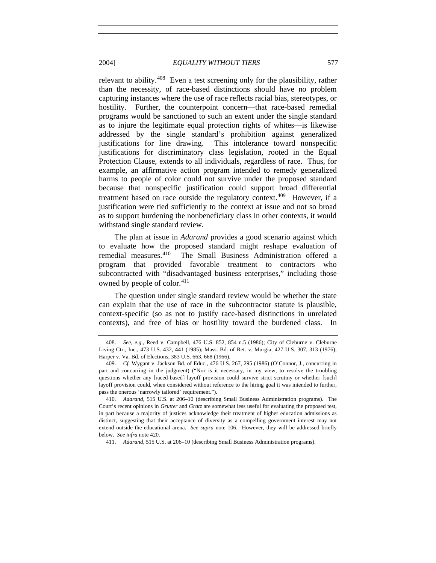relevant to ability.<sup>[408](#page-96-0)</sup> Even a test screening only for the plausibility, rather than the necessity, of race-based distinctions should have no problem capturing instances where the use of race reflects racial bias, stereotypes, or hostility. Further, the counterpoint concern—that race-based remedial programs would be sanctioned to such an extent under the single standard as to injure the legitimate equal protection rights of whites—is likewise addressed by the single standard's prohibition against generalized justifications for line drawing. This intolerance toward nonspecific justifications for discriminatory class legislation, rooted in the Equal Protection Clause, extends to all individuals, regardless of race. Thus, for example, an affirmative action program intended to remedy generalized harms to people of color could not survive under the proposed standard because that nonspecific justification could support broad differential treatment based on race outside the regulatory context.<sup>[409](#page-96-1)</sup> However, if a justification were tied sufficiently to the context at issue and not so broad as to support burdening the nonbeneficiary class in other contexts, it would withstand single standard review.

The plan at issue in *Adarand* provides a good scenario against which to evaluate how the proposed standard might reshape evaluation of remedial measures.<sup>[410](#page-96-2)</sup> The Small Business Administration offered a program that provided favorable treatment to contractors who subcontracted with "disadvantaged business enterprises," including those owned by people of color.<sup>[411](#page-96-3)</sup>

The question under single standard review would be whether the state can explain that the use of race in the subcontractor statute is plausible, context-specific (so as not to justify race-based distinctions in unrelated contexts), and free of bias or hostility toward the burdened class. In

<span id="page-96-0"></span><sup>408.</sup> *See, e.g.*, Reed v. Campbell, 476 U.S. 852, 854 n.5 (1986); City of Cleburne v. Cleburne Living Ctr., Inc., 473 U.S. 432, 441 (1985); Mass. Bd. of Ret. v. Murgia, 427 U.S. 307, 313 (1976); Harper v. Va. Bd. of Elections, 383 U.S. 663, 668 (1966).

<span id="page-96-1"></span><sup>409.</sup> *Cf.* Wygant v. Jackson Bd. of Educ., 476 U.S. 267, 295 (1986) (O'Connor, J., concurring in part and concurring in the judgment) ("Nor is it necessary, in my view, to resolve the troubling questions whether any [raced-based] layoff provision could survive strict scrutiny or whether [such] layoff provision could, when considered without reference to the hiring goal it was intended to further, pass the onerous 'narrowly tailored' requirement.").

<span id="page-96-2"></span><sup>410.</sup> *Adarand*, 515 U.S. at 206–10 (describing Small Business Administration programs). The Court's recent opinions in *Grutter* and *Gratz* are somewhat less useful for evaluating the proposed test, in part because a majority of justices acknowledge their treatment of higher education admissions as distinct, suggesting that their acceptance of diversity as a compelling government interest may not extend outside the educational arena. *See supra* note 106. However, they will be addressed briefly below. *See infra* note 420.

<span id="page-96-3"></span><sup>411.</sup> *Adarand*, 515 U.S. at 206–10 (describing Small Business Administration programs).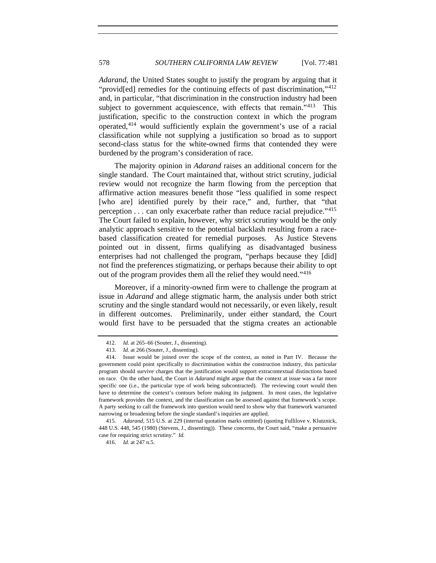*Adarand*, the United States sought to justify the program by arguing that it "provided] remedies for the continuing effects of past discrimination,"<sup>[412](#page-97-0)</sup> and, in particular, "that discrimination in the construction industry had been subject to government acquiescence, with effects that remain."<sup>[413](#page-97-1)</sup> This justification, specific to the construction context in which the program operated,[414](#page-97-2) would sufficiently explain the government's use of a racial classification while not supplying a justification so broad as to support second-class status for the white-owned firms that contended they were burdened by the program's consideration of race.

The majority opinion in *Adarand* raises an additional concern for the single standard. The Court maintained that, without strict scrutiny, judicial review would not recognize the harm flowing from the perception that affirmative action measures benefit those "less qualified in some respect [who are] identified purely by their race," and, further, that "that perception  $\ldots$  can only exacerbate rather than reduce racial prejudice."<sup>[415](#page-97-3)</sup> The Court failed to explain, however, why strict scrutiny would be the only analytic approach sensitive to the potential backlash resulting from a racebased classification created for remedial purposes. As Justice Stevens pointed out in dissent, firms qualifying as disadvantaged business enterprises had not challenged the program, "perhaps because they [did] not find the preferences stigmatizing, or perhaps because their ability to opt out of the program provides them all the relief they would need."[416](#page-97-4)

Moreover, if a minority-owned firm were to challenge the program at issue in *Adarand* and allege stigmatic harm, the analysis under both strict scrutiny and the single standard would not necessarily, or even likely, result in different outcomes. Preliminarily, under either standard, the Court would first have to be persuaded that the stigma creates an actionable

<sup>412.</sup> *Id.* at 265–66 (Souter, J., dissenting).

<sup>413.</sup> *Id.* at 266 (Souter, J., dissenting).

<span id="page-97-2"></span><span id="page-97-1"></span><span id="page-97-0"></span> <sup>414.</sup> Issue would be joined over the scope of the context, as noted in Part IV. Because the government could point specifically to discrimination within the construction industry, this particular program should survive charges that the justification would support extracontextual distinctions based on race. On the other hand, the Court in *Adarand* might argue that the context at issue was a far more specific one (i.e., the particular type of work being subcontracted). The reviewing court would then have to determine the context's contours before making its judgment. In most cases, the legislative framework provides the context, and the classification can be assessed against that framework's scope. A party seeking to call the framework into question would need to show why that framework warranted narrowing or broadening before the single standard's inquiries are applied.

<span id="page-97-4"></span><span id="page-97-3"></span><sup>415.</sup> *Adarand*, 515 U.S. at 229 (internal quotation marks omitted) (quoting Fullilove v. Klutznick, 448 U.S. 448, 545 (1980) (Stevens, J., dissenting)). These concerns, the Court said, "make a persuasive case for requiring strict scrutiny." *Id.*

<sup>416.</sup> *Id.* at 247 n.5.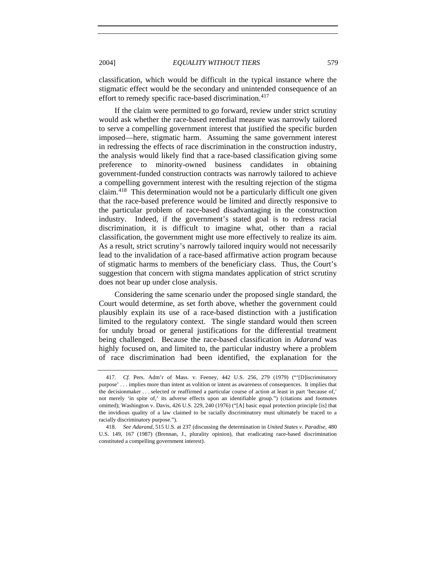classification, which would be difficult in the typical instance where the stigmatic effect would be the secondary and unintended consequence of an effort to remedy specific race-based discrimination.<sup>[417](#page-98-0)</sup>

If the claim were permitted to go forward, review under strict scrutiny would ask whether the race-based remedial measure was narrowly tailored to serve a compelling government interest that justified the specific burden imposed—here, stigmatic harm. Assuming the same government interest in redressing the effects of race discrimination in the construction industry, the analysis would likely find that a race-based classification giving some preference to minority-owned business candidates in obtaining government-funded construction contracts was narrowly tailored to achieve a compelling government interest with the resulting rejection of the stigma claim.[418](#page-98-1) This determination would not be a particularly difficult one given that the race-based preference would be limited and directly responsive to the particular problem of race-based disadvantaging in the construction industry. Indeed, if the government's stated goal is to redress racial discrimination, it is difficult to imagine what, other than a racial classification, the government might use more effectively to realize its aim. As a result, strict scrutiny's narrowly tailored inquiry would not necessarily lead to the invalidation of a race-based affirmative action program because of stigmatic harms to members of the beneficiary class. Thus, the Court's suggestion that concern with stigma mandates application of strict scrutiny does not bear up under close analysis.

Considering the same scenario under the proposed single standard, the Court would determine, as set forth above, whether the government could plausibly explain its use of a race-based distinction with a justification limited to the regulatory context. The single standard would then screen for unduly broad or general justifications for the differential treatment being challenged. Because the race-based classification in *Adarand* was highly focused on, and limited to, the particular industry where a problem of race discrimination had been identified, the explanation for the

<span id="page-98-0"></span><sup>417.</sup> *Cf.* Pers. Adm'r of Mass. v. Feeney, 442 U.S. 256, 279 (1979) ("'[D]iscriminatory purpose' . . . implies more than intent as volition or intent as awareness of consequences. It implies that the decisionmaker . . . selected or reaffirmed a particular course of action at least in part 'because of,' not merely 'in spite of,' its adverse effects upon an identifiable group.") (citations and footnotes omitted); Washington v. Davis, 426 U.S. 229, 240 (1976) ("[A] basic equal protection principle [is] that the invidious quality of a law claimed to be racially discriminatory must ultimately be traced to a racially discriminatory purpose.").

<span id="page-98-1"></span><sup>418.</sup> *See Adarand*, 515 U.S. at 237 (discussing the determination in *United States v. Paradise*, 480 U.S. 149, 167 (1987) (Brennan, J., plurality opinion), that eradicating race-based discrimination constituted a compelling government interest).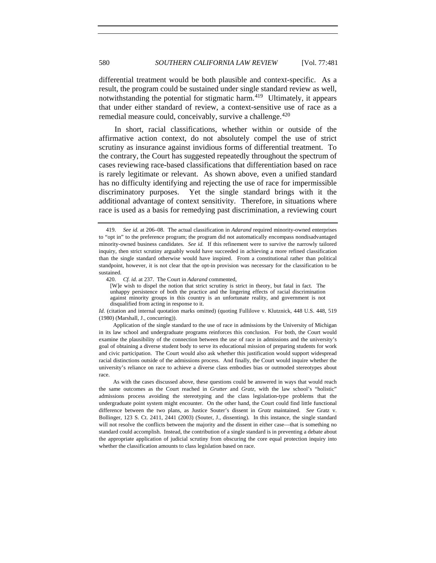differential treatment would be both plausible and context-specific. As a result, the program could be sustained under single standard review as well, notwithstanding the potential for stigmatic harm.<sup>[419](#page-99-0)</sup> Ultimately, it appears that under either standard of review, a context-sensitive use of race as a remedial measure could, conceivably, survive a challenge.<sup>[420](#page-99-1)</sup>

In short, racial classifications, whether within or outside of the affirmative action context, do not absolutely compel the use of strict scrutiny as insurance against invidious forms of differential treatment. To the contrary, the Court has suggested repeatedly throughout the spectrum of cases reviewing race-based classifications that differentiation based on race is rarely legitimate or relevant. As shown above, even a unified standard has no difficulty identifying and rejecting the use of race for impermissible discriminatory purposes. Yet the single standard brings with it the additional advantage of context sensitivity. Therefore, in situations where race is used as a basis for remedying past discrimination, a reviewing court

Application of the single standard to the use of race in admissions by the University of Michigan in its law school and undergraduate programs reinforces this conclusion. For both, the Court would examine the plausibility of the connection between the use of race in admissions and the university's goal of obtaining a diverse student body to serve its educational mission of preparing students for work and civic participation. The Court would also ask whether this justification would support widespread racial distinctions outside of the admissions process. And finally, the Court would inquire whether the university's reliance on race to achieve a diverse class embodies bias or outmoded stereotypes about race.

As with the cases discussed above, these questions could be answered in ways that would reach the same outcomes as the Court reached in *Grutter* and *Gratz*, with the law school's "holistic" admissions process avoiding the stereotyping and the class legislation-type problems that the undergraduate point system might encounter. On the other hand, the Court could find little functional difference between the two plans, as Justice Souter's dissent in *Gratz* maintained. *See* Gratz v. Bollinger, 123 S. Ct. 2411, 2441 (2003) (Souter, J., dissenting). In this instance, the single standard will not resolve the conflicts between the majority and the dissent in either case—that is something no standard could accomplish. Instead, the contribution of a single standard is in preventing a debate about the appropriate application of judicial scrutiny from obscuring the core equal protection inquiry into whether the classification amounts to class legislation based on race.

<span id="page-99-0"></span><sup>419.</sup> *See id.* at 206–08. The actual classification in *Adarand* required minority-owned enterprises to "opt in" to the preference program; the program did not automatically encompass nondisadvantaged minority-owned business candidates. *See id.* If this refinement were to survive the narrowly tailored inquiry, then strict scrutiny arguably would have succeeded in achieving a more refined classification than the single standard otherwise would have inspired. From a constitutional rather than political standpoint, however, it is not clear that the opt-in provision was necessary for the classification to be sustained.

<sup>420.</sup> *Cf. id.* at 237. The Court in *Adarand* commented,

<sup>[</sup>W]e wish to dispel the notion that strict scrutiny is strict in theory, but fatal in fact. The unhappy persistence of both the practice and the lingering effects of racial discrimination against minority groups in this country is an unfortunate reality, and government is not disqualified from acting in response to it.

<span id="page-99-1"></span>*Id.* (citation and internal quotation marks omitted) (quoting Fullilove v. Klutznick, 448 U.S. 448, 519 (1980) (Marshall, J., concurring)).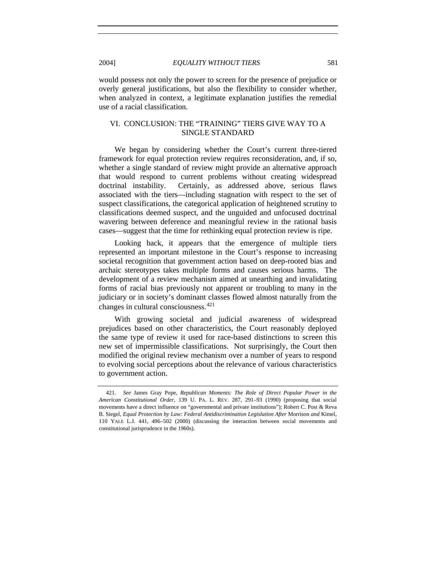would possess not only the power to screen for the presence of prejudice or overly general justifications, but also the flexibility to consider whether, when analyzed in context, a legitimate explanation justifies the remedial use of a racial classification.

### VI. CONCLUSION: THE "TRAINING" TIERS GIVE WAY TO A SINGLE STANDARD

We began by considering whether the Court's current three-tiered framework for equal protection review requires reconsideration, and, if so, whether a single standard of review might provide an alternative approach that would respond to current problems without creating widespread doctrinal instability. Certainly, as addressed above, serious flaws associated with the tiers—including stagnation with respect to the set of suspect classifications, the categorical application of heightened scrutiny to classifications deemed suspect, and the unguided and unfocused doctrinal wavering between deference and meaningful review in the rational basis cases—suggest that the time for rethinking equal protection review is ripe.

Looking back, it appears that the emergence of multiple tiers represented an important milestone in the Court's response to increasing societal recognition that government action based on deep-rooted bias and archaic stereotypes takes multiple forms and causes serious harms. The development of a review mechanism aimed at unearthing and invalidating forms of racial bias previously not apparent or troubling to many in the judiciary or in society's dominant classes flowed almost naturally from the changes in cultural consciousness.[421](#page-100-0)

With growing societal and judicial awareness of widespread prejudices based on other characteristics, the Court reasonably deployed the same type of review it used for race-based distinctions to screen this new set of impermissible classifications. Not surprisingly, the Court then modified the original review mechanism over a number of years to respond to evolving social perceptions about the relevance of various characteristics to government action.

<span id="page-100-0"></span><sup>421.</sup> *See* James Gray Pope, *Republican Moments: The Role of Direct Popular Power in the American Constitutional Order*, 139 U. PA. L. REV. 287, 291–93 (1990) (proposing that social movements have a direct influence on "governmental and private institutions"); Robert C. Post & Reva B. Siegel, *Equal Protection by Law: Federal Antidiscrimination Legislation After* Morrison *and* Kimel, 110 YALE L.J. 441, 496–502 (2000) (discussing the interaction between social movements and constitutional jurisprudence in the 1960s).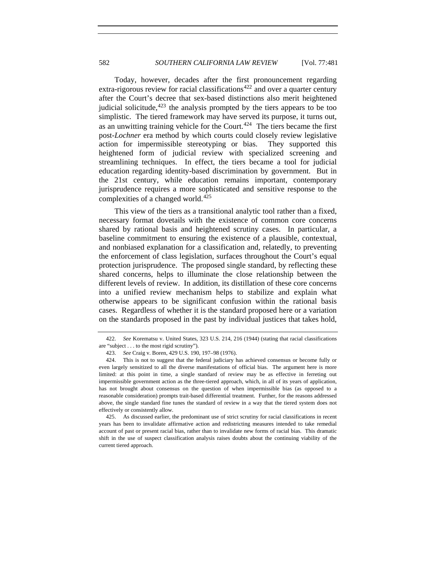Today, however, decades after the first pronouncement regarding extra-rigorous review for racial classifications<sup>[422](#page-101-0)</sup> and over a quarter century after the Court's decree that sex-based distinctions also merit heightened judicial solicitude,  $423$  the analysis prompted by the tiers appears to be too simplistic. The tiered framework may have served its purpose, it turns out, as an unwitting training vehicle for the Court.<sup>[424](#page-101-2)</sup> The tiers became the first post-*Lochner* era method by which courts could closely review legislative action for impermissible stereotyping or bias. They supported this heightened form of judicial review with specialized screening and streamlining techniques. In effect, the tiers became a tool for judicial education regarding identity-based discrimination by government. But in the 21st century, while education remains important, contemporary jurisprudence requires a more sophisticated and sensitive response to the complexities of a changed world.<sup>[425](#page-101-3)</sup>

This view of the tiers as a transitional analytic tool rather than a fixed, necessary format dovetails with the existence of common core concerns shared by rational basis and heightened scrutiny cases. In particular, a baseline commitment to ensuring the existence of a plausible, contextual, and nonbiased explanation for a classification and, relatedly, to preventing the enforcement of class legislation, surfaces throughout the Court's equal protection jurisprudence. The proposed single standard, by reflecting these shared concerns, helps to illuminate the close relationship between the different levels of review. In addition, its distillation of these core concerns into a unified review mechanism helps to stabilize and explain what otherwise appears to be significant confusion within the rational basis cases. Regardless of whether it is the standard proposed here or a variation on the standards proposed in the past by individual justices that takes hold,

<span id="page-101-0"></span><sup>422.</sup> *See* Korematsu v. United States, 323 U.S. 214, 216 (1944) (stating that racial classifications are "subject . . . to the most rigid scrutiny").

<sup>423.</sup> *See* Craig v. Boren, 429 U.S. 190, 197–98 (1976).

<span id="page-101-2"></span><span id="page-101-1"></span> <sup>424.</sup> This is not to suggest that the federal judiciary has achieved consensus or become fully or even largely sensitized to all the diverse manifestations of official bias. The argument here is more limited: at this point in time, a single standard of review may be as effective in ferreting out impermissible government action as the three-tiered approach, which, in all of its years of application, has not brought about consensus on the question of when impermissible bias (as opposed to a reasonable consideration) prompts trait-based differential treatment. Further, for the reasons addressed above, the single standard fine tunes the standard of review in a way that the tiered system does not effectively or consistently allow.

<span id="page-101-3"></span> <sup>425.</sup> As discussed earlier, the predominant use of strict scrutiny for racial classifications in recent years has been to invalidate affirmative action and redistricting measures intended to take remedial account of past or present racial bias, rather than to invalidate new forms of racial bias. This dramatic shift in the use of suspect classification analysis raises doubts about the continuing viability of the current tiered approach.